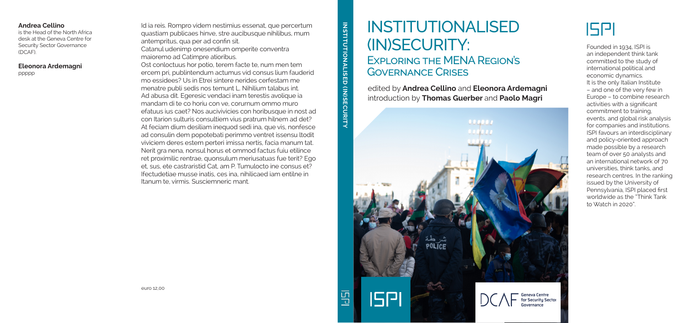## INSTITUTIONALISED (IN)SECURITY:

### Exploring the MENA Region's Governance Crises

edited by **Andrea Cellino** and **Eleonora Ardemagni** introduction by **Thomas Guerber** and **Paolo Magri**

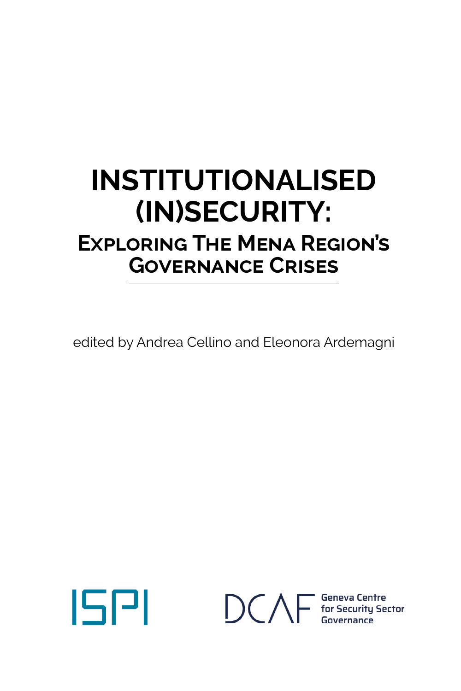## **INSTITUTIONALISED (IN)SECURITY: Exploring The Mena Region's Governance Crises**

edited by Andrea Cellino and Eleonora Ardemagni

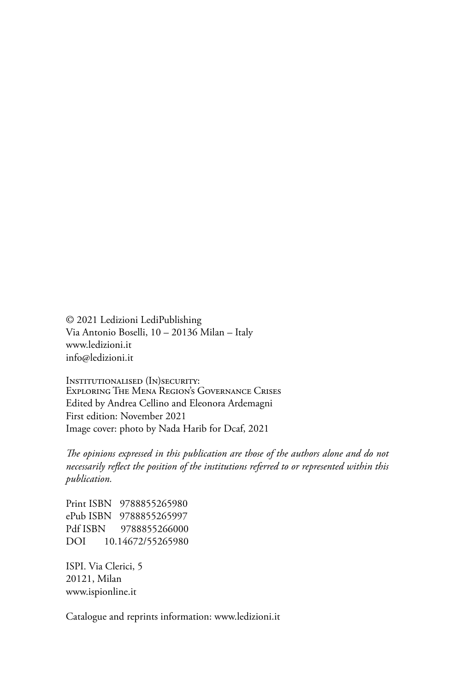© 2021 Ledizioni LediPublishing Via Antonio Boselli, 10 – 20136 Milan – Italy www.ledizioni.it info@ledizioni.it

Institutionalised (In)security: Exploring The Mena Region's Governance Crises Edited by Andrea Cellino and Eleonora Ardemagni First edition: November 2021 Image cover: photo by Nada Harib for Dcaf, 2021

*The opinions expressed in this publication are those of the authors alone and do not necessarily reflect the position of the institutions referred to or represented within this publication.*

Print ISBN 9788855265980 ePub ISBN 9788855265997 Pdf ISBN 9788855266000 DOI 10.14672/55265980

ISPI. Via Clerici, 5 20121, Milan www.ispionline.it

Catalogue and reprints information: www.ledizioni.it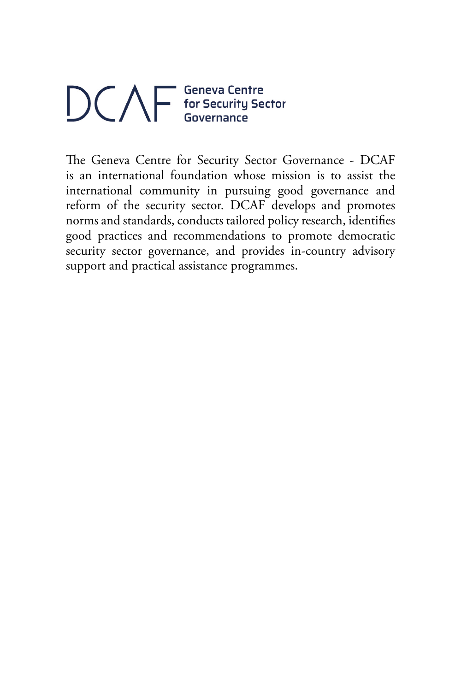# $\bigcirc \bigcirc \bigwedge \overline{\bigvee \bigcirc_{\text{for Security Sector}}^{\text{George Center}}}$

The Geneva Centre for Security Sector Governance - DCAF is an international foundation whose mission is to assist the international community in pursuing good governance and reform of the security sector. DCAF develops and promotes norms and standards, conducts tailored policy research, identifies good practices and recommendations to promote democratic security sector governance, and provides in-country advisory support and practical assistance programmes.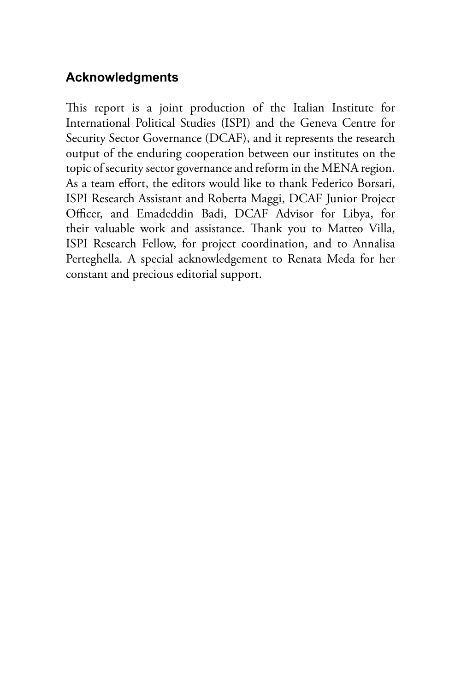#### **Acknowledgments**

This report is a joint production of the Italian Institute for International Political Studies (ISPI) and the Geneva Centre for Security Sector Governance (DCAF), and it represents the research output of the enduring cooperation between our institutes on the topic of security sector governance and reform in the MENA region. As a team effort, the editors would like to thank Federico Borsari, ISPI Research Assistant and Roberta Maggi, DCAF Junior Project Officer, and Emadeddin Badi, DCAF Advisor for Libya, for their valuable work and assistance. Thank you to Matteo Villa, ISPI Research Fellow, for project coordination, and to Annalisa Perteghella. A special acknowledgement to Renata Meda for her constant and precious editorial support.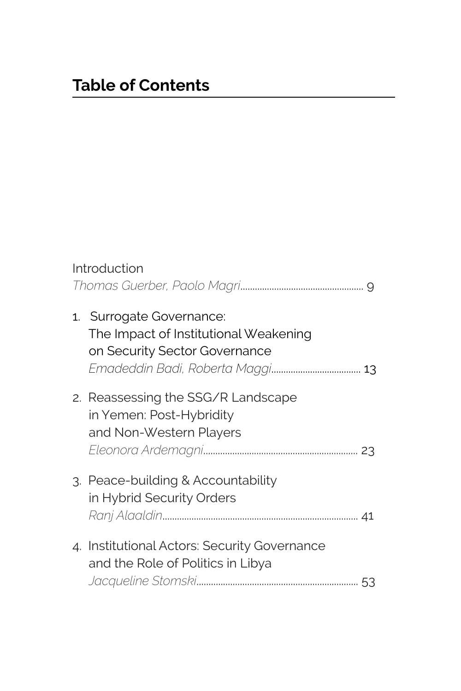| Introduction |                                                                                                    |  |
|--------------|----------------------------------------------------------------------------------------------------|--|
|              |                                                                                                    |  |
|              | 1. Surrogate Governance:<br>The Impact of Institutional Weakening<br>on Security Sector Governance |  |
|              | 2. Reassessing the SSG/R Landscape<br>in Yemen: Post-Hybridity<br>and Non-Western Players          |  |
|              | 3. Peace-building & Accountability<br>in Hybrid Security Orders                                    |  |
|              | 4. Institutional Actors: Security Governance<br>and the Role of Politics in Libya                  |  |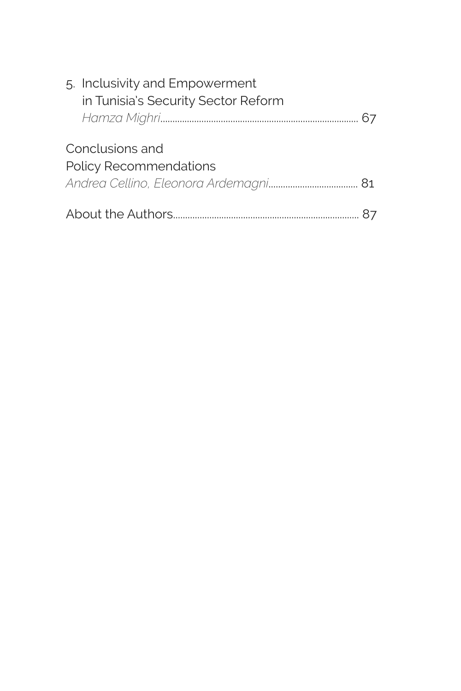|                               | 5. Inclusivity and Empowerment      |  |
|-------------------------------|-------------------------------------|--|
|                               | in Tunisia's Security Sector Reform |  |
|                               |                                     |  |
|                               | Conclusions and                     |  |
| <b>Policy Recommendations</b> |                                     |  |
|                               |                                     |  |
|                               |                                     |  |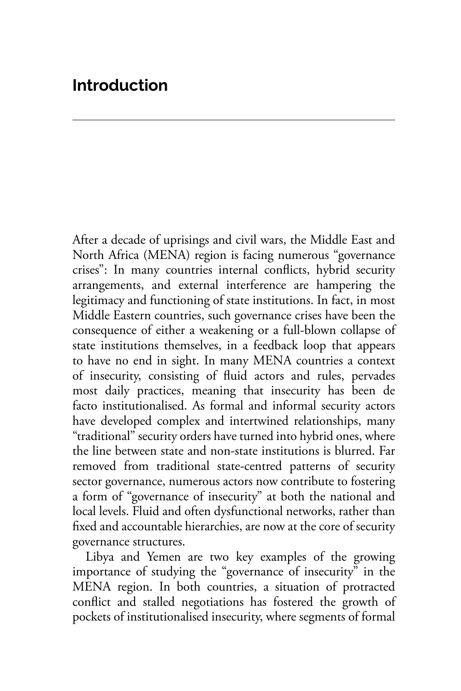After a decade of uprisings and civil wars, the Middle East and North Africa (MENA) region is facing numerous "governance crises": In many countries internal conflicts, hybrid security arrangements, and external interference are hampering the legitimacy and functioning of state institutions. In fact, in most Middle Eastern countries, such governance crises have been the consequence of either a weakening or a full-blown collapse of state institutions themselves, in a feedback loop that appears to have no end in sight. In many MENA countries a context of insecurity, consisting of fluid actors and rules, pervades most daily practices, meaning that insecurity has been de facto institutionalised. As formal and informal security actors have developed complex and intertwined relationships, many "traditional" security orders have turned into hybrid ones, where the line between state and non-state institutions is blurred. Far removed from traditional state-centred patterns of security sector governance, numerous actors now contribute to fostering a form of "governance of insecurity" at both the national and local levels. Fluid and often dysfunctional networks, rather than fixed and accountable hierarchies, are now at the core of security governance structures.

Libya and Yemen are two key examples of the growing importance of studying the "governance of insecurity" in the MENA region. In both countries, a situation of protracted conflict and stalled negotiations has fostered the growth of pockets of institutionalised insecurity, where segments of formal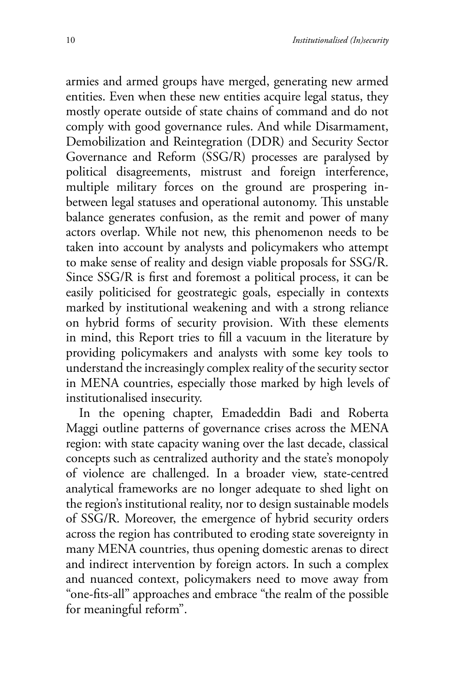armies and armed groups have merged, generating new armed entities. Even when these new entities acquire legal status, they mostly operate outside of state chains of command and do not comply with good governance rules. And while Disarmament, Demobilization and Reintegration (DDR) and Security Sector Governance and Reform (SSG/R) processes are paralysed by political disagreements, mistrust and foreign interference, multiple military forces on the ground are prospering inbetween legal statuses and operational autonomy. This unstable balance generates confusion, as the remit and power of many actors overlap. While not new, this phenomenon needs to be taken into account by analysts and policymakers who attempt to make sense of reality and design viable proposals for SSG/R. Since SSG/R is first and foremost a political process, it can be easily politicised for geostrategic goals, especially in contexts marked by institutional weakening and with a strong reliance on hybrid forms of security provision. With these elements in mind, this Report tries to fill a vacuum in the literature by providing policymakers and analysts with some key tools to understand the increasingly complex reality of the security sector in MENA countries, especially those marked by high levels of institutionalised insecurity.

In the opening chapter, Emadeddin Badi and Roberta Maggi outline patterns of governance crises across the MENA region: with state capacity waning over the last decade, classical concepts such as centralized authority and the state's monopoly of violence are challenged. In a broader view, state-centred analytical frameworks are no longer adequate to shed light on the region's institutional reality, nor to design sustainable models of SSG/R. Moreover, the emergence of hybrid security orders across the region has contributed to eroding state sovereignty in many MENA countries, thus opening domestic arenas to direct and indirect intervention by foreign actors. In such a complex and nuanced context, policymakers need to move away from "one-fits-all" approaches and embrace "the realm of the possible for meaningful reform".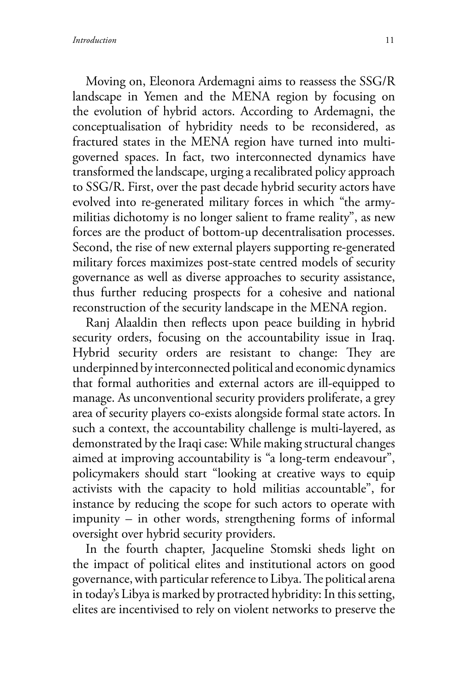Moving on, Eleonora Ardemagni aims to reassess the SSG/R landscape in Yemen and the MENA region by focusing on the evolution of hybrid actors. According to Ardemagni, the conceptualisation of hybridity needs to be reconsidered, as fractured states in the MENA region have turned into multigoverned spaces. In fact, two interconnected dynamics have transformed the landscape, urging a recalibrated policy approach to SSG/R. First, over the past decade hybrid security actors have evolved into re-generated military forces in which "the armymilitias dichotomy is no longer salient to frame reality", as new forces are the product of bottom-up decentralisation processes. Second, the rise of new external players supporting re-generated military forces maximizes post-state centred models of security governance as well as diverse approaches to security assistance, thus further reducing prospects for a cohesive and national reconstruction of the security landscape in the MENA region.

Ranj Alaaldin then reflects upon peace building in hybrid security orders, focusing on the accountability issue in Iraq. Hybrid security orders are resistant to change: They are underpinned by interconnected political and economic dynamics that formal authorities and external actors are ill-equipped to manage. As unconventional security providers proliferate, a grey area of security players co-exists alongside formal state actors. In such a context, the accountability challenge is multi-layered, as demonstrated by the Iraqi case: While making structural changes aimed at improving accountability is "a long-term endeavour", policymakers should start "looking at creative ways to equip activists with the capacity to hold militias accountable", for instance by reducing the scope for such actors to operate with impunity – in other words, strengthening forms of informal oversight over hybrid security providers.

In the fourth chapter, Jacqueline Stomski sheds light on the impact of political elites and institutional actors on good governance, with particular reference to Libya. The political arena in today's Libya is marked by protracted hybridity: In this setting, elites are incentivised to rely on violent networks to preserve the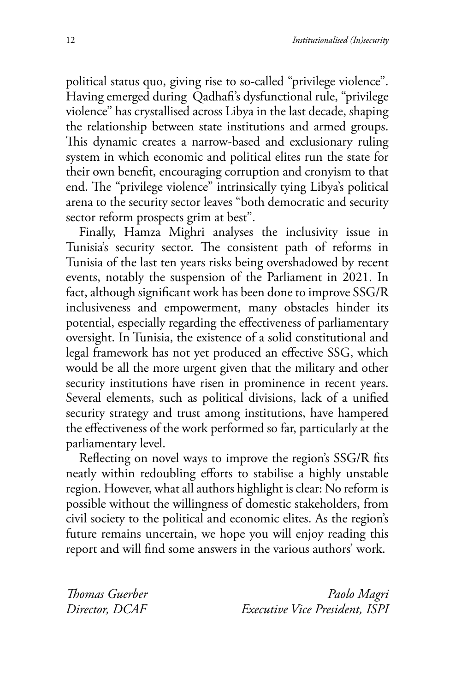political status quo, giving rise to so-called "privilege violence". Having emerged during Qadhafi's dysfunctional rule, "privilege violence" has crystallised across Libya in the last decade, shaping the relationship between state institutions and armed groups. This dynamic creates a narrow-based and exclusionary ruling system in which economic and political elites run the state for their own benefit, encouraging corruption and cronyism to that end. The "privilege violence" intrinsically tying Libya's political arena to the security sector leaves "both democratic and security sector reform prospects grim at best".

Finally, Hamza Mighri analyses the inclusivity issue in Tunisia's security sector. The consistent path of reforms in Tunisia of the last ten years risks being overshadowed by recent events, notably the suspension of the Parliament in 2021. In fact, although significant work has been done to improve SSG/R inclusiveness and empowerment, many obstacles hinder its potential, especially regarding the effectiveness of parliamentary oversight. In Tunisia, the existence of a solid constitutional and legal framework has not yet produced an effective SSG, which would be all the more urgent given that the military and other security institutions have risen in prominence in recent years. Several elements, such as political divisions, lack of a unified security strategy and trust among institutions, have hampered the effectiveness of the work performed so far, particularly at the parliamentary level.

Reflecting on novel ways to improve the region's SSG/R fits neatly within redoubling efforts to stabilise a highly unstable region. However, what all authors highlight is clear: No reform is possible without the willingness of domestic stakeholders, from civil society to the political and economic elites. As the region's future remains uncertain, we hope you will enjoy reading this report and will find some answers in the various authors' work.

*Thomas Guerber Director, DCAF*

*Paolo Magri Executive Vice President, ISPI*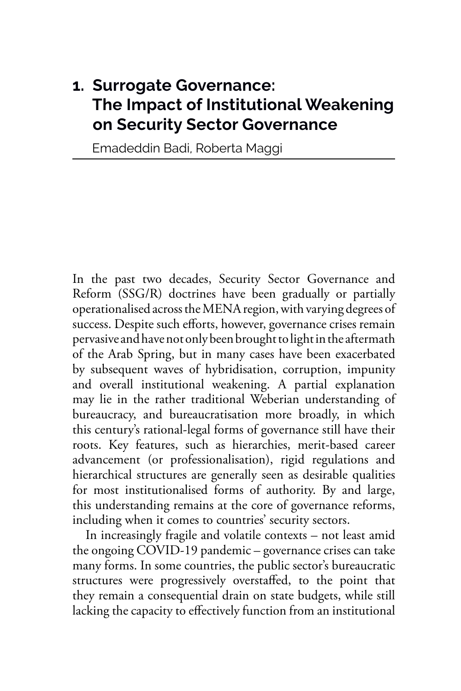#### **1. Surrogate Governance: The Impact of Institutional Weakening on Security Sector Governance**

Emadeddin Badi, Roberta Maggi

In the past two decades, Security Sector Governance and Reform (SSG/R) doctrines have been gradually or partially operationalised across the MENA region, with varying degrees of success. Despite such efforts, however, governance crises remain pervasive and have not only been brought to light in the aftermath of the Arab Spring, but in many cases have been exacerbated by subsequent waves of hybridisation, corruption, impunity and overall institutional weakening. A partial explanation may lie in the rather traditional Weberian understanding of bureaucracy, and bureaucratisation more broadly, in which this century's rational-legal forms of governance still have their roots. Key features, such as hierarchies, merit-based career advancement (or professionalisation), rigid regulations and hierarchical structures are generally seen as desirable qualities for most institutionalised forms of authority. By and large, this understanding remains at the core of governance reforms, including when it comes to countries' security sectors.

In increasingly fragile and volatile contexts – not least amid the ongoing COVID-19 pandemic – governance crises can take many forms. In some countries, the public sector's bureaucratic structures were progressively overstaffed, to the point that they remain a consequential drain on state budgets, while still lacking the capacity to effectively function from an institutional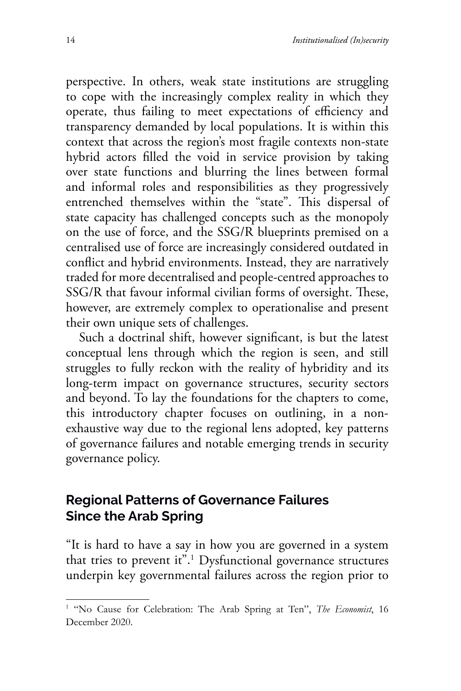perspective. In others, weak state institutions are struggling to cope with the increasingly complex reality in which they operate, thus failing to meet expectations of efficiency and transparency demanded by local populations. It is within this context that across the region's most fragile contexts non-state hybrid actors filled the void in service provision by taking over state functions and blurring the lines between formal and informal roles and responsibilities as they progressively entrenched themselves within the "state". This dispersal of state capacity has challenged concepts such as the monopoly on the use of force, and the SSG/R blueprints premised on a centralised use of force are increasingly considered outdated in conflict and hybrid environments. Instead, they are narratively traded for more decentralised and people-centred approaches to SSG/R that favour informal civilian forms of oversight. These, however, are extremely complex to operationalise and present their own unique sets of challenges.

Such a doctrinal shift, however significant, is but the latest conceptual lens through which the region is seen, and still struggles to fully reckon with the reality of hybridity and its long-term impact on governance structures, security sectors and beyond. To lay the foundations for the chapters to come, this introductory chapter focuses on outlining, in a nonexhaustive way due to the regional lens adopted, key patterns of governance failures and notable emerging trends in security governance policy.

#### **Regional Patterns of Governance Failures Since the Arab Spring**

"It is hard to have a say in how you are governed in a system that tries to prevent it".1 Dysfunctional governance structures underpin key governmental failures across the region prior to

<sup>&</sup>lt;sup>1</sup> "No Cause for Celebration: The Arab Spring at Ten", The Economist, 16 December 2020.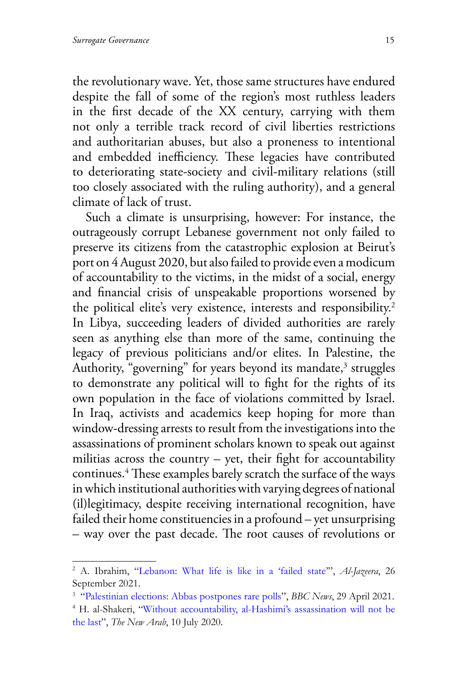the revolutionary wave. Yet, those same structures have endured despite the fall of some of the region's most ruthless leaders in the first decade of the XX century, carrying with them not only a terrible track record of civil liberties restrictions and authoritarian abuses, but also a proneness to intentional and embedded inefficiency. These legacies have contributed to deteriorating state-society and civil-military relations (still too closely associated with the ruling authority), and a general climate of lack of trust.

Such a climate is unsurprising, however: For instance, the outrageously corrupt Lebanese government not only failed to preserve its citizens from the catastrophic explosion at Beirut's port on 4 August 2020, but also failed to provide even a modicum of accountability to the victims, in the midst of a social, energy and financial crisis of unspeakable proportions worsened by the political elite's very existence, interests and responsibility.<sup>2</sup> In Libya, succeeding leaders of divided authorities are rarely seen as anything else than more of the same, continuing the legacy of previous politicians and/or elites. In Palestine, the Authority, "governing" for years beyond its mandate,<sup>3</sup> struggles to demonstrate any political will to fight for the rights of its own population in the face of violations committed by Israel. In Iraq, activists and academics keep hoping for more than window-dressing arrests to result from the investigations into the assassinations of prominent scholars known to speak out against militias across the country  $-$  yet, their fight for accountability continues.4 These examples barely scratch the surface of the ways in which institutional authorities with varying degrees of national (il)legitimacy, despite receiving international recognition, have failed their home constituencies in a profound – yet unsurprising – way over the past decade. The root causes of revolutions or

<sup>2</sup> A. Ibrahim, "[Lebanon: What life is like in a 'failed state'"](https://www.aljazeera.com/features/2021/9/26/lebanon-what-life-is-like-in-a-failed-state.), *Al-Jazeera*, 26 September 2021.

<sup>3</sup> "Palestinian elections: Abbas postpones rare polls", *BBC News*, 29 April 2021. 4

<sup>&</sup>lt;sup>4</sup> H. al-Shakeri, ["Without accountability, al-Hashimi's assassination will not be](https://english.alaraby.co.uk/opinion/without-accountability-al-hashimis-assassination-will-not-be-last) [the last](https://english.alaraby.co.uk/opinion/without-accountability-al-hashimis-assassination-will-not-be-last)", *The New Arab*, 10 July 2020.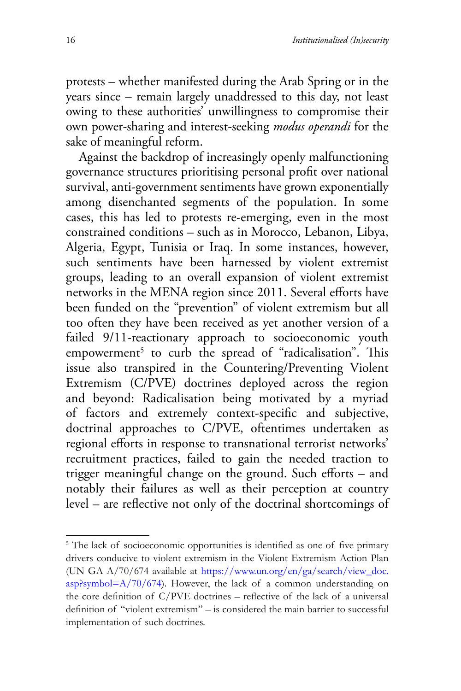protests – whether manifested during the Arab Spring or in the years since – remain largely unaddressed to this day, not least owing to these authorities' unwillingness to compromise their own power-sharing and interest-seeking *modus operandi* for the sake of meaningful reform.

Against the backdrop of increasingly openly malfunctioning governance structures prioritising personal profit over national survival, anti-government sentiments have grown exponentially among disenchanted segments of the population. In some cases, this has led to protests re-emerging, even in the most constrained conditions – such as in Morocco, Lebanon, Libya, Algeria, Egypt, Tunisia or Iraq. In some instances, however, such sentiments have been harnessed by violent extremist groups, leading to an overall expansion of violent extremist networks in the MENA region since 2011. Several efforts have been funded on the "prevention" of violent extremism but all too often they have been received as yet another version of a failed 9/11-reactionary approach to socioeconomic youth  $empowerment<sup>5</sup>$  to curb the spread of "radicalisation". This issue also transpired in the Countering/Preventing Violent Extremism (C/PVE) doctrines deployed across the region and beyond: Radicalisation being motivated by a myriad of factors and extremely context-specific and subjective, doctrinal approaches to C/PVE, oftentimes undertaken as regional efforts in response to transnational terrorist networks' recruitment practices, failed to gain the needed traction to trigger meaningful change on the ground. Such efforts – and notably their failures as well as their perception at country level – are reflective not only of the doctrinal shortcomings of

<sup>&</sup>lt;sup>5</sup> The lack of socioeconomic opportunities is identified as one of five primary drivers conducive to violent extremism in the Violent Extremism Action Plan (UN GA A/70/674 available at [https://www.un.org/en/ga/](https://www.un.org/en/ga/search/view_doc.asp?symbol=A/70/674)search/view\_doc.  $a$ sp?symbol=A/70/674). However, the lack of a common understanding on the core definition of C/PVE doctrines – reflective of the lack of a universal definition of "violent extremism" – is considered the main barrier to successful implementation of such doctrines.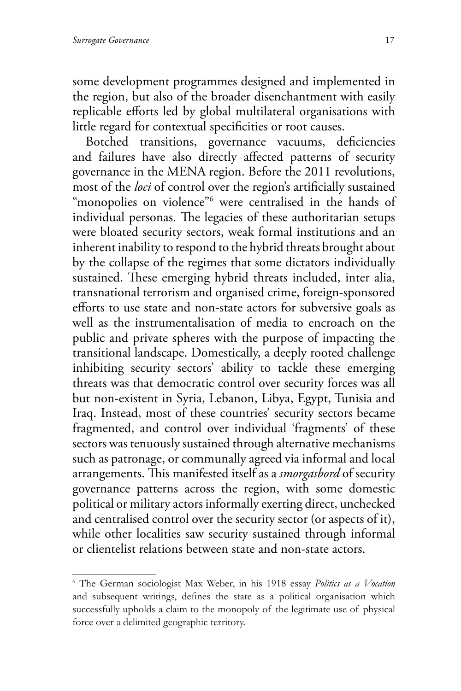some development programmes designed and implemented in the region, but also of the broader disenchantment with easily replicable efforts led by global multilateral organisations with little regard for contextual specificities or root causes.

Botched transitions, governance vacuums, deficiencies and failures have also directly affected patterns of security governance in the MENA region. Before the 2011 revolutions, most of the *loci* of control over the region's artificially sustained "monopolies on violence"6 were centralised in the hands of individual personas. The legacies of these authoritarian setups were bloated security sectors, weak formal institutions and an inherent inability to respond to the hybrid threats brought about by the collapse of the regimes that some dictators individually sustained. These emerging hybrid threats included, inter alia, transnational terrorism and organised crime, foreign-sponsored efforts to use state and non-state actors for subversive goals as well as the instrumentalisation of media to encroach on the public and private spheres with the purpose of impacting the transitional landscape. Domestically, a deeply rooted challenge inhibiting security sectors' ability to tackle these emerging threats was that democratic control over security forces was all but non-existent in Syria, Lebanon, Libya, Egypt, Tunisia and Iraq. Instead, most of these countries' security sectors became fragmented, and control over individual 'fragments' of these sectors was tenuously sustained through alternative mechanisms such as patronage, or communally agreed via informal and local arrangements. This manifested itself as a *smorgasbord* of security governance patterns across the region, with some domestic political or military actors informally exerting direct, unchecked and centralised control over the security sector (or aspects of it), while other localities saw security sustained through informal or clientelist relations between state and non-state actors.

<sup>6</sup> The German sociologist Max Weber, in his 1918 essay *Politics as a Vocation*  and subsequent writings, defines the state as a political organisation which successfully upholds a claim to the monopoly of the legitimate use of physical force over a delimited geographic territory.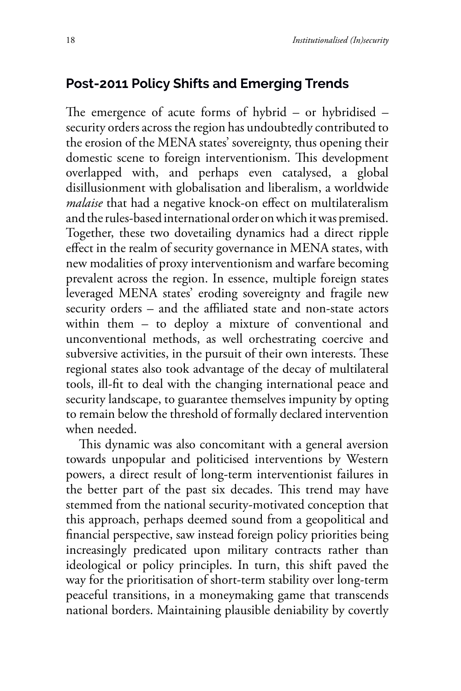#### **Post-2011 Policy Shifts and Emerging Trends**

The emergence of acute forms of hybrid – or hybridised – security orders across the region has undoubtedly contributed to the erosion of the MENA states' sovereignty, thus opening their domestic scene to foreign interventionism. This development overlapped with, and perhaps even catalysed, a global disillusionment with globalisation and liberalism, a worldwide *malaise* that had a negative knock-on effect on multilateralism and the rules-based international order on which it was premised. Together, these two dovetailing dynamics had a direct ripple effect in the realm of security governance in MENA states, with new modalities of proxy interventionism and warfare becoming prevalent across the region. In essence, multiple foreign states leveraged MENA states' eroding sovereignty and fragile new security orders – and the affiliated state and non-state actors within them – to deploy a mixture of conventional and unconventional methods, as well orchestrating coercive and subversive activities, in the pursuit of their own interests. These regional states also took advantage of the decay of multilateral tools, ill-fit to deal with the changing international peace and security landscape, to guarantee themselves impunity by opting to remain below the threshold of formally declared intervention when needed.

This dynamic was also concomitant with a general aversion towards unpopular and politicised interventions by Western powers, a direct result of long-term interventionist failures in the better part of the past six decades. This trend may have stemmed from the national security-motivated conception that this approach, perhaps deemed sound from a geopolitical and financial perspective, saw instead foreign policy priorities being increasingly predicated upon military contracts rather than ideological or policy principles. In turn, this shift paved the way for the prioritisation of short-term stability over long-term peaceful transitions, in a moneymaking game that transcends national borders. Maintaining plausible deniability by covertly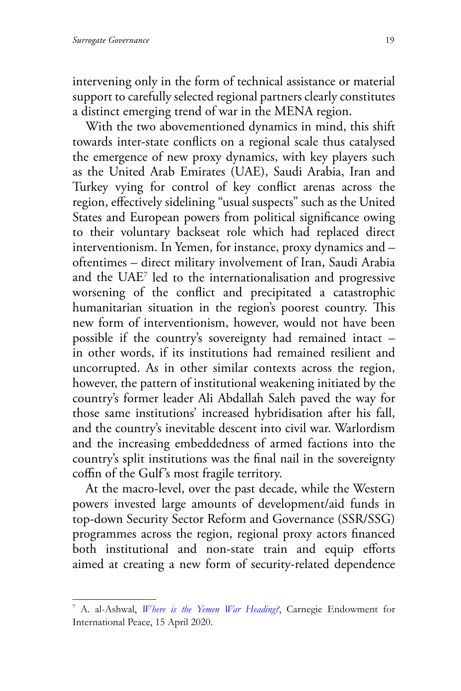intervening only in the form of technical assistance or material support to carefully selected regional partners clearly constitutes a distinct emerging trend of war in the MENA region.

With the two abovementioned dynamics in mind, this shift towards inter-state conflicts on a regional scale thus catalysed the emergence of new proxy dynamics, with key players such as the United Arab Emirates (UAE), Saudi Arabia, Iran and Turkey vying for control of key conflict arenas across the region, effectively sidelining "usual suspects" such as the United States and European powers from political significance owing to their voluntary backseat role which had replaced direct interventionism. In Yemen, for instance, proxy dynamics and – oftentimes – direct military involvement of Iran, Saudi Arabia and the UAE7 led to the internationalisation and progressive worsening of the conflict and precipitated a catastrophic humanitarian situation in the region's poorest country. This new form of interventionism, however, would not have been possible if the country's sovereignty had remained intact – in other words, if its institutions had remained resilient and uncorrupted. As in other similar contexts across the region, however, the pattern of institutional weakening initiated by the country's former leader Ali Abdallah Saleh paved the way for those same institutions' increased hybridisation after his fall, and the country's inevitable descent into civil war. Warlordism and the increasing embeddedness of armed factions into the country's split institutions was the final nail in the sovereignty coffin of the Gulf's most fragile territory.

At the macro-level, over the past decade, while the Western powers invested large amounts of development/aid funds in top-down Security Sector Reform and Governance (SSR/SSG) programmes across the region, regional proxy actors financed both institutional and non-state train and equip efforts aimed at creating a new form of security-related dependence

<sup>7</sup> A. al-Ashwal, *[Where is the Yemen War Heading?](https://carnegieendowment.org/sada/81565.)*, Carnegie Endowment for International Peace, 15 April 2020.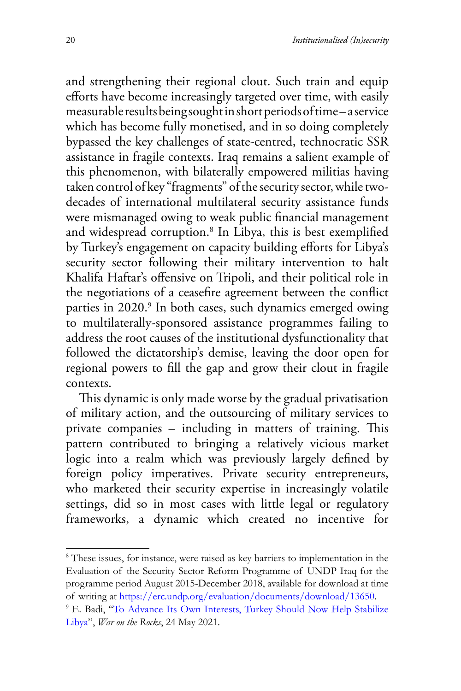and strengthening their regional clout. Such train and equip efforts have become increasingly targeted over time, with easily measurable results being sought in short periods of time – a service which has become fully monetised, and in so doing completely bypassed the key challenges of state-centred, technocratic SSR assistance in fragile contexts. Iraq remains a salient example of this phenomenon, with bilaterally empowered militias having taken control of key "fragments" of the security sector, while twodecades of international multilateral security assistance funds were mismanaged owing to weak public financial management and widespread corruption.8 In Libya, this is best exemplified by Turkey's engagement on capacity building efforts for Libya's security sector following their military intervention to halt Khalifa Haftar's offensive on Tripoli, and their political role in the negotiations of a ceasefire agreement between the conflict parties in 2020.<sup>9</sup> In both cases, such dynamics emerged owing to multilaterally-sponsored assistance programmes failing to address the root causes of the institutional dysfunctionality that followed the dictatorship's demise, leaving the door open for regional powers to fill the gap and grow their clout in fragile contexts.

This dynamic is only made worse by the gradual privatisation of military action, and the outsourcing of military services to private companies – including in matters of training. This pattern contributed to bringing a relatively vicious market logic into a realm which was previously largely defined by foreign policy imperatives. Private security entrepreneurs, who marketed their security expertise in increasingly volatile settings, did so in most cases with little legal or regulatory frameworks, a dynamic which created no incentive for

<sup>&</sup>lt;sup>8</sup> These issues, for instance, were raised as key barriers to implementation in the Evaluation of the Security Sector Reform Programme of UNDP Iraq for the programme period August 2015-December 2018, available for download at time of writing at https://erc.undp.org/evaluation/documents/download/13650[.](https://warontherocks.com/2021/05/to-advance-its-own-interests-turkey-should-now-help-stabilize-libya/) 9

<sup>&</sup>lt;sup>9</sup> E. Badi, "To Advance Its Own Interests, Turkey Should Now Help Stabilize [Libya"](https://warontherocks.com/2021/05/to-advance-its-own-interests-turkey-should-now-help-stabilize-libya/), *War on the Rocks*, 24 May 2021.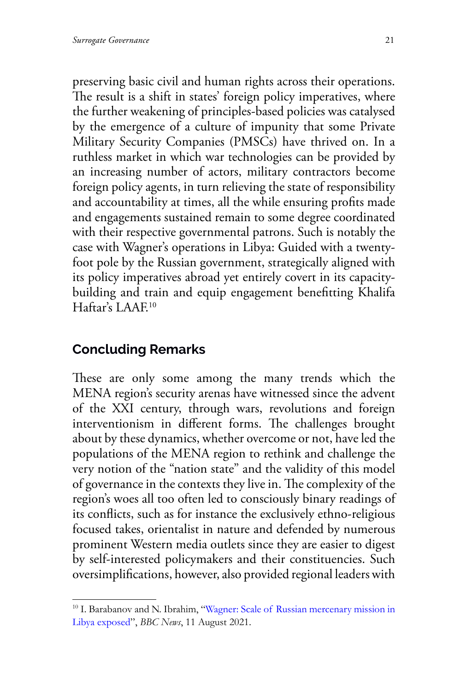preserving basic civil and human rights across their operations. The result is a shift in states' foreign policy imperatives, where the further weakening of principles-based policies was catalysed by the emergence of a culture of impunity that some Private Military Security Companies (PMSCs) have thrived on. In a ruthless market in which war technologies can be provided by an increasing number of actors, military contractors become foreign policy agents, in turn relieving the state of responsibility and accountability at times, all the while ensuring profits made and engagements sustained remain to some degree coordinated with their respective governmental patrons. Such is notably the case with Wagner's operations in Libya: Guided with a twentyfoot pole by the Russian government, strategically aligned with its policy imperatives abroad yet entirely covert in its capacitybuilding and train and equip engagement benefitting Khalifa Haftar's LAAF<sup>10</sup>

#### **Concluding Remarks**

These are only some among the many trends which the MENA region's security arenas have witnessed since the advent of the XXI century, through wars, revolutions and foreign interventionism in different forms. The challenges brought about by these dynamics, whether overcome or not, have led the populations of the MENA region to rethink and challenge the very notion of the "nation state" and the validity of this model of governance in the contexts they live in. The complexity of the region's woes all too often led to consciously binary readings of its conflicts, such as for instance the exclusively ethno-religious focused takes, orientalist in nature and defended by numerous prominent Western media outlets since they are easier to digest by self-interested policymakers and their constituencies. Such oversimplifications, however, also provided regional leaders with

<sup>&</sup>lt;sup>10</sup> I. Barabanov and N. Ibrahim, "[Wagner: Scale of Russian mercenary mission in](https://www.bbc.com/news/world-africa-58009514) [Libya exposed](https://www.bbc.com/news/world-africa-58009514)", *BBC News*, 11 August 2021.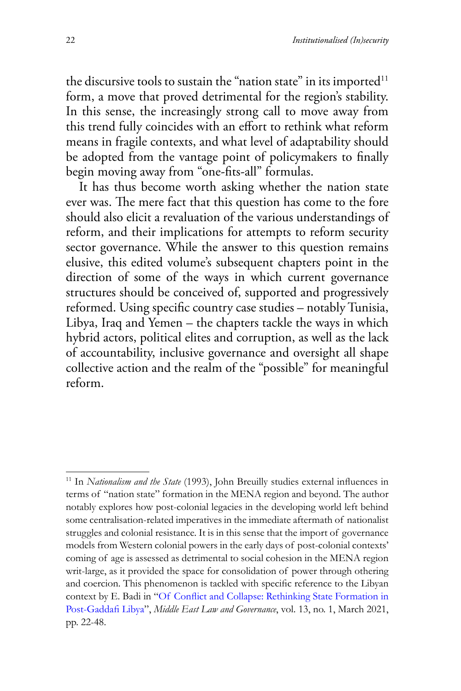the discursive tools to sustain the "nation state" in its imported $11$ form, a move that proved detrimental for the region's stability. In this sense, the increasingly strong call to move away from this trend fully coincides with an effort to rethink what reform means in fragile contexts, and what level of adaptability should be adopted from the vantage point of policymakers to finally begin moving away from "one-fits-all" formulas.

It has thus become worth asking whether the nation state ever was. The mere fact that this question has come to the fore should also elicit a revaluation of the various understandings of reform, and their implications for attempts to reform security sector governance. While the answer to this question remains elusive, this edited volume's subsequent chapters point in the direction of some of the ways in which current governance structures should be conceived of, supported and progressively reformed. Using specific country case studies – notably Tunisia, Libya, Iraq and Yemen – the chapters tackle the ways in which hybrid actors, political elites and corruption, as well as the lack of accountability, inclusive governance and oversight all shape collective action and the realm of the "possible" for meaningful reform.

<sup>&</sup>lt;sup>11</sup> In *Nationalism and the State* (1993), John Breuilly studies external influences in terms of "nation state" formation in the MENA region and beyond. The author notably explores how post-colonial legacies in the developing world left behind some centralisation-related imperatives in the immediate aftermath of nationalist struggles and colonial resistance. It is in this sense that the import of governance models from Western colonial powers in the early days of post-colonial contexts' coming of age is assessed as detrimental to social cohesion in the MENA region writ-large, as it provided the space for consolidation of power through othering and coercion. This phenomenon is tackled with specific reference to the Libyan context by E. Badi in ["Of Conflict and Collapse: Rethinking State](https://brill.com/view/journals/melg/13/1/article-p22_22.xml.) Formation in [Post-Gaddafi Libya](https://brill.com/view/journals/melg/13/1/article-p22_22.xml.)", *Middle East Law and Governance*, vol. 13, no. 1, March 2021, pp. 22-48.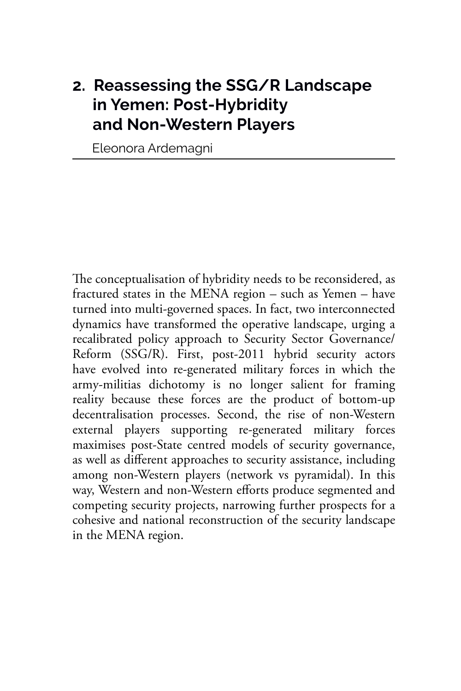#### **2. Reassessing the SSG/R Landscape in Yemen: Post-Hybridity and Non-Western Players**

Eleonora Ardemagni

The conceptualisation of hybridity needs to be reconsidered, as fractured states in the MENA region – such as Yemen – have turned into multi-governed spaces. In fact, two interconnected dynamics have transformed the operative landscape, urging a recalibrated policy approach to Security Sector Governance/ Reform (SSG/R). First, post-2011 hybrid security actors have evolved into re-generated military forces in which the army-militias dichotomy is no longer salient for framing reality because these forces are the product of bottom-up decentralisation processes. Second, the rise of non-Western external players supporting re-generated military forces maximises post-State centred models of security governance, as well as different approaches to security assistance, including among non-Western players (network vs pyramidal). In this way, Western and non-Western efforts produce segmented and competing security projects, narrowing further prospects for a cohesive and national reconstruction of the security landscape in the MENA region.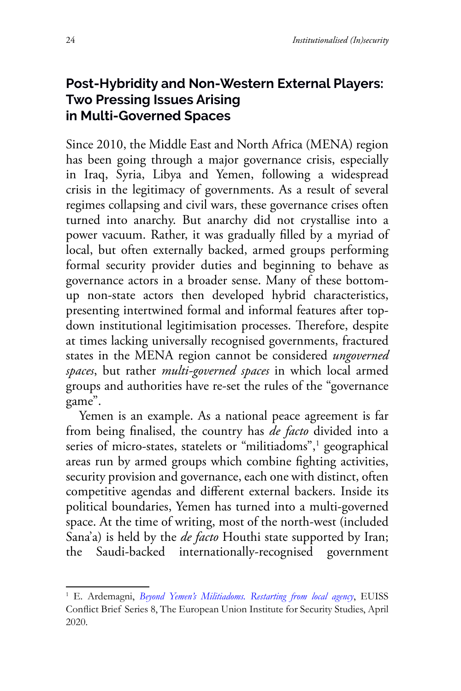#### **Post-Hybridity and Non-Western External Players: Two Pressing Issues Arising in Multi-Governed Spaces**

Since 2010, the Middle East and North Africa (MENA) region has been going through a major governance crisis, especially in Iraq, Syria, Libya and Yemen, following a widespread crisis in the legitimacy of governments. As a result of several regimes collapsing and civil wars, these governance crises often turned into anarchy. But anarchy did not crystallise into a power vacuum. Rather, it was gradually filled by a myriad of local, but often externally backed, armed groups performing formal security provider duties and beginning to behave as governance actors in a broader sense. Many of these bottomup non-state actors then developed hybrid characteristics, presenting intertwined formal and informal features after topdown institutional legitimisation processes. Therefore, despite at times lacking universally recognised governments, fractured states in the MENA region cannot be considered *ungoverned spaces*, but rather *multi-governed spaces* in which local armed groups and authorities have re-set the rules of the "governance game".

Yemen is an example. As a national peace agreement is far from being finalised, the country has *de facto* divided into a series of micro-states, statelets or "militiadoms",<sup>1</sup> geographical areas run by armed groups which combine fighting activities, security provision and governance, each one with distinct, often competitive agendas and different external backers. Inside its political boundaries, Yemen has turned into a multi-governed space. At the time of writing, most of the north-west (included Sana'a) is held by the *de facto* Houthi state supported by Iran; the Saudi-backed internationally-recognised government

<sup>&</sup>lt;sup>1</sup> E. Ardemagni, *Beyond Yemen's Militiadoms*. Restarting from local agency, EUISS Conflict Brief Series 8, The European Union Institute for Security Studies, April 2020.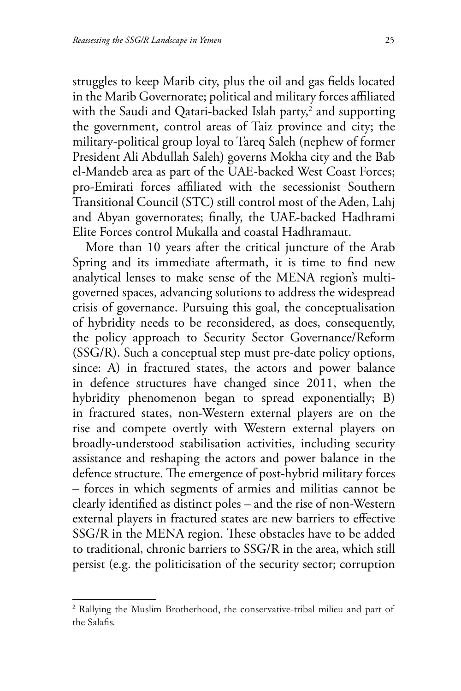struggles to keep Marib city, plus the oil and gas fields located in the Marib Governorate; political and military forces affiliated with the Saudi and Qatari-backed Islah party, $^2$  and supporting the government, control areas of Taiz province and city; the military-political group loyal to Tareq Saleh (nephew of former President Ali Abdullah Saleh) governs Mokha city and the Bab el-Mandeb area as part of the UAE-backed West Coast Forces; pro-Emirati forces affiliated with the secessionist Southern Transitional Council (STC) still control most of the Aden, Lahj and Abyan governorates; finally, the UAE-backed Hadhrami Elite Forces control Mukalla and coastal Hadhramaut.

More than 10 years after the critical juncture of the Arab Spring and its immediate aftermath, it is time to find new analytical lenses to make sense of the MENA region's multigoverned spaces, advancing solutions to address the widespread crisis of governance. Pursuing this goal, the conceptualisation of hybridity needs to be reconsidered, as does, consequently, the policy approach to Security Sector Governance/Reform (SSG/R). Such a conceptual step must pre-date policy options, since: A) in fractured states, the actors and power balance in defence structures have changed since 2011, when the hybridity phenomenon began to spread exponentially; B) in fractured states, non-Western external players are on the rise and compete overtly with Western external players on broadly-understood stabilisation activities, including security assistance and reshaping the actors and power balance in the defence structure. The emergence of post-hybrid military forces – forces in which segments of armies and militias cannot be clearly identified as distinct poles – and the rise of non-Western external players in fractured states are new barriers to effective SSG/R in the MENA region. These obstacles have to be added to traditional, chronic barriers to SSG/R in the area, which still persist (e.g. the politicisation of the security sector; corruption

<sup>&</sup>lt;sup>2</sup> Rallying the Muslim Brotherhood, the conservative-tribal milieu and part of the Salafis.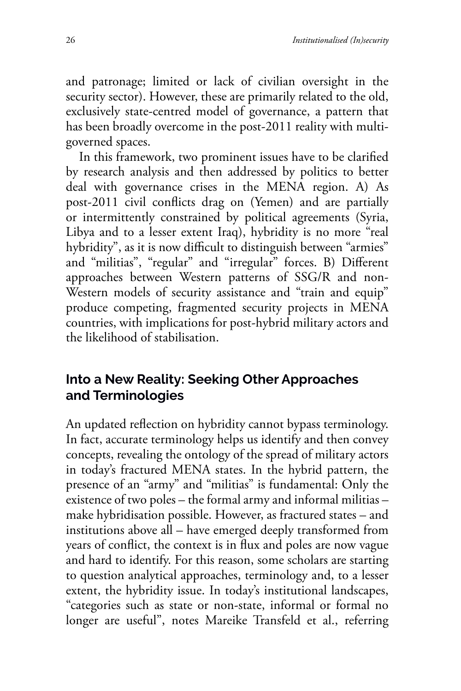and patronage; limited or lack of civilian oversight in the security sector). However, these are primarily related to the old, exclusively state-centred model of governance, a pattern that has been broadly overcome in the post-2011 reality with multigoverned spaces.

In this framework, two prominent issues have to be clarified by research analysis and then addressed by politics to better deal with governance crises in the MENA region. A) As post-2011 civil conflicts drag on (Yemen) and are partially or intermittently constrained by political agreements (Syria, Libya and to a lesser extent Iraq), hybridity is no more "real hybridity", as it is now difficult to distinguish between "armies" and "militias", "regular" and "irregular" forces. B) Different approaches between Western patterns of SSG/R and non-Western models of security assistance and "train and equip" produce competing, fragmented security projects in MENA countries, with implications for post-hybrid military actors and the likelihood of stabilisation.

#### **Into a New Reality: Seeking Other Approaches and Terminologies**

An updated reflection on hybridity cannot bypass terminology. In fact, accurate terminology helps us identify and then convey concepts, revealing the ontology of the spread of military actors in today's fractured MENA states. In the hybrid pattern, the presence of an "army" and "militias" is fundamental: Only the existence of two poles – the formal army and informal militias – make hybridisation possible. However, as fractured states – and institutions above all – have emerged deeply transformed from years of conflict, the context is in flux and poles are now vague and hard to identify. For this reason, some scholars are starting to question analytical approaches, terminology and, to a lesser extent, the hybridity issue. In today's institutional landscapes, "categories such as state or non-state, informal or formal no longer are useful", notes Mareike Transfeld et al., referring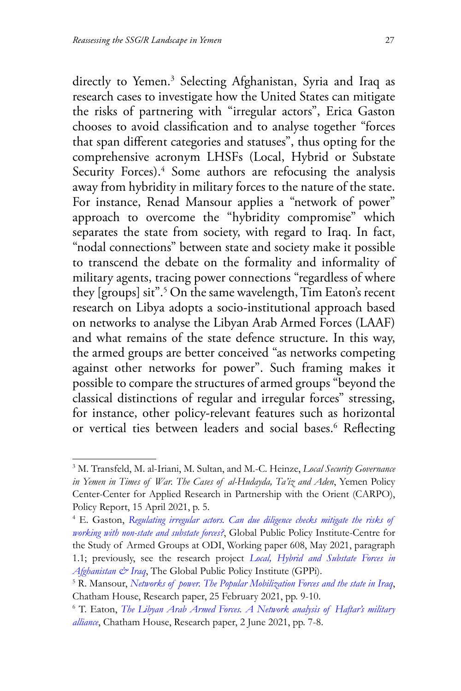directly to Yemen.3 Selecting Afghanistan, Syria and Iraq as research cases to investigate how the United States can mitigate the risks of partnering with "irregular actors", Erica Gaston chooses to avoid classification and to analyse together "forces that span different categories and statuses", thus opting for the comprehensive acronym LHSFs (Local, Hybrid or Substate Security Forces).<sup>4</sup> Some authors are refocusing the analysis away from hybridity in military forces to the nature of the state. For instance, Renad Mansour applies a "network of power" approach to overcome the "hybridity compromise" which separates the state from society, with regard to Iraq. In fact, "nodal connections" between state and society make it possible to transcend the debate on the formality and informality of military agents, tracing power connections "regardless of where they [groups] sit".<sup>5</sup> On the same wavelength, Tim Eaton's recent research on Libya adopts a socio-institutional approach based on networks to analyse the Libyan Arab Armed Forces (LAAF) and what remains of the state defence structure. In this way, the armed groups are better conceived "as networks competing against other networks for power". Such framing makes it possible to compare the structures of armed groups "beyond the classical distinctions of regular and irregular forces" stressing, for instance, other policy-relevant features such as horizontal or vertical ties between leaders and social bases.<sup>6</sup> Reflecting

<sup>3</sup> M. Transfeld, M. al-Iriani, M. Sultan, and M.-C. Heinze, *Local Security Governance in Yemen in Times of War. The Cases of al-Hudayda, Ta'iz and Aden*, Yemen Policy Center-Center for Applied Research in Partnership with the Orient (CARPO), Policy Report, 15 April 2021, p. 5.

<sup>4</sup> E. Gaston, *[Regulating irregular actors. Can due diligence checks mitigate the risks of](https://odi.org/en/publications/regulating-irregular-actors-can-due-diligence-checks-mitigate-the-risks-of-working-with-non-state-and-substate-forces/) [working with non-state and substate forces?](https://odi.org/en/publications/regulating-irregular-actors-can-due-diligence-checks-mitigate-the-risks-of-working-with-non-state-and-substate-forces/)*, Global Public Policy Institute-Centre for the Study of Armed Groups at ODI, Working paper 608, May 2021, paragraph 1.1; previously, see the research project *[Local, Hybrid and Substate Forces in](https://www.gppi.net/media/Project_Backgrounder__2017__Local__Hybrid__and_Sub-State_Forces_in_Afghanistan___Iraq.pdf) [Afghanistan & Iraq](https://www.gppi.net/media/Project_Backgrounder__2017__Local__Hybrid__and_Sub-State_Forces_in_Afghanistan___Iraq.pdf)*, The Global Public Policy Institute (GPPi).

<sup>5</sup> R. Mansour, *[Networks of power. The Popular Mobilization Forces and the state in Iraq](https://www.chathamhouse.org/sites/default/files/2021-02/2021-02-25-networks-of-power-mansour.pdf)*, Chatham House, Research paper, 25 February 2021, pp. 9-10.

<sup>6</sup> T. Eaton, *[The Libyan Arab Armed Forces. A Network analysis of Haftar's military](https://www.chathamhouse.org/2021/06/libyan-arab-armed-forces) [alliance](https://www.chathamhouse.org/2021/06/libyan-arab-armed-forces)*, Chatham House, Research paper, 2 June 2021, pp. 7-8.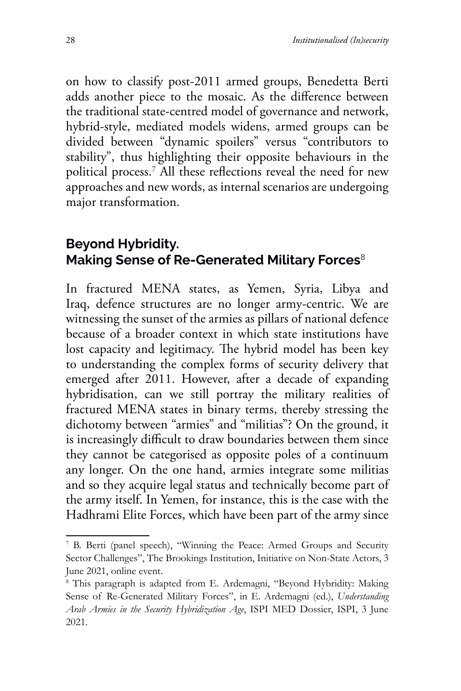on how to classify post-2011 armed groups, Benedetta Berti adds another piece to the mosaic. As the difference between the traditional state-centred model of governance and network, hybrid-style, mediated models widens, armed groups can be divided between "dynamic spoilers" versus "contributors to stability", thus highlighting their opposite behaviours in the political process.7 All these reflections reveal the need for new approaches and new words, as internal scenarios are undergoing major transformation.

#### **Beyond Hybridity. Making Sense of Re-Generated Military Forces**<sup>8</sup>

In fractured MENA states, as Yemen, Syria, Libya and Iraq, defence structures are no longer army-centric. We are witnessing the sunset of the armies as pillars of national defence because of a broader context in which state institutions have lost capacity and legitimacy. The hybrid model has been key to understanding the complex forms of security delivery that emerged after 2011. However, after a decade of expanding hybridisation, can we still portray the military realities of fractured MENA states in binary terms, thereby stressing the dichotomy between "armies" and "militias"? On the ground, it is increasingly difficult to draw boundaries between them since they cannot be categorised as opposite poles of a continuum any longer. On the one hand, armies integrate some militias and so they acquire legal status and technically become part of the army itself. In Yemen, for instance, this is the case with the Hadhrami Elite Forces, which have been part of the army since

<sup>7</sup> B. Berti (panel speech), "Winning the Peace: Armed Groups and Security Sector Challenges", The Brookings Institution, Initiative on Non-State Actors, 3 June 2021, online event.

<sup>8</sup> This paragraph is adapted from E. Ardemagni, "Beyond Hybridity: Making Sense of Re-Generated Military Forces", in E. Ardemagni (ed.), *Understanding Arab Armies in the Security Hybridization Age*, ISPI MED Dossier, ISPI, 3 June 2021.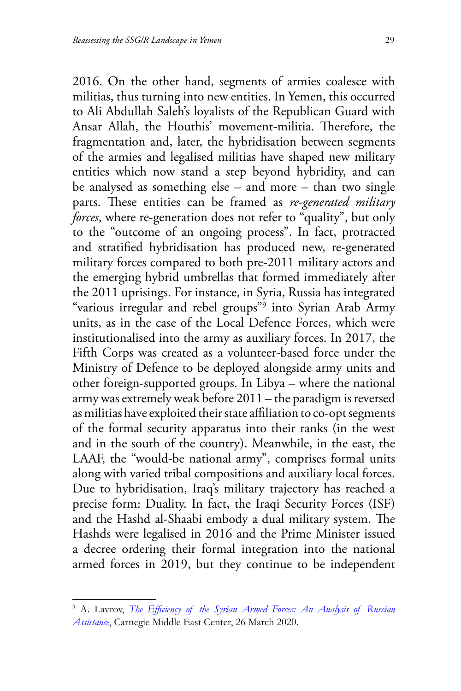2016. On the other hand, segments of armies coalesce with militias, thus turning into new entities. In Yemen, this occurred to Ali Abdullah Saleh's loyalists of the Republican Guard with Ansar Allah, the Houthis' movement-militia. Therefore, the fragmentation and, later, the hybridisation between segments of the armies and legalised militias have shaped new military entities which now stand a step beyond hybridity, and can be analysed as something else – and more – than two single parts. These entities can be framed as *re-generated military forces*, where re-generation does not refer to "quality", but only to the "outcome of an ongoing process". In fact, protracted and stratified hybridisation has produced new, re-generated military forces compared to both pre-2011 military actors and the emerging hybrid umbrellas that formed immediately after the 2011 uprisings. For instance, in Syria, Russia has integrated "various irregular and rebel groups"9 into Syrian Arab Army units, as in the case of the Local Defence Forces, which were institutionalised into the army as auxiliary forces. In 2017, the Fifth Corps was created as a volunteer-based force under the Ministry of Defence to be deployed alongside army units and other foreign-supported groups. In Libya – where the national army was extremely weak before 2011 – the paradigm is reversed as militias have exploited their state affiliation to co-opt segments of the formal security apparatus into their ranks (in the west and in the south of the country). Meanwhile, in the east, the LAAF, the "would-be national army", comprises formal units along with varied tribal compositions and auxiliary local forces. Due to hybridisation, Iraq's military trajectory has reached a precise form: Duality. In fact, the Iraqi Security Forces (ISF) and the Hashd al-Shaabi embody a dual military system. The Hashds were legalised in 2016 and the Prime Minister issued a decree ordering their formal integration into the national armed forces in 2019, but they continue to be independent

<sup>9</sup> A. Lavrov, *[The Efficiency of the Syrian Armed](https://carnegie-mec.org/2020/03/26/efficiency-of-syrian-armed-forces-analysis-of-russian-assistance-pub-81150) Forces: An Analysis of Russian [Assistance](https://carnegie-mec.org/2020/03/26/efficiency-of-syrian-armed-forces-analysis-of-russian-assistance-pub-81150)*, Carnegie Middle East Center, 26 March 2020.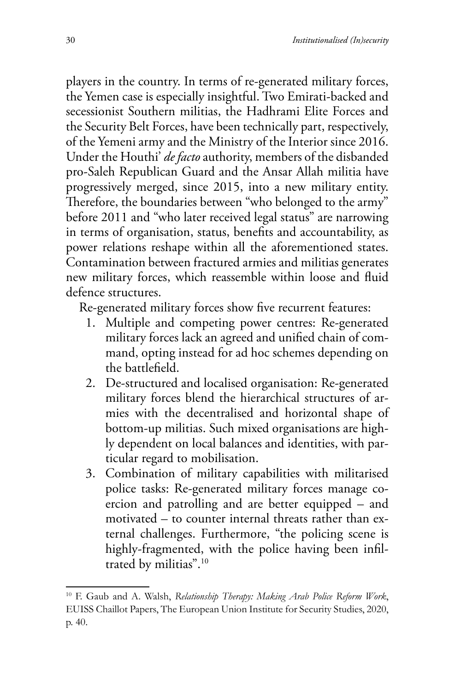players in the country. In terms of re-generated military forces, the Yemen case is especially insightful. Two Emirati-backed and secessionist Southern militias, the Hadhrami Elite Forces and the Security Belt Forces, have been technically part, respectively, of the Yemeni army and the Ministry of the Interior since 2016. Under the Houthi' *de facto* authority, members of the disbanded pro-Saleh Republican Guard and the Ansar Allah militia have progressively merged, since 2015, into a new military entity. Therefore, the boundaries between "who belonged to the army" before 2011 and "who later received legal status" are narrowing in terms of organisation, status, benefits and accountability, as power relations reshape within all the aforementioned states. Contamination between fractured armies and militias generates new military forces, which reassemble within loose and fluid defence structures.

Re-generated military forces show five recurrent features:

- 1. Multiple and competing power centres: Re-generated military forces lack an agreed and unified chain of command, opting instead for ad hoc schemes depending on the battlefield.
- 2. De-structured and localised organisation: Re-generated military forces blend the hierarchical structures of armies with the decentralised and horizontal shape of bottom-up militias. Such mixed organisations are highly dependent on local balances and identities, with particular regard to mobilisation.
- 3. Combination of military capabilities with militarised police tasks: Re-generated military forces manage coercion and patrolling and are better equipped – and motivated – to counter internal threats rather than external challenges. Furthermore, "the policing scene is highly-fragmented, with the police having been infiltrated by militias".10

<sup>10</sup> F. Gaub and A. Walsh, *Relationship Therapy: Making Arab Police Reform Work*, EUISS Chaillot Papers, The European Union Institute for Security Studies, 2020, p. 40.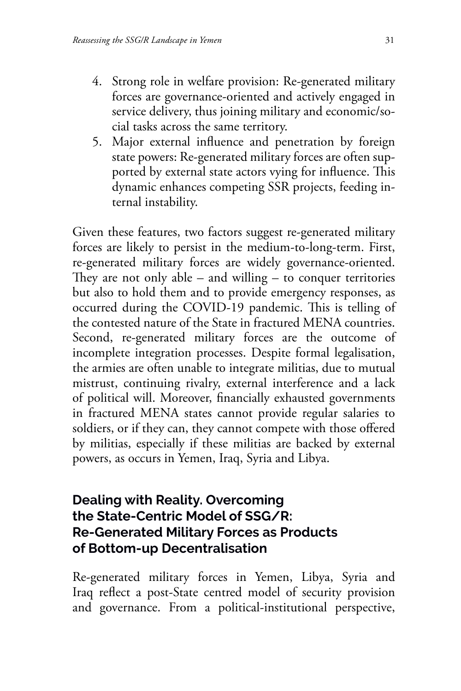- 4. Strong role in welfare provision: Re-generated military forces are governance-oriented and actively engaged in service delivery, thus joining military and economic/social tasks across the same territory.
- 5. Major external influence and penetration by foreign state powers: Re-generated military forces are often supported by external state actors vying for influence. This dynamic enhances competing SSR projects, feeding internal instability.

Given these features, two factors suggest re-generated military forces are likely to persist in the medium-to-long-term. First, re-generated military forces are widely governance-oriented. They are not only able – and willing – to conquer territories but also to hold them and to provide emergency responses, as occurred during the COVID-19 pandemic. This is telling of the contested nature of the State in fractured MENA countries. Second, re-generated military forces are the outcome of incomplete integration processes. Despite formal legalisation, the armies are often unable to integrate militias, due to mutual mistrust, continuing rivalry, external interference and a lack of political will. Moreover, financially exhausted governments in fractured MENA states cannot provide regular salaries to soldiers, or if they can, they cannot compete with those offered by militias, especially if these militias are backed by external powers, as occurs in Yemen, Iraq, Syria and Libya.

#### **Dealing with Reality. Overcoming the State-Centric Model of SSG/R: Re-Generated Military Forces as Products of Bottom-up Decentralisation**

Re-generated military forces in Yemen, Libya, Syria and Iraq reflect a post-State centred model of security provision and governance. From a political-institutional perspective,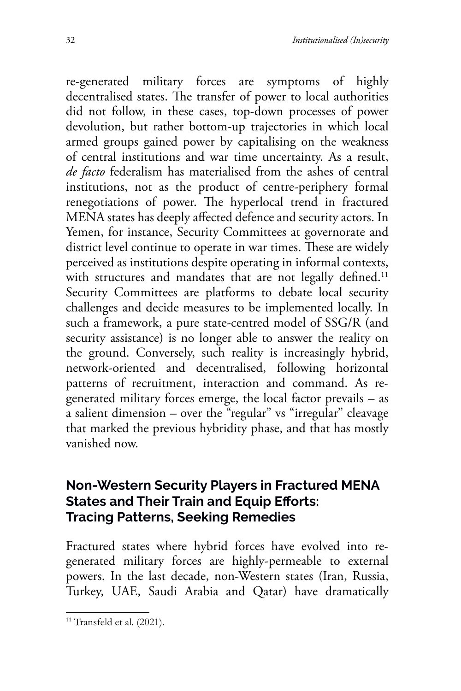re-generated military forces are symptoms of highly decentralised states. The transfer of power to local authorities did not follow, in these cases, top-down processes of power devolution, but rather bottom-up trajectories in which local armed groups gained power by capitalising on the weakness of central institutions and war time uncertainty. As a result, *de facto* federalism has materialised from the ashes of central institutions, not as the product of centre-periphery formal renegotiations of power. The hyperlocal trend in fractured MENA states has deeply affected defence and security actors. In Yemen, for instance, Security Committees at governorate and district level continue to operate in war times. These are widely perceived as institutions despite operating in informal contexts, with structures and mandates that are not legally defined.<sup>11</sup> Security Committees are platforms to debate local security challenges and decide measures to be implemented locally. In such a framework, a pure state-centred model of SSG/R (and security assistance) is no longer able to answer the reality on the ground. Conversely, such reality is increasingly hybrid, network-oriented and decentralised, following horizontal patterns of recruitment, interaction and command. As regenerated military forces emerge, the local factor prevails – as a salient dimension – over the "regular" vs "irregular" cleavage that marked the previous hybridity phase, and that has mostly vanished now.

#### **Non-Western Security Players in Fractured MENA States and Their Train and Equip Efforts: Tracing Patterns, Seeking Remedies**

Fractured states where hybrid forces have evolved into regenerated military forces are highly-permeable to external powers. In the last decade, non-Western states (Iran, Russia, Turkey, UAE, Saudi Arabia and Qatar) have dramatically

 $11$  Transfeld et al. (2021).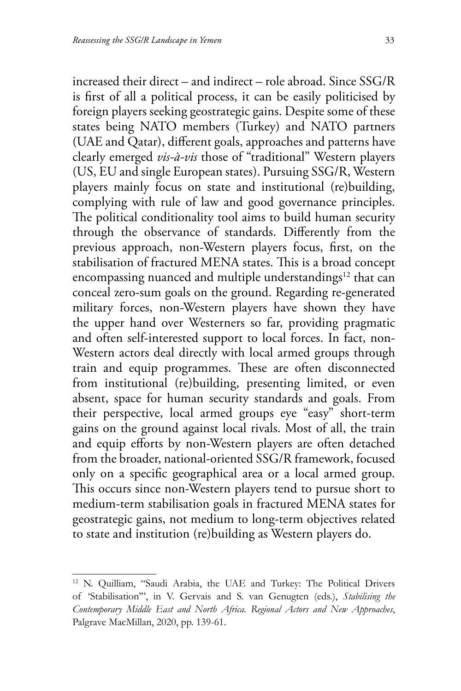increased their direct – and indirect – role abroad. Since SSG/R is first of all a political process, it can be easily politicised by foreign players seeking geostrategic gains. Despite some of these states being NATO members (Turkey) and NATO partners (UAE and Qatar), different goals, approaches and patterns have clearly emerged *vis-à-vis* those of "traditional" Western players (US, EU and single European states). Pursuing SSG/R, Western players mainly focus on state and institutional (re)building, complying with rule of law and good governance principles. The political conditionality tool aims to build human security through the observance of standards. Differently from the previous approach, non-Western players focus, first, on the stabilisation of fractured MENA states. This is a broad concept encompassing nuanced and multiple understandings<sup>12</sup> that can conceal zero-sum goals on the ground. Regarding re-generated military forces, non-Western players have shown they have the upper hand over Westerners so far, providing pragmatic and often self-interested support to local forces. In fact, non-Western actors deal directly with local armed groups through train and equip programmes. These are often disconnected from institutional (re)building, presenting limited, or even absent, space for human security standards and goals. From their perspective, local armed groups eye "easy" short-term gains on the ground against local rivals. Most of all, the train and equip efforts by non-Western players are often detached from the broader, national-oriented SSG/R framework, focused only on a specific geographical area or a local armed group. This occurs since non-Western players tend to pursue short to medium-term stabilisation goals in fractured MENA states for geostrategic gains, not medium to long-term objectives related to state and institution (re)building as Western players do.

<sup>12</sup> N. Quilliam, "Saudi Arabia, the UAE and Turkey: The Political Drivers of 'Stabilisation'", in V. Gervais and S. van Genugten (eds.), *Stabilising the Contemporary Middle East and North Africa. Regional Actors and New Approaches*, Palgrave MacMillan, 2020, pp. 139-61.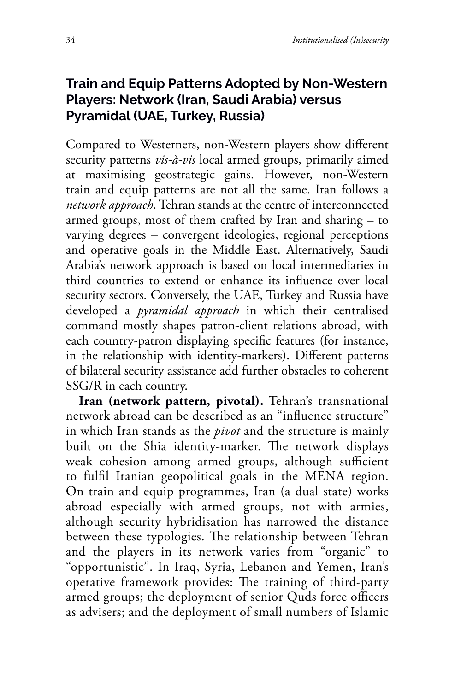#### **Train and Equip Patterns Adopted by Non-Western Players: Network (Iran, Saudi Arabia) versus Pyramidal (UAE, Turkey, Russia)**

Compared to Westerners, non-Western players show different security patterns *vis-à-vis* local armed groups, primarily aimed at maximising geostrategic gains. However, non-Western train and equip patterns are not all the same. Iran follows a *network approach*. Tehran stands at the centre of interconnected armed groups, most of them crafted by Iran and sharing – to varying degrees – convergent ideologies, regional perceptions and operative goals in the Middle East. Alternatively, Saudi Arabia's network approach is based on local intermediaries in third countries to extend or enhance its influence over local security sectors. Conversely, the UAE, Turkey and Russia have developed a *pyramidal approach* in which their centralised command mostly shapes patron-client relations abroad, with each country-patron displaying specific features (for instance, in the relationship with identity-markers). Different patterns of bilateral security assistance add further obstacles to coherent SSG/R in each country.

**Iran (network pattern, pivotal).** Tehran's transnational network abroad can be described as an "influence structure" in which Iran stands as the *pivot* and the structure is mainly built on the Shia identity-marker. The network displays weak cohesion among armed groups, although sufficient to fulfil Iranian geopolitical goals in the MENA region. On train and equip programmes, Iran (a dual state) works abroad especially with armed groups, not with armies, although security hybridisation has narrowed the distance between these typologies. The relationship between Tehran and the players in its network varies from "organic" to "opportunistic". In Iraq, Syria, Lebanon and Yemen, Iran's operative framework provides: The training of third-party armed groups; the deployment of senior Quds force officers as advisers; and the deployment of small numbers of Islamic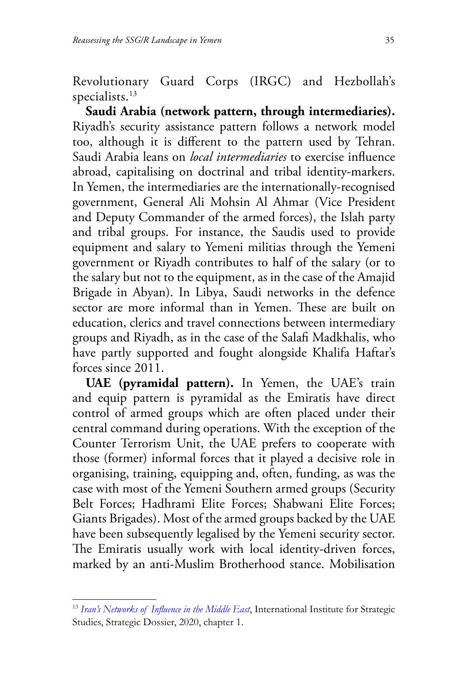Revolutionary Guard Corps (IRGC) and Hezbollah's specialists.<sup>13</sup>

**Saudi Arabia (network pattern, through intermediaries).** Riyadh's security assistance pattern follows a network model too, although it is different to the pattern used by Tehran. Saudi Arabia leans on *local intermediaries* to exercise influence abroad, capitalising on doctrinal and tribal identity-markers. In Yemen, the intermediaries are the internationally-recognised government, General Ali Mohsin Al Ahmar (Vice President and Deputy Commander of the armed forces), the Islah party and tribal groups. For instance, the Saudis used to provide equipment and salary to Yemeni militias through the Yemeni government or Riyadh contributes to half of the salary (or to the salary but not to the equipment, as in the case of the Amajid Brigade in Abyan). In Libya, Saudi networks in the defence sector are more informal than in Yemen. These are built on education, clerics and travel connections between intermediary groups and Riyadh, as in the case of the Salafi Madkhalis, who have partly supported and fought alongside Khalifa Haftar's forces since 2011.

**UAE (pyramidal pattern).** In Yemen, the UAE's train and equip pattern is pyramidal as the Emiratis have direct control of armed groups which are often placed under their central command during operations. With the exception of the Counter Terrorism Unit, the UAE prefers to cooperate with those (former) informal forces that it played a decisive role in organising, training, equipping and, often, funding, as was the case with most of the Yemeni Southern armed groups (Security Belt Forces; Hadhrami Elite Forces; Shabwani Elite Forces; Giants Brigades). Most of the armed groups backed by the UAE have been subsequently legalised by the Yemeni security sector. The Emiratis usually work with local identity-driven forces, marked by an anti-Muslim Brotherhood stance. Mobilisation

<sup>13</sup> *[Iran's Networks of Influence in the Middle East](https://www.iiss.org/publications/strategic-dossiers/iran-dossier)*, International Institute for Strategic Studies, Strategic Dossier, 2020, chapter 1.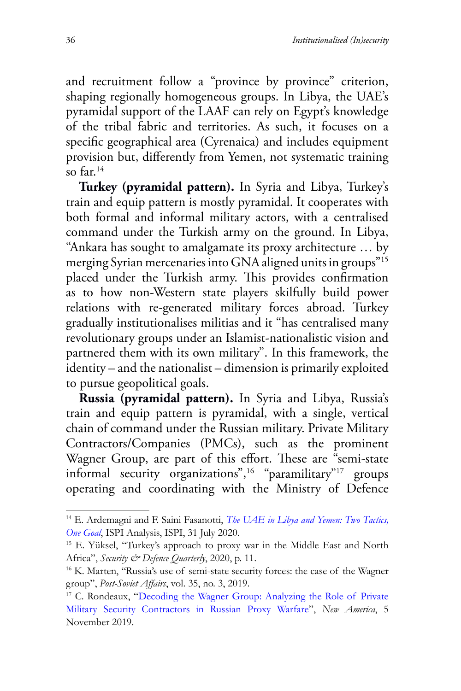and recruitment follow a "province by province" criterion, shaping regionally homogeneous groups. In Libya, the UAE's pyramidal support of the LAAF can rely on Egypt's knowledge of the tribal fabric and territories. As such, it focuses on a specific geographical area (Cyrenaica) and includes equipment provision but, differently from Yemen, not systematic training so far.14

**Turkey (pyramidal pattern).** In Syria and Libya, Turkey's train and equip pattern is mostly pyramidal. It cooperates with both formal and informal military actors, with a centralised command under the Turkish army on the ground. In Libya, "Ankara has sought to amalgamate its proxy architecture … by merging Syrian mercenaries into GNA aligned units in groups"15 placed under the Turkish army. This provides confirmation as to how non-Western state players skilfully build power relations with re-generated military forces abroad. Turkey gradually institutionalises militias and it "has centralised many revolutionary groups under an Islamist-nationalistic vision and partnered them with its own military". In this framework, the identity – and the nationalist – dimension is primarily exploited to pursue geopolitical goals.

**Russia (pyramidal pattern).** In Syria and Libya, Russia's train and equip pattern is pyramidal, with a single, vertical chain of command under the Russian military. Private Military Contractors/Companies (PMCs), such as the prominent Wagner Group, are part of this effort. These are "semi-state informal security organizations",16 "paramilitary"17 groups operating and coordinating with the Ministry of Defence

<sup>14</sup> E. Ardemagni and F. Saini Fasanotti, *[The UAE in Libya and Yemen: Two Tactics,](https://www.ispionline.it/it/pubblicazione/uae-libya-and-yemen-different-tactics-one-goal-27138) [One Goal](https://www.ispionline.it/it/pubblicazione/uae-libya-and-yemen-different-tactics-one-goal-27138)*, ISPI Analysis, ISPI, 31 July 2020.

<sup>15</sup> E. Yüksel, "Turkey's approach to proxy war in the Middle East and North Africa", *Security & Defence Quarterly*, 2020, p. 11.

<sup>16</sup> K. Marten, "Russia's use of semi-state security forces: the case of the Wagner group", *Post-Soviet Affairs*, vol. 35, no. 3, 2019.

<sup>&</sup>lt;sup>17</sup> C. Rondeaux, ["Decoding the Wagner Group: Analyzing the Role of Private](https://www.newamerica.org/international-security/reports/decoding-wagner-group-analyzing-role-private-military-security-contractors-russian-proxy-warfare/) [Military Security Contractors in Russian Proxy Warfare](https://www.newamerica.org/international-security/reports/decoding-wagner-group-analyzing-role-private-military-security-contractors-russian-proxy-warfare/)", *New America*, 5 November 2019.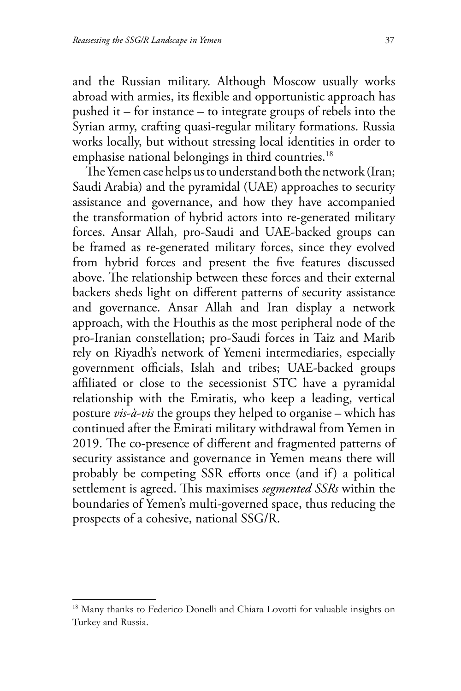and the Russian military. Although Moscow usually works abroad with armies, its flexible and opportunistic approach has pushed it – for instance – to integrate groups of rebels into the Syrian army, crafting quasi-regular military formations. Russia works locally, but without stressing local identities in order to emphasise national belongings in third countries.<sup>18</sup>

The Yemen case helps us to understand both the network (Iran; Saudi Arabia) and the pyramidal (UAE) approaches to security assistance and governance, and how they have accompanied the transformation of hybrid actors into re-generated military forces. Ansar Allah, pro-Saudi and UAE-backed groups can be framed as re-generated military forces, since they evolved from hybrid forces and present the five features discussed above. The relationship between these forces and their external backers sheds light on different patterns of security assistance and governance. Ansar Allah and Iran display a network approach, with the Houthis as the most peripheral node of the pro-Iranian constellation; pro-Saudi forces in Taiz and Marib rely on Riyadh's network of Yemeni intermediaries, especially government officials, Islah and tribes; UAE-backed groups affiliated or close to the secessionist STC have a pyramidal relationship with the Emiratis, who keep a leading, vertical posture *vis-à-vis* the groups they helped to organise – which has continued after the Emirati military withdrawal from Yemen in 2019. The co-presence of different and fragmented patterns of security assistance and governance in Yemen means there will probably be competing SSR efforts once (and if) a political settlement is agreed. This maximises *segmented SSRs* within the boundaries of Yemen's multi-governed space, thus reducing the prospects of a cohesive, national SSG/R.

<sup>18</sup> Many thanks to Federico Donelli and Chiara Lovotti for valuable insights on Turkey and Russia.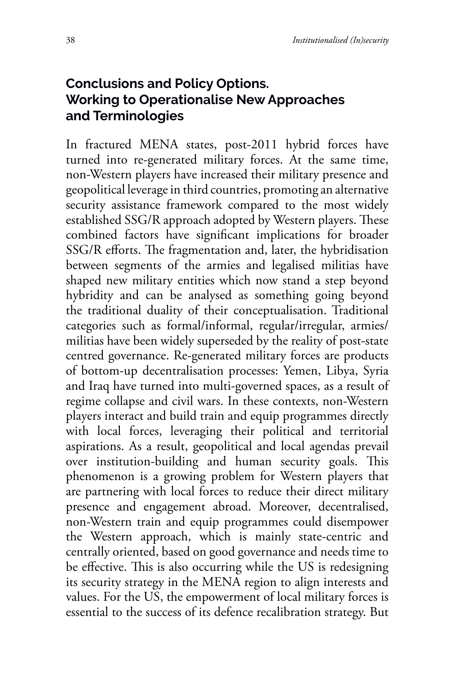## **Conclusions and Policy Options. Working to Operationalise New Approaches and Terminologies**

In fractured MENA states, post-2011 hybrid forces have turned into re-generated military forces. At the same time, non-Western players have increased their military presence and geopolitical leverage in third countries, promoting an alternative security assistance framework compared to the most widely established SSG/R approach adopted by Western players. These combined factors have significant implications for broader SSG/R efforts. The fragmentation and, later, the hybridisation between segments of the armies and legalised militias have shaped new military entities which now stand a step beyond hybridity and can be analysed as something going beyond the traditional duality of their conceptualisation. Traditional categories such as formal/informal, regular/irregular, armies/ militias have been widely superseded by the reality of post-state centred governance. Re-generated military forces are products of bottom-up decentralisation processes: Yemen, Libya, Syria and Iraq have turned into multi-governed spaces, as a result of regime collapse and civil wars. In these contexts, non-Western players interact and build train and equip programmes directly with local forces, leveraging their political and territorial aspirations. As a result, geopolitical and local agendas prevail over institution-building and human security goals. This phenomenon is a growing problem for Western players that are partnering with local forces to reduce their direct military presence and engagement abroad. Moreover, decentralised, non-Western train and equip programmes could disempower the Western approach, which is mainly state-centric and centrally oriented, based on good governance and needs time to be effective. This is also occurring while the US is redesigning its security strategy in the MENA region to align interests and values. For the US, the empowerment of local military forces is essential to the success of its defence recalibration strategy. But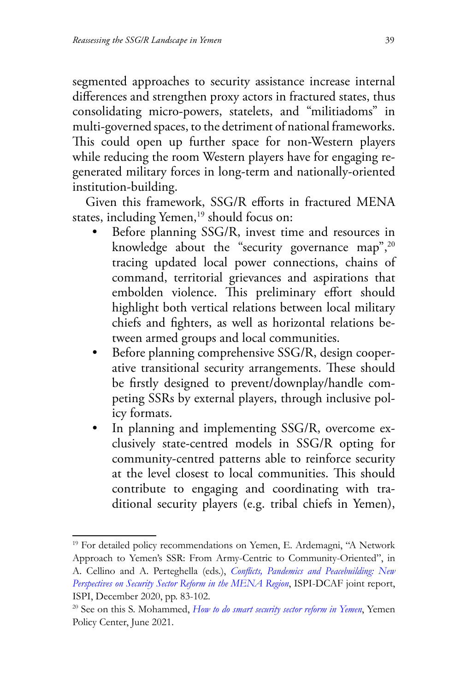segmented approaches to security assistance increase internal differences and strengthen proxy actors in fractured states, thus consolidating micro-powers, statelets, and "militiadoms" in multi-governed spaces, to the detriment of national frameworks. This could open up further space for non-Western players while reducing the room Western players have for engaging regenerated military forces in long-term and nationally-oriented institution-building.

Given this framework, SSG/R efforts in fractured MENA states, including Yemen,<sup>19</sup> should focus on:

- Before planning SSG/R, invest time and resources in knowledge about the "security governance map", $20$ tracing updated local power connections, chains of command, territorial grievances and aspirations that embolden violence. This preliminary effort should highlight both vertical relations between local military chiefs and fighters, as well as horizontal relations between armed groups and local communities.
- Before planning comprehensive SSG/R, design cooperative transitional security arrangements. These should be firstly designed to prevent/downplay/handle competing SSRs by external players, through inclusive policy formats.
- In planning and implementing SSG/R, overcome exclusively state-centred models in SSG/R opting for community-centred patterns able to reinforce security at the level closest to local communities. This should contribute to engaging and coordinating with traditional security players (e.g. tribal chiefs in Yemen),

<sup>&</sup>lt;sup>19</sup> For detailed policy recommendations on Yemen, E. Ardemagni, "A Network Approach to Yemen's SSR: From Army-Centric to Community-Oriented", in A. Cellino and A. Perteghella (eds.), *Conflicts[, Pandemics and Peacebuilding: New](https://www.ispionline.it/it/pubblicazione/conflicts-pandemics-and-peacebuilding-new-perspectives-security-sector-reform-mena-region-28412) [Perspectives on Security Sector Reform in the MENA Region](https://www.ispionline.it/it/pubblicazione/conflicts-pandemics-and-peacebuilding-new-perspectives-security-sector-reform-mena-region-28412)*, ISPI-DCAF joint report, ISPI, December 2020, pp. 83-102.

<sup>20</sup> See on this S. Mohammed, *[How to do smart security sector reform in Yemen](https://www.yemenpolicy.org/how-to-do-smart-security-sector-reform-in-yemen/)*, Yemen Policy Center, June 2021.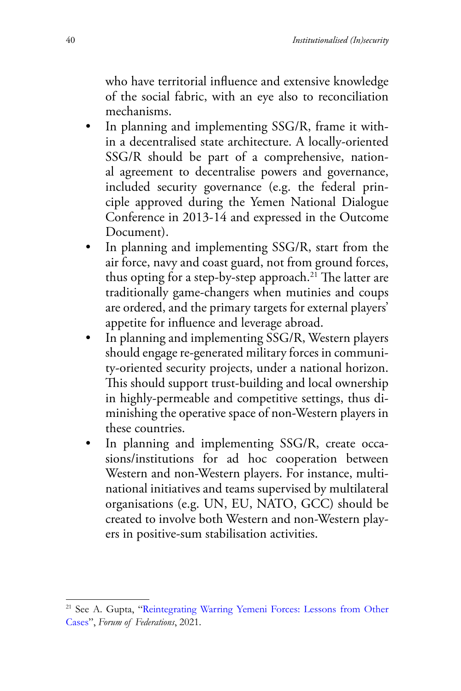who have territorial influence and extensive knowledge of the social fabric, with an eye also to reconciliation mechanisms.

- In planning and implementing SSG/R, frame it within a decentralised state architecture. A locally-oriented SSG/R should be part of a comprehensive, national agreement to decentralise powers and governance, included security governance (e.g. the federal principle approved during the Yemen National Dialogue Conference in 2013-14 and expressed in the Outcome Document).
- In planning and implementing SSG/R, start from the air force, navy and coast guard, not from ground forces, thus opting for a step-by-step approach.<sup>21</sup> The latter are traditionally game-changers when mutinies and coups are ordered, and the primary targets for external players' appetite for influence and leverage abroad.
- In planning and implementing SSG/R, Western players should engage re-generated military forces in community-oriented security projects, under a national horizon. This should support trust-building and local ownership in highly-permeable and competitive settings, thus diminishing the operative space of non-Western players in these countries.
- In planning and implementing SSG/R, create occasions/institutions for ad hoc cooperation between Western and non-Western players. For instance, multinational initiatives and teams supervised by multilateral organisations (e.g. UN, EU, NATO, GCC) should be created to involve both Western and non-Western players in positive-sum stabilisation activities.

<sup>21</sup> See A. Gupta, "[Reintegrating Warring Yemeni Forces](http://www.forumfed.org/publications/reintegrating-warring-yemeni-forces-lessons-from-other-cases/): Lessons from Other [Cases](http://www.forumfed.org/publications/reintegrating-warring-yemeni-forces-lessons-from-other-cases/)", *Forum of Federations*, 2021.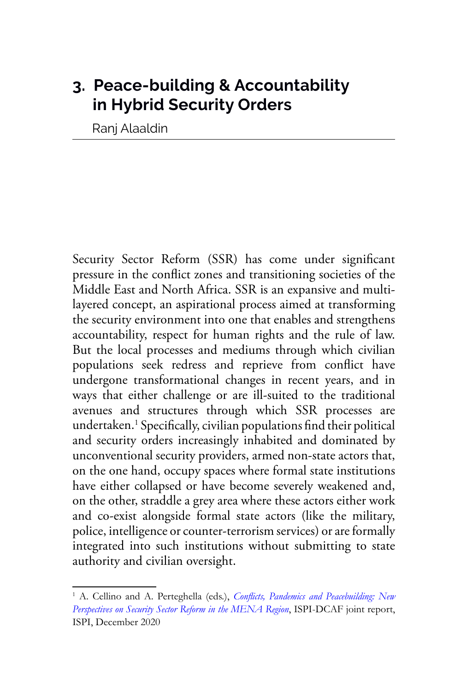# **3. Peace-building & Accountability in Hybrid Security Orders**

Ranj Alaaldin

Security Sector Reform (SSR) has come under significant pressure in the conflict zones and transitioning societies of the Middle East and North Africa. SSR is an expansive and multilayered concept, an aspirational process aimed at transforming the security environment into one that enables and strengthens accountability, respect for human rights and the rule of law. But the local processes and mediums through which civilian populations seek redress and reprieve from conflict have undergone transformational changes in recent years, and in ways that either challenge or are ill-suited to the traditional avenues and structures through which SSR processes are undertaken.1 Specifically, civilian populations find their political and security orders increasingly inhabited and dominated by unconventional security providers, armed non-state actors that, on the one hand, occupy spaces where formal state institutions have either collapsed or have become severely weakened and, on the other, straddle a grey area where these actors either work and co-exist alongside formal state actors (like the military, police, intelligence or counter-terrorism services) or are formally integrated into such institutions without submitting to state authority and civilian oversight.

<sup>&</sup>lt;sup>1</sup> A. Cellino and A. Perteghella (eds.), *[Conflicts, Pandemics and Peacebuilding:](https://www.ispionline.it/it/pubblicazione/conflicts-pandemics-and-peacebuilding-new-perspectives-security-sector-reform-mena-region-28412) New [Perspectives on Security Sector Reform in the MENA Region](https://www.ispionline.it/it/pubblicazione/conflicts-pandemics-and-peacebuilding-new-perspectives-security-sector-reform-mena-region-28412)*, ISPI-DCAF joint report, ISPI, December 2020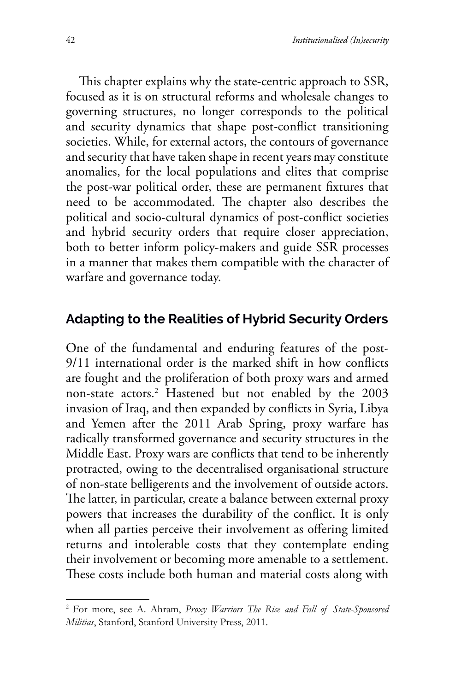This chapter explains why the state-centric approach to SSR, focused as it is on structural reforms and wholesale changes to governing structures, no longer corresponds to the political and security dynamics that shape post-conflict transitioning societies. While, for external actors, the contours of governance and security that have taken shape in recent years may constitute anomalies, for the local populations and elites that comprise the post-war political order, these are permanent fixtures that need to be accommodated. The chapter also describes the political and socio-cultural dynamics of post-conflict societies and hybrid security orders that require closer appreciation, both to better inform policy-makers and guide SSR processes in a manner that makes them compatible with the character of warfare and governance today.

## **Adapting to the Realities of Hybrid Security Orders**

One of the fundamental and enduring features of the post-9/11 international order is the marked shift in how conflicts are fought and the proliferation of both proxy wars and armed non-state actors.2 Hastened but not enabled by the 2003 invasion of Iraq, and then expanded by conflicts in Syria, Libya and Yemen after the 2011 Arab Spring, proxy warfare has radically transformed governance and security structures in the Middle East. Proxy wars are conflicts that tend to be inherently protracted, owing to the decentralised organisational structure of non-state belligerents and the involvement of outside actors. The latter, in particular, create a balance between external proxy powers that increases the durability of the conflict. It is only when all parties perceive their involvement as offering limited returns and intolerable costs that they contemplate ending their involvement or becoming more amenable to a settlement. These costs include both human and material costs along with

<sup>2</sup> For more, see A. Ahram, *Proxy Warriors The Rise and Fall of State-Sponsored Militias*, Stanford, Stanford University Press, 2011.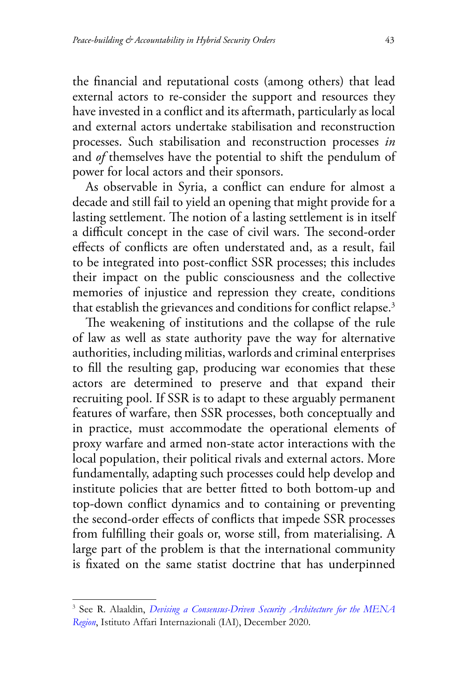the financial and reputational costs (among others) that lead external actors to re-consider the support and resources they have invested in a conflict and its aftermath, particularly as local and external actors undertake stabilisation and reconstruction processes. Such stabilisation and reconstruction processes *in* and *of* themselves have the potential to shift the pendulum of power for local actors and their sponsors.

As observable in Syria, a conflict can endure for almost a decade and still fail to yield an opening that might provide for a lasting settlement. The notion of a lasting settlement is in itself a difficult concept in the case of civil wars. The second-order effects of conflicts are often understated and, as a result, fail to be integrated into post-conflict SSR processes; this includes their impact on the public consciousness and the collective memories of injustice and repression they create, conditions that establish the grievances and conditions for conflict relapse.<sup>3</sup>

The weakening of institutions and the collapse of the rule of law as well as state authority pave the way for alternative authorities, including militias, warlords and criminal enterprises to fill the resulting gap, producing war economies that these actors are determined to preserve and that expand their recruiting pool. If SSR is to adapt to these arguably permanent features of warfare, then SSR processes, both conceptually and in practice, must accommodate the operational elements of proxy warfare and armed non-state actor interactions with the local population, their political rivals and external actors. More fundamentally, adapting such processes could help develop and institute policies that are better fitted to both bottom-up and top-down conflict dynamics and to containing or preventing the second-order effects of conflicts that impede SSR processes from fulfilling their goals or, worse still, from materialising. A large part of the problem is that the international community is fixated on the same statist doctrine that has underpinned

<sup>3</sup> See R. Alaaldin, *[Devising a Consensus-Driven Security Architecture for the MENA](https://www.iai.it/en/pubblicazioni/devising-consensus-driven-security-architecture-mena-region) [Region](https://www.iai.it/en/pubblicazioni/devising-consensus-driven-security-architecture-mena-region)*, Istituto Affari Internazionali (IAI), December 2020.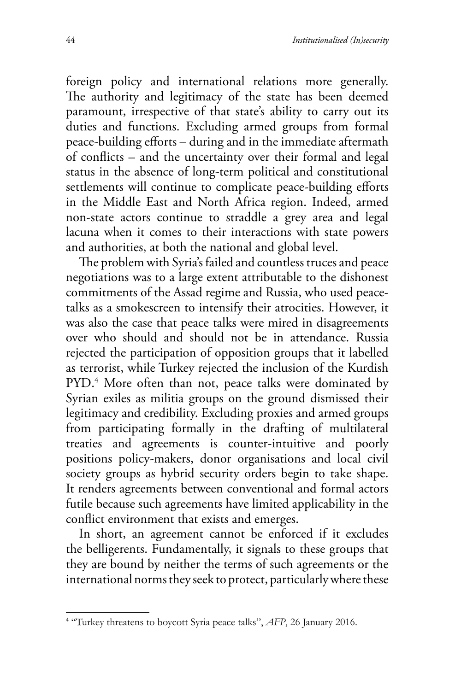foreign policy and international relations more generally. The authority and legitimacy of the state has been deemed paramount, irrespective of that state's ability to carry out its duties and functions. Excluding armed groups from formal peace-building efforts – during and in the immediate aftermath of conflicts – and the uncertainty over their formal and legal status in the absence of long-term political and constitutional settlements will continue to complicate peace-building efforts in the Middle East and North Africa region. Indeed, armed non-state actors continue to straddle a grey area and legal lacuna when it comes to their interactions with state powers and authorities, at both the national and global level.

The problem with Syria's failed and countless truces and peace negotiations was to a large extent attributable to the dishonest commitments of the Assad regime and Russia, who used peacetalks as a smokescreen to intensify their atrocities. However, it was also the case that peace talks were mired in disagreements over who should and should not be in attendance. Russia rejected the participation of opposition groups that it labelled as terrorist, while Turkey rejected the inclusion of the Kurdish PYD.4 More often than not, peace talks were dominated by Syrian exiles as militia groups on the ground dismissed their legitimacy and credibility. Excluding proxies and armed groups from participating formally in the drafting of multilateral treaties and agreements is counter-intuitive and poorly positions policy-makers, donor organisations and local civil society groups as hybrid security orders begin to take shape. It renders agreements between conventional and formal actors futile because such agreements have limited applicability in the conflict environment that exists and emerges.

In short, an agreement cannot be enforced if it excludes the belligerents. Fundamentally, it signals to these groups that they are bound by neither the terms of such agreements or the international norms they seek to protect, particularly where these

<sup>&</sup>lt;sup>4</sup> "Turkey threatens to boycott Syria peace talks", AFP, 26 January 2016.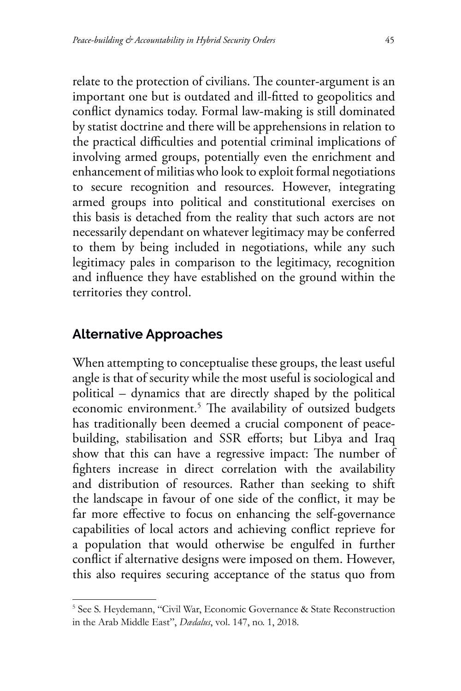relate to the protection of civilians. The counter-argument is an important one but is outdated and ill-fitted to geopolitics and conflict dynamics today. Formal law-making is still dominated by statist doctrine and there will be apprehensions in relation to the practical difficulties and potential criminal implications of involving armed groups, potentially even the enrichment and enhancement of militias who look to exploit formal negotiations to secure recognition and resources. However, integrating armed groups into political and constitutional exercises on this basis is detached from the reality that such actors are not necessarily dependant on whatever legitimacy may be conferred to them by being included in negotiations, while any such legitimacy pales in comparison to the legitimacy, recognition and influence they have established on the ground within the territories they control.

## **Alternative Approaches**

When attempting to conceptualise these groups, the least useful angle is that of security while the most useful is sociological and political – dynamics that are directly shaped by the political economic environment.5 The availability of outsized budgets has traditionally been deemed a crucial component of peacebuilding, stabilisation and SSR efforts; but Libya and Iraq show that this can have a regressive impact: The number of fighters increase in direct correlation with the availability and distribution of resources. Rather than seeking to shift the landscape in favour of one side of the conflict, it may be far more effective to focus on enhancing the self-governance capabilities of local actors and achieving conflict reprieve for a population that would otherwise be engulfed in further conflict if alternative designs were imposed on them. However, this also requires securing acceptance of the status quo from

<sup>&</sup>lt;sup>5</sup> See S. Heydemann, "Civil War, Economic Governance & State Reconstruction in the Arab Middle East", *Dædalus*, vol. 147, no. 1, 2018.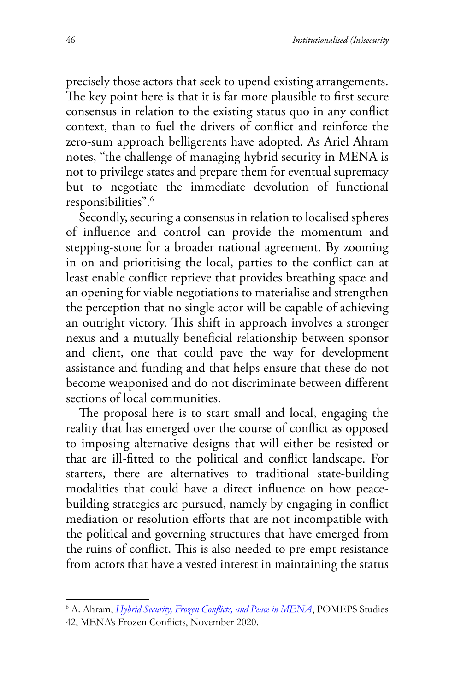precisely those actors that seek to upend existing arrangements. The key point here is that it is far more plausible to first secure consensus in relation to the existing status quo in any conflict context, than to fuel the drivers of conflict and reinforce the zero-sum approach belligerents have adopted. As Ariel Ahram notes, "the challenge of managing hybrid security in MENA is not to privilege states and prepare them for eventual supremacy but to negotiate the immediate devolution of functional responsibilities".6

Secondly, securing a consensus in relation to localised spheres of influence and control can provide the momentum and stepping-stone for a broader national agreement. By zooming in on and prioritising the local, parties to the conflict can at least enable conflict reprieve that provides breathing space and an opening for viable negotiations to materialise and strengthen the perception that no single actor will be capable of achieving an outright victory. This shift in approach involves a stronger nexus and a mutually beneficial relationship between sponsor and client, one that could pave the way for development assistance and funding and that helps ensure that these do not become weaponised and do not discriminate between different sections of local communities.

The proposal here is to start small and local, engaging the reality that has emerged over the course of conflict as opposed to imposing alternative designs that will either be resisted or that are ill-fitted to the political and conflict landscape. For starters, there are alternatives to traditional state-building modalities that could have a direct influence on how peacebuilding strategies are pursued, namely by engaging in conflict mediation or resolution efforts that are not incompatible with the political and governing structures that have emerged from the ruins of conflict. This is also needed to pre-empt resistance from actors that have a vested interest in maintaining the status

<sup>6</sup> A. Ahram, *[Hybrid Security, Frozen Conflicts, and Peace](https://pomeps.org/wp-content/uploads/2020/10/0.-POMEPS_Studies_42_Web.pdf) in MENA*, POMEPS Studies 42, MENA's Frozen Conflicts, November 2020.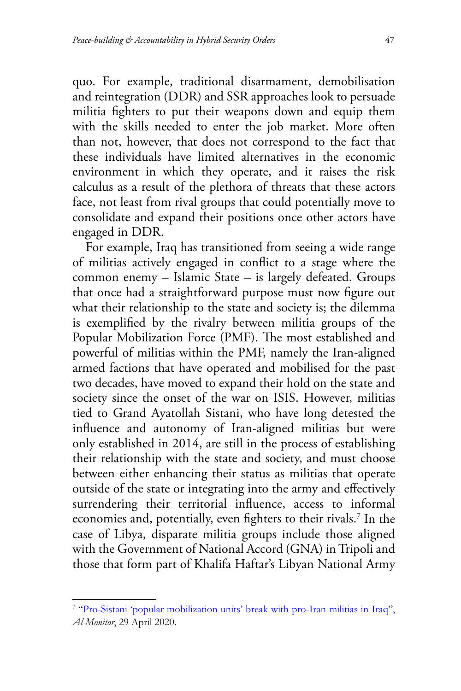quo. For example, traditional disarmament, demobilisation and reintegration (DDR) and SSR approaches look to persuade militia fighters to put their weapons down and equip them with the skills needed to enter the job market. More often than not, however, that does not correspond to the fact that these individuals have limited alternatives in the economic environment in which they operate, and it raises the risk calculus as a result of the plethora of threats that these actors face, not least from rival groups that could potentially move to consolidate and expand their positions once other actors have engaged in DDR.

For example, Iraq has transitioned from seeing a wide range of militias actively engaged in conflict to a stage where the common enemy – Islamic State – is largely defeated. Groups that once had a straightforward purpose must now figure out what their relationship to the state and society is; the dilemma is exemplified by the rivalry between militia groups of the Popular Mobilization Force (PMF). The most established and powerful of militias within the PMF, namely the Iran-aligned armed factions that have operated and mobilised for the past two decades, have moved to expand their hold on the state and society since the onset of the war on ISIS. However, militias tied to Grand Ayatollah Sistani, who have long detested the influence and autonomy of Iran-aligned militias but were only established in 2014, are still in the process of establishing their relationship with the state and society, and must choose between either enhancing their status as militias that operate outside of the state or integrating into the army and effectively surrendering their territorial influence, access to informal economies and, potentially, even fighters to their rivals.7 In the case of Libya, disparate militia groups include those aligned with the Government of National Accord (GNA) in Tripoli and those that form part of Khalifa Haftar's Libyan National Army

<sup>7</sup> "Pro-Sistani 'popular mobilization units' break with pro-Iran militias in Iraq", *Al-Monitor*, 29 April 2020.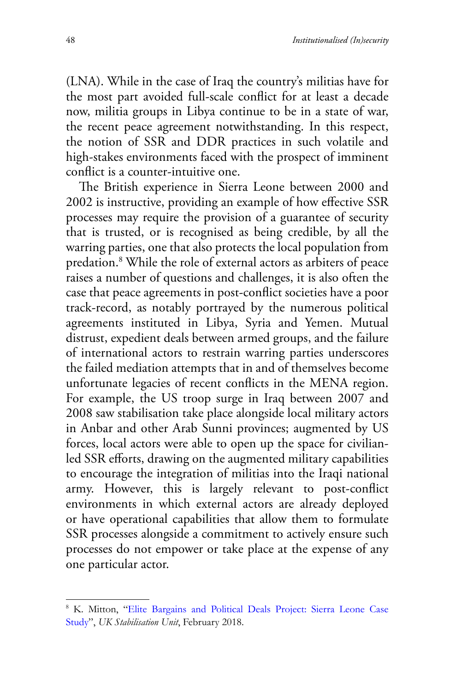(LNA). While in the case of Iraq the country's militias have for the most part avoided full-scale conflict for at least a decade now, militia groups in Libya continue to be in a state of war, the recent peace agreement notwithstanding. In this respect, the notion of SSR and DDR practices in such volatile and high-stakes environments faced with the prospect of imminent conflict is a counter-intuitive one.

The British experience in Sierra Leone between 2000 and 2002 is instructive, providing an example of how effective SSR processes may require the provision of a guarantee of security that is trusted, or is recognised as being credible, by all the warring parties, one that also protects the local population from predation.8 While the role of external actors as arbiters of peace raises a number of questions and challenges, it is also often the case that peace agreements in post-conflict societies have a poor track-record, as notably portrayed by the numerous political agreements instituted in Libya, Syria and Yemen. Mutual distrust, expedient deals between armed groups, and the failure of international actors to restrain warring parties underscores the failed mediation attempts that in and of themselves become unfortunate legacies of recent conflicts in the MENA region. For example, the US troop surge in Iraq between 2007 and 2008 saw stabilisation take place alongside local military actors in Anbar and other Arab Sunni provinces; augmented by US forces, local actors were able to open up the space for civilianled SSR efforts, drawing on the augmented military capabilities to encourage the integration of militias into the Iraqi national army. However, this is largely relevant to post-conflict environments in which external actors are already deployed or have operational capabilities that allow them to formulate SSR processes alongside a commitment to actively ensure such processes do not empower or take place at the expense of any one particular actor.

<sup>8</sup> K. Mitton, "[Elite Bargains and Political Deals Project: Sierra Leone](https://assets.publishing.service.gov.uk/government/uploads/system/uploads/attachment_data/file/766043/Sierra_Leone_case_study.pdf.) Case [Study](https://assets.publishing.service.gov.uk/government/uploads/system/uploads/attachment_data/file/766043/Sierra_Leone_case_study.pdf.)", *UK Stabilisation Unit*, February 2018.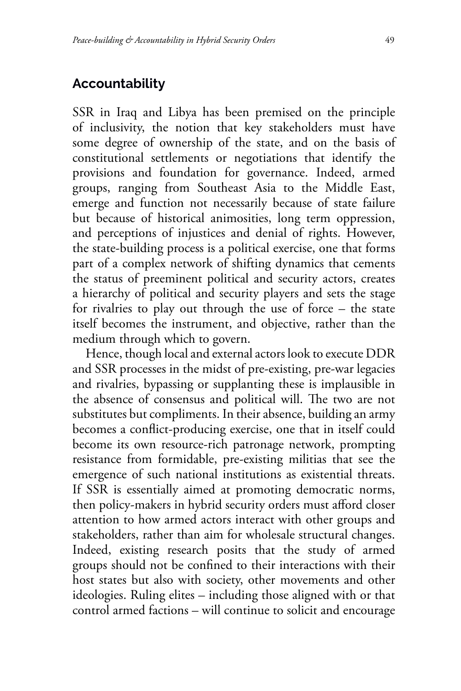## **Accountability**

SSR in Iraq and Libya has been premised on the principle of inclusivity, the notion that key stakeholders must have some degree of ownership of the state, and on the basis of constitutional settlements or negotiations that identify the provisions and foundation for governance. Indeed, armed groups, ranging from Southeast Asia to the Middle East, emerge and function not necessarily because of state failure but because of historical animosities, long term oppression, and perceptions of injustices and denial of rights. However, the state-building process is a political exercise, one that forms part of a complex network of shifting dynamics that cements the status of preeminent political and security actors, creates a hierarchy of political and security players and sets the stage for rivalries to play out through the use of force – the state itself becomes the instrument, and objective, rather than the medium through which to govern.

Hence, though local and external actors look to execute DDR and SSR processes in the midst of pre-existing, pre-war legacies and rivalries, bypassing or supplanting these is implausible in the absence of consensus and political will. The two are not substitutes but compliments. In their absence, building an army becomes a conflict-producing exercise, one that in itself could become its own resource-rich patronage network, prompting resistance from formidable, pre-existing militias that see the emergence of such national institutions as existential threats. If SSR is essentially aimed at promoting democratic norms, then policy-makers in hybrid security orders must afford closer attention to how armed actors interact with other groups and stakeholders, rather than aim for wholesale structural changes. Indeed, existing research posits that the study of armed groups should not be confined to their interactions with their host states but also with society, other movements and other ideologies. Ruling elites – including those aligned with or that control armed factions – will continue to solicit and encourage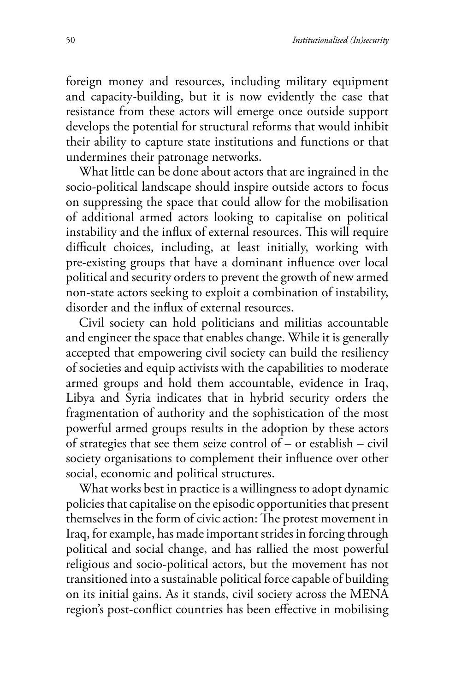foreign money and resources, including military equipment and capacity-building, but it is now evidently the case that resistance from these actors will emerge once outside support develops the potential for structural reforms that would inhibit their ability to capture state institutions and functions or that undermines their patronage networks.

What little can be done about actors that are ingrained in the socio-political landscape should inspire outside actors to focus on suppressing the space that could allow for the mobilisation of additional armed actors looking to capitalise on political instability and the influx of external resources. This will require difficult choices, including, at least initially, working with pre-existing groups that have a dominant influence over local political and security orders to prevent the growth of new armed non-state actors seeking to exploit a combination of instability, disorder and the influx of external resources.

Civil society can hold politicians and militias accountable and engineer the space that enables change. While it is generally accepted that empowering civil society can build the resiliency of societies and equip activists with the capabilities to moderate armed groups and hold them accountable, evidence in Iraq, Libya and Syria indicates that in hybrid security orders the fragmentation of authority and the sophistication of the most powerful armed groups results in the adoption by these actors of strategies that see them seize control of – or establish – civil society organisations to complement their influence over other social, economic and political structures.

What works best in practice is a willingness to adopt dynamic policies that capitalise on the episodic opportunities that present themselves in the form of civic action: The protest movement in Iraq, for example, has made important strides in forcing through political and social change, and has rallied the most powerful religious and socio-political actors, but the movement has not transitioned into a sustainable political force capable of building on its initial gains. As it stands, civil society across the MENA region's post-conflict countries has been effective in mobilising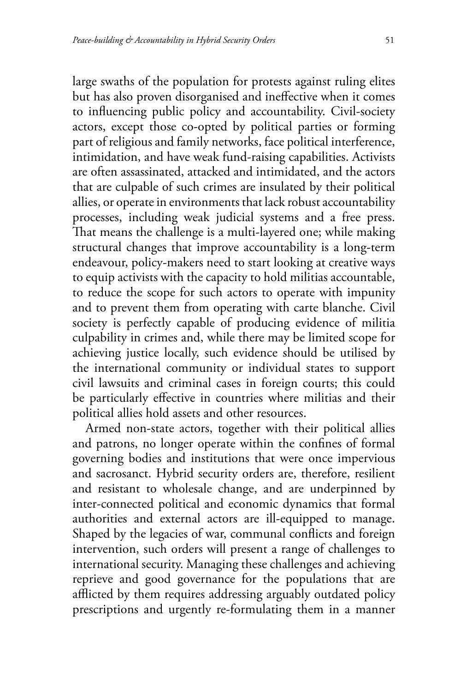large swaths of the population for protests against ruling elites but has also proven disorganised and ineffective when it comes to influencing public policy and accountability. Civil-society actors, except those co-opted by political parties or forming part of religious and family networks, face political interference, intimidation, and have weak fund-raising capabilities. Activists are often assassinated, attacked and intimidated, and the actors that are culpable of such crimes are insulated by their political allies, or operate in environments that lack robust accountability processes, including weak judicial systems and a free press. That means the challenge is a multi-layered one; while making structural changes that improve accountability is a long-term endeavour, policy-makers need to start looking at creative ways to equip activists with the capacity to hold militias accountable, to reduce the scope for such actors to operate with impunity and to prevent them from operating with carte blanche. Civil society is perfectly capable of producing evidence of militia culpability in crimes and, while there may be limited scope for achieving justice locally, such evidence should be utilised by the international community or individual states to support civil lawsuits and criminal cases in foreign courts; this could be particularly effective in countries where militias and their political allies hold assets and other resources.

Armed non-state actors, together with their political allies and patrons, no longer operate within the confines of formal governing bodies and institutions that were once impervious and sacrosanct. Hybrid security orders are, therefore, resilient and resistant to wholesale change, and are underpinned by inter-connected political and economic dynamics that formal authorities and external actors are ill-equipped to manage. Shaped by the legacies of war, communal conflicts and foreign intervention, such orders will present a range of challenges to international security. Managing these challenges and achieving reprieve and good governance for the populations that are afflicted by them requires addressing arguably outdated policy prescriptions and urgently re-formulating them in a manner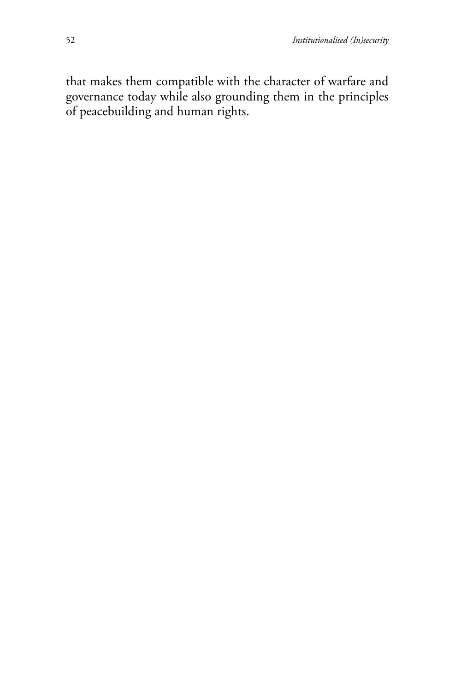that makes them compatible with the character of warfare and governance today while also grounding them in the principles of peacebuilding and human rights.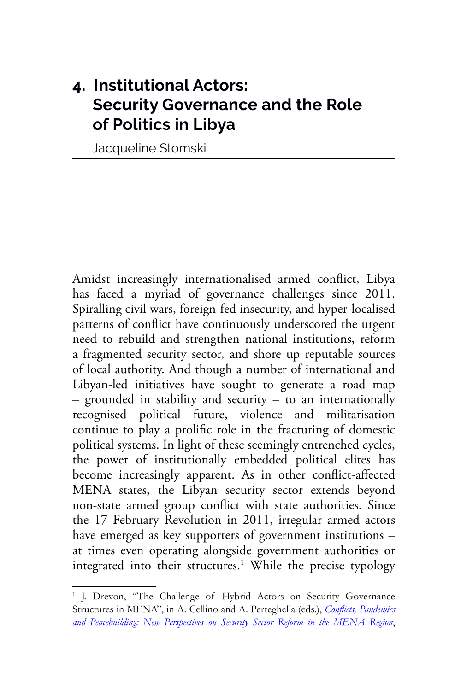# **4. Institutional Actors: Security Governance and the Role of Politics in Libya**

Jacqueline Stomski

Amidst increasingly internationalised armed conflict, Libya has faced a myriad of governance challenges since 2011. Spiralling civil wars, foreign-fed insecurity, and hyper-localised patterns of conflict have continuously underscored the urgent need to rebuild and strengthen national institutions, reform a fragmented security sector, and shore up reputable sources of local authority. And though a number of international and Libyan-led initiatives have sought to generate a road map – grounded in stability and security – to an internationally recognised political future, violence and militarisation continue to play a prolific role in the fracturing of domestic political systems. In light of these seemingly entrenched cycles, the power of institutionally embedded political elites has become increasingly apparent. As in other conflict-affected MENA states, the Libyan security sector extends beyond non-state armed group conflict with state authorities. Since the 17 February Revolution in 2011, irregular armed actors have emerged as key supporters of government institutions – at times even operating alongside government authorities or integrated into their structures.<sup>1</sup> While the precise typology

<sup>&</sup>lt;sup>1</sup> J. Drevon, "The Challenge of Hybrid Actors on Security Governance Structures in MENA", in A. Cellino and A. Perteghella (eds.), *Conflicts, [Pandemics](https://www.ispionline.it/it/pubblicazione/conflicts-pandemics-and-peacebuilding-new-perspectives-security-sector-reform-mena-region-28412) [and Peacebuilding: New Perspectives on Security Sector Reform in the MENA Region](https://www.ispionline.it/it/pubblicazione/conflicts-pandemics-and-peacebuilding-new-perspectives-security-sector-reform-mena-region-28412)*,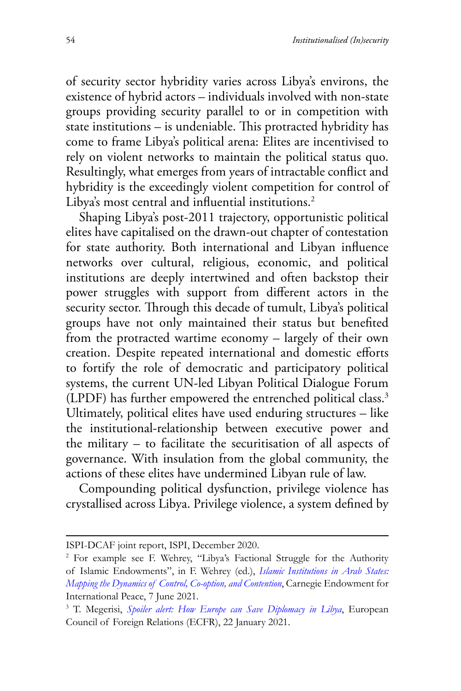of security sector hybridity varies across Libya's environs, the existence of hybrid actors – individuals involved with non-state groups providing security parallel to or in competition with state institutions – is undeniable. This protracted hybridity has come to frame Libya's political arena: Elites are incentivised to rely on violent networks to maintain the political status quo. Resultingly, what emerges from years of intractable conflict and hybridity is the exceedingly violent competition for control of Libya's most central and influential institutions.<sup>2</sup>

Shaping Libya's post-2011 trajectory, opportunistic political elites have capitalised on the drawn-out chapter of contestation for state authority. Both international and Libyan influence networks over cultural, religious, economic, and political institutions are deeply intertwined and often backstop their power struggles with support from different actors in the security sector. Through this decade of tumult, Libya's political groups have not only maintained their status but benefited from the protracted wartime economy – largely of their own creation. Despite repeated international and domestic efforts to fortify the role of democratic and participatory political systems, the current UN-led Libyan Political Dialogue Forum (LPDF) has further empowered the entrenched political class.3 Ultimately, political elites have used enduring structures – like the institutional-relationship between executive power and the military – to facilitate the securitisation of all aspects of governance. With insulation from the global community, the actions of these elites have undermined Libyan rule of law.

Compounding political dysfunction, privilege violence has crystallised across Libya. Privilege violence, a system defined by

ISPI-DCAF joint report, ISPI, December 2020.

<sup>2</sup> For example see F. Wehrey, "Libya's Factional Struggle for the Authority of Islamic Endowments", in F. Wehrey (ed.), *[Islamic Institutions in Arab States:](https://carnegieendowment.org/2021/06/07/libya-s-factional-struggle-for-authority-of-islamic-endowments-pub-84653.) [Mapping the Dynamics of Control, Co-option, and Contention](https://carnegieendowment.org/2021/06/07/libya-s-factional-struggle-for-authority-of-islamic-endowments-pub-84653.)*, Carnegie Endowment for International Peace, 7 June 2021.

<sup>3</sup> T. Megerisi, *[Spoiler alert: How Europe can Save Diplomacy in Libya](https://ecfr.eu/publication/spoiler-alert-how-europe-can-save-diplomacy-in-libya/)*, European Council of Foreign Relations (ECFR), 22 January 2021.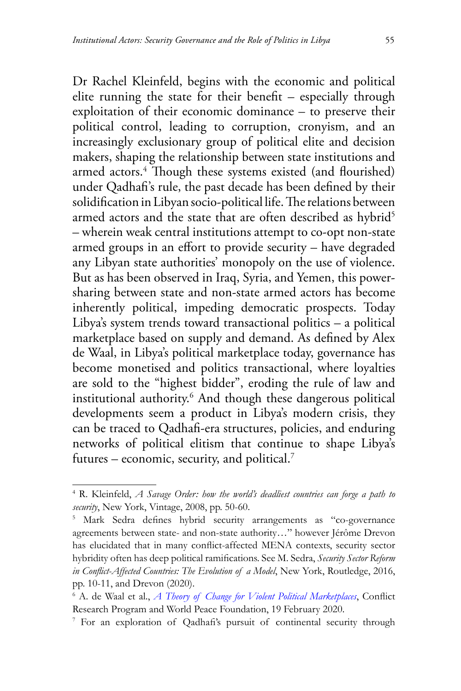Dr Rachel Kleinfeld, begins with the economic and political elite running the state for their benefit – especially through exploitation of their economic dominance – to preserve their political control, leading to corruption, cronyism, and an increasingly exclusionary group of political elite and decision makers, shaping the relationship between state institutions and armed actors.4 Though these systems existed (and flourished) under Qadhafi's rule, the past decade has been defined by their solidification in Libyan socio-political life. The relations between armed actors and the state that are often described as hybrid<sup>5</sup> – wherein weak central institutions attempt to co-opt non-state armed groups in an effort to provide security – have degraded any Libyan state authorities' monopoly on the use of violence. But as has been observed in Iraq, Syria, and Yemen, this powersharing between state and non-state armed actors has become inherently political, impeding democratic prospects. Today Libya's system trends toward transactional politics – a political marketplace based on supply and demand. As defined by Alex de Waal, in Libya's political marketplace today, governance has become monetised and politics transactional, where loyalties are sold to the "highest bidder", eroding the rule of law and institutional authority.6 And though these dangerous political developments seem a product in Libya's modern crisis, they can be traced to Qadhafi-era structures, policies, and enduring networks of political elitism that continue to shape Libya's futures – economic, security, and political.7

<sup>4</sup> R. Kleinfeld, *A Savage Order: how the world's deadliest countries can forge a path to security*, New York, Vintage, 2008, pp. 50-60.

<sup>5</sup> Mark Sedra defines hybrid security arrangements as "co-governance agreements between state- and non-state authority…" however Jérôme Drevon has elucidated that in many conflict-affected MENA contexts, security sector hybridity often has deep political ramifications. See M. Sedra, *Security Sector Reform in Conflict-Affected Countries: The Evolution of a Model*, New York, Routledge, 2016, pp. 10-11, and Drevon (2020).

<sup>6</sup> A. de Waal et al., *[A Theory of Change for Violent Political Marketplaces](https://www.lse.ac.uk/ideas/Assets/Documents/Conflict-Research-Programme/crp-memos/PMF-TOC-Feb-2020.pdf.)*, Conflict Research Program and World Peace Foundation, 19 February 2020.

<sup>&</sup>lt;sup>7</sup> For an exploration of Qadhafi's pursuit of continental security through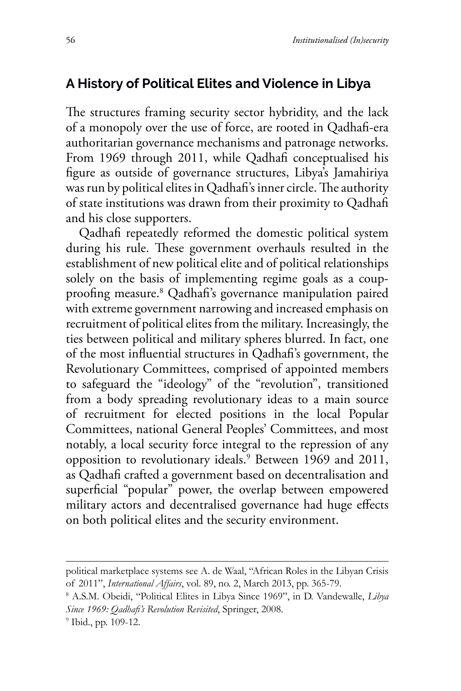## **A History of Political Elites and Violence in Libya**

The structures framing security sector hybridity, and the lack of a monopoly over the use of force, are rooted in Qadhafi-era authoritarian governance mechanisms and patronage networks. From 1969 through 2011, while Qadhafi conceptualised his figure as outside of governance structures, Libya's Jamahiriya was run by political elites in Qadhafi's inner circle. The authority of state institutions was drawn from their proximity to Qadhafi and his close supporters.

Qadhafi repeatedly reformed the domestic political system during his rule. These government overhauls resulted in the establishment of new political elite and of political relationships solely on the basis of implementing regime goals as a coupproofing measure.8 Qadhafi's governance manipulation paired with extreme government narrowing and increased emphasis on recruitment of political elites from the military. Increasingly, the ties between political and military spheres blurred. In fact, one of the most influential structures in Qadhafi's government, the Revolutionary Committees, comprised of appointed members to safeguard the "ideology" of the "revolution", transitioned from a body spreading revolutionary ideas to a main source of recruitment for elected positions in the local Popular Committees, national General Peoples' Committees, and most notably, a local security force integral to the repression of any opposition to revolutionary ideals.9 Between 1969 and 2011, as Qadhafi crafted a government based on decentralisation and superficial "popular" power, the overlap between empowered military actors and decentralised governance had huge effects on both political elites and the security environment.

political marketplace systems see A. de Waal, "African Roles in the Libyan Crisis of 2011", *International Affairs*, vol. 89, no. 2, March 2013, pp. 365-79. 8

A.S.M. Obeidi, "Political Elites in Libya Since 1969", in D. Vandewalle, *Libya Since 1969: Qadhafi's Revolution Revisited*, Springer, 2008.

<sup>9</sup> Ibid., pp. 109-12.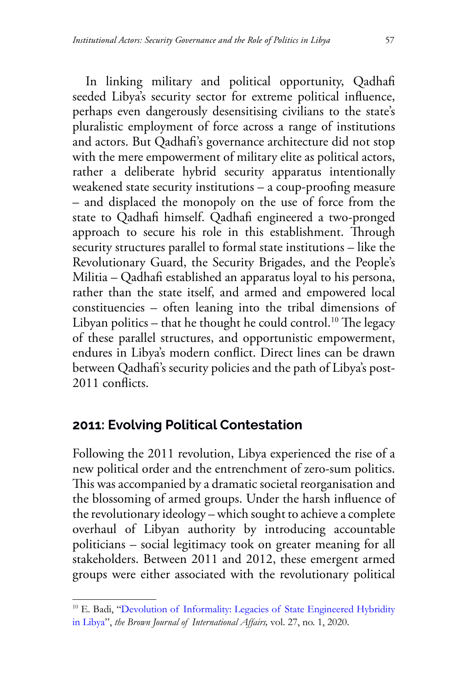In linking military and political opportunity, Qadhafi seeded Libya's security sector for extreme political influence, perhaps even dangerously desensitising civilians to the state's pluralistic employment of force across a range of institutions and actors. But Qadhafi's governance architecture did not stop with the mere empowerment of military elite as political actors, rather a deliberate hybrid security apparatus intentionally weakened state security institutions – a coup-proofing measure – and displaced the monopoly on the use of force from the state to Qadhafi himself. Qadhafi engineered a two-pronged approach to secure his role in this establishment. Through security structures parallel to formal state institutions – like the Revolutionary Guard, the Security Brigades, and the People's Militia – Qadhafi established an apparatus loyal to his persona, rather than the state itself, and armed and empowered local constituencies – often leaning into the tribal dimensions of Libyan politics – that he thought he could control.<sup>10</sup> The legacy of these parallel structures, and opportunistic empowerment, endures in Libya's modern conflict. Direct lines can be drawn between Qadhafi's security policies and the path of Libya's post-2011 conflicts.

### **2011: Evolving Political Contestation**

Following the 2011 revolution, Libya experienced the rise of a new political order and the entrenchment of zero-sum politics. This was accompanied by a dramatic societal reorganisation and the blossoming of armed groups. Under the harsh influence of the revolutionary ideology – which sought to achieve a complete overhaul of Libyan authority by introducing accountable politicians – social legitimacy took on greater meaning for all stakeholders. Between 2011 and 2012, these emergent armed groups were either associated with the revolutionary political

<sup>&</sup>lt;sup>10</sup> E. Badi, ["Devolution of Informality: Legacies of State Engineered Hybridity](https://bjwa.brown.edu/27-1/devolution-of-informality-legacies-of-state-engineered-hybridity-in-libya/) [in Libya](https://bjwa.brown.edu/27-1/devolution-of-informality-legacies-of-state-engineered-hybridity-in-libya/)", *the Brown Journal of International Affairs,* vol. 27, no. 1, 2020.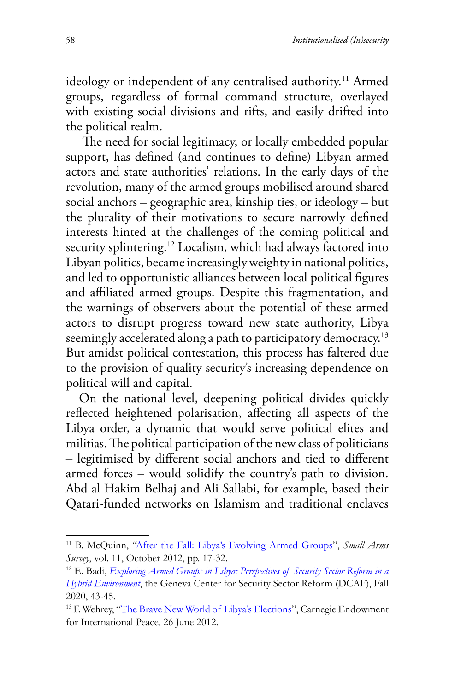ideology or independent of any centralised authority.<sup>11</sup> Armed groups, regardless of formal command structure, overlayed with existing social divisions and rifts, and easily drifted into the political realm.

 The need for social legitimacy, or locally embedded popular support, has defined (and continues to define) Libyan armed actors and state authorities' relations. In the early days of the revolution, many of the armed groups mobilised around shared social anchors – geographic area, kinship ties, or ideology – but the plurality of their motivations to secure narrowly defined interests hinted at the challenges of the coming political and security splintering.<sup>12</sup> Localism, which had always factored into Libyan politics, became increasingly weighty in national politics, and led to opportunistic alliances between local political figures and affiliated armed groups. Despite this fragmentation, and the warnings of observers about the potential of these armed actors to disrupt progress toward new state authority, Libya seemingly accelerated along a path to participatory democracy.<sup>13</sup> But amidst political contestation, this process has faltered due to the provision of quality security's increasing dependence on political will and capital.

On the national level, deepening political divides quickly reflected heightened polarisation, affecting all aspects of the Libya order, a dynamic that would serve political elites and militias. The political participation of the new class of politicians – legitimised by different social anchors and tied to different armed forces – would solidify the country's path to division. Abd al Hakim Belhaj and Ali Sallabi, for example, based their Qatari-funded networks on Islamism and traditional enclaves

<sup>11</sup> B. McQuinn, ["After the Fall: Libya's Evolving Armed Groups](http://www.smallarmssurvey.org/fileadmin/docs/F-Working-papers/SAS-WP12-After-the-Fall-Libya.pdf)", *Small Arms Survey*, vol. 11, October 2012, pp. 17-32.

<sup>12</sup> E. Badi, *[Exploring Armed Groups in Libya: Perspectives of Security Sector Reform in a](https://www.dcaf.ch/exploring-armed-groups-libya-perspectives-ssr-hybrid-environment.) [Hybrid Environment](https://www.dcaf.ch/exploring-armed-groups-libya-perspectives-ssr-hybrid-environment.)*, the Geneva Center for Security Sector Reform (DCAF), Fall 2020, 43-45.

<sup>&</sup>lt;sup>13</sup> F. Wehrey, "[The Brave New World of Libya's Elections](https://www.dcaf.ch/exploring-armed-groups-libya-perspectives-ssr-hybrid-environment.)", Carnegie Endowment for International Peace, 26 June 2012.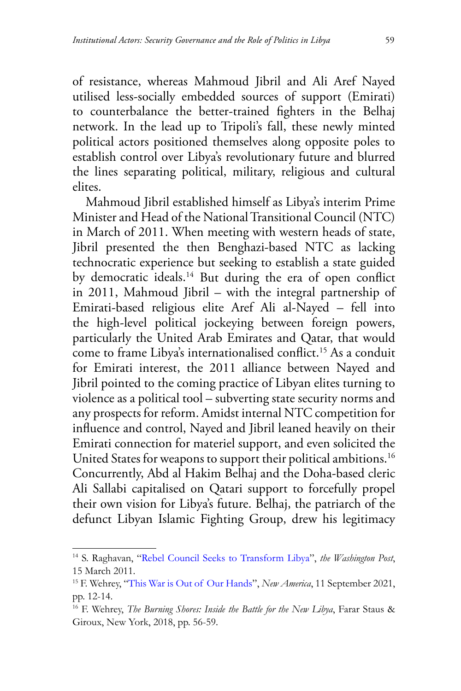of resistance, whereas Mahmoud Jibril and Ali Aref Nayed utilised less-socially embedded sources of support (Emirati) to counterbalance the better-trained fighters in the Belhaj network. In the lead up to Tripoli's fall, these newly minted political actors positioned themselves along opposite poles to establish control over Libya's revolutionary future and blurred the lines separating political, military, religious and cultural elites.

Mahmoud Jibril established himself as Libya's interim Prime Minister and Head of the National Transitional Council (NTC) in March of 2011. When meeting with western heads of state, Jibril presented the then Benghazi-based NTC as lacking technocratic experience but seeking to establish a state guided by democratic ideals.<sup>14</sup> But during the era of open conflict in 2011, Mahmoud Jibril – with the integral partnership of Emirati-based religious elite Aref Ali al-Nayed – fell into the high-level political jockeying between foreign powers, particularly the United Arab Emirates and Qatar, that would come to frame Libya's internationalised conflict.15 As a conduit for Emirati interest, the 2011 alliance between Nayed and Jibril pointed to the coming practice of Libyan elites turning to violence as a political tool – subverting state security norms and any prospects for reform. Amidst internal NTC competition for influence and control, Nayed and Jibril leaned heavily on their Emirati connection for materiel support, and even solicited the United States for weapons to support their political ambitions.<sup>16</sup> Concurrently, Abd al Hakim Belhaj and the Doha-based cleric Ali Sallabi capitalised on Qatari support to forcefully propel their own vision for Libya's future. Belhaj, the patriarch of the defunct Libyan Islamic Fighting Group, drew his legitimacy

<sup>14</sup> S. Raghavan, "Rebel [Council Seeks to Transform Libya"](https://www.washingtonpost.com/politics/rebel-council-seeks-to-transform-libya/2011/03/14/ABdDPtV_story.html.), *the Washington Post*, 15 March 2011.

<sup>15</sup> F. Wehrey, "[This War is Out of Our Hands](https://www.newamerica.org/international-security/reports/this-war-is-out-of-our-hands/)", *New America*, 11 September 2021, pp. 12-14.

<sup>16</sup> F. Wehrey, *The Burning Shores: Inside the Battle for the New Libya*, Farar Staus & Giroux, New York, 2018, pp. 56-59.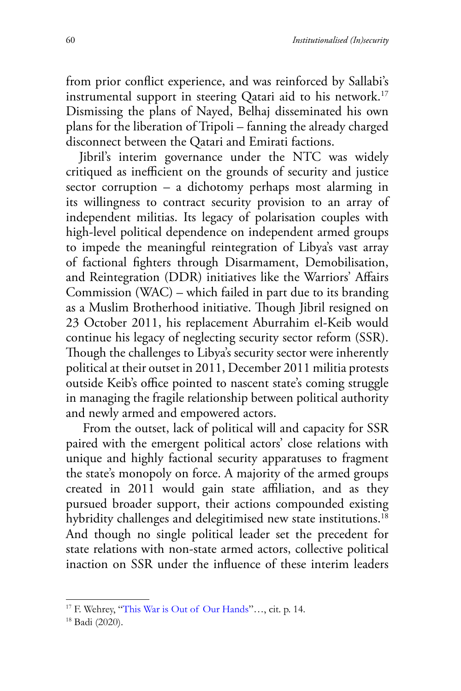from prior conflict experience, and was reinforced by Sallabi's instrumental support in steering Qatari aid to his network.<sup>17</sup> Dismissing the plans of Nayed, Belhaj disseminated his own plans for the liberation of Tripoli – fanning the already charged disconnect between the Qatari and Emirati factions.

Jibril's interim governance under the NTC was widely critiqued as inefficient on the grounds of security and justice sector corruption – a dichotomy perhaps most alarming in its willingness to contract security provision to an array of independent militias. Its legacy of polarisation couples with high-level political dependence on independent armed groups to impede the meaningful reintegration of Libya's vast array of factional fighters through Disarmament, Demobilisation, and Reintegration (DDR) initiatives like the Warriors' Affairs Commission (WAC) – which failed in part due to its branding as a Muslim Brotherhood initiative. Though Jibril resigned on 23 October 2011, his replacement Aburrahim el-Keib would continue his legacy of neglecting security sector reform (SSR). Though the challenges to Libya's security sector were inherently political at their outset in 2011, December 2011 militia protests outside Keib's office pointed to nascent state's coming struggle in managing the fragile relationship between political authority and newly armed and empowered actors.

 From the outset, lack of political will and capacity for SSR paired with the emergent political actors' close relations with unique and highly factional security apparatuses to fragment the state's monopoly on force. A majority of the armed groups created in 2011 would gain state affiliation, and as they pursued broader support, their actions compounded existing hybridity challenges and delegitimised new state institutions.<sup>18</sup> And though no single political leader set the precedent for state relations with non-state armed actors, collective political inaction on SSR under the influence of these interim leaders

<sup>17</sup> F. Wehrey, "[This War is Out of Our Hands](https://www.newamerica.org/international-security/reports/this-war-is-out-of-our-hands/)"…, cit. p. 14.

<sup>18</sup> Badi (2020).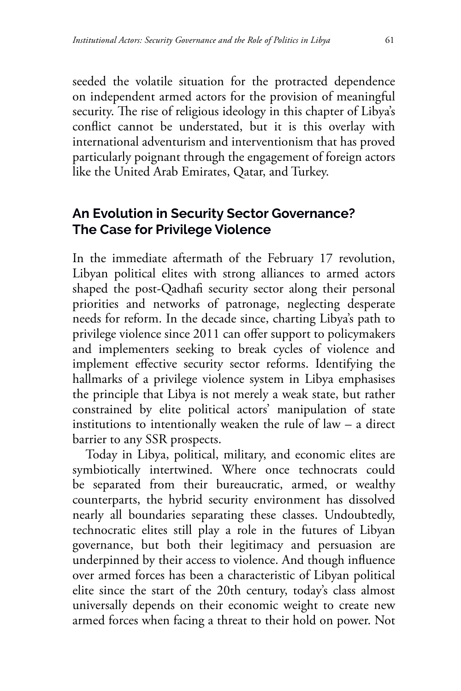seeded the volatile situation for the protracted dependence on independent armed actors for the provision of meaningful security. The rise of religious ideology in this chapter of Libya's conflict cannot be understated, but it is this overlay with international adventurism and interventionism that has proved particularly poignant through the engagement of foreign actors like the United Arab Emirates, Qatar, and Turkey.

## **An Evolution in Security Sector Governance? The Case for Privilege Violence**

In the immediate aftermath of the February 17 revolution, Libyan political elites with strong alliances to armed actors shaped the post-Qadhafi security sector along their personal priorities and networks of patronage, neglecting desperate needs for reform. In the decade since, charting Libya's path to privilege violence since 2011 can offer support to policymakers and implementers seeking to break cycles of violence and implement effective security sector reforms. Identifying the hallmarks of a privilege violence system in Libya emphasises the principle that Libya is not merely a weak state, but rather constrained by elite political actors' manipulation of state institutions to intentionally weaken the rule of law – a direct barrier to any SSR prospects.

Today in Libya, political, military, and economic elites are symbiotically intertwined. Where once technocrats could be separated from their bureaucratic, armed, or wealthy counterparts, the hybrid security environment has dissolved nearly all boundaries separating these classes. Undoubtedly, technocratic elites still play a role in the futures of Libyan governance, but both their legitimacy and persuasion are underpinned by their access to violence. And though influence over armed forces has been a characteristic of Libyan political elite since the start of the 20th century, today's class almost universally depends on their economic weight to create new armed forces when facing a threat to their hold on power. Not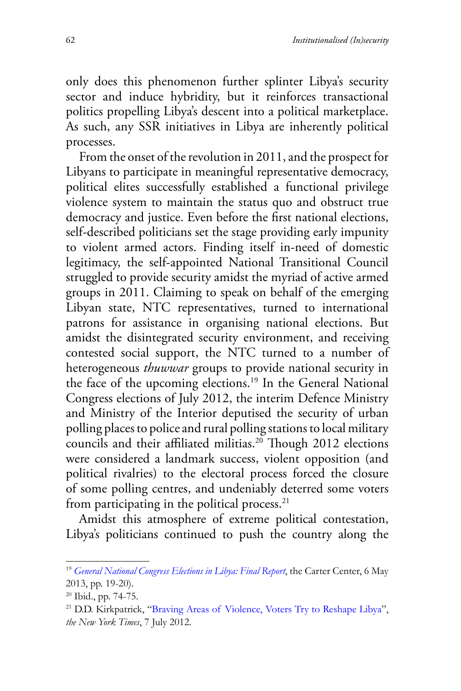only does this phenomenon further splinter Libya's security sector and induce hybridity, but it reinforces transactional politics propelling Libya's descent into a political marketplace. As such, any SSR initiatives in Libya are inherently political processes.

From the onset of the revolution in 2011, and the prospect for Libyans to participate in meaningful representative democracy, political elites successfully established a functional privilege violence system to maintain the status quo and obstruct true democracy and justice. Even before the first national elections, self-described politicians set the stage providing early impunity to violent armed actors. Finding itself in-need of domestic legitimacy, the self-appointed National Transitional Council struggled to provide security amidst the myriad of active armed groups in 2011. Claiming to speak on behalf of the emerging Libyan state, NTC representatives, turned to international patrons for assistance in organising national elections. But amidst the disintegrated security environment, and receiving contested social support, the NTC turned to a number of heterogeneous *thuwwar* groups to provide national security in the face of the upcoming elections.19 In the General National Congress elections of July 2012, the interim Defence Ministry and Ministry of the Interior deputised the security of urban polling places to police and rural polling stations to local military councils and their affiliated militias.<sup>20</sup> Though 2012 elections were considered a landmark success, violent opposition (and political rivalries) to the electoral process forced the closure of some polling centres, and undeniably deterred some voters from participating in the political process. $21$ 

Amidst this atmosphere of extreme political contestation, Libya's politicians continued to push the country along the

<sup>19</sup> *[General National Congress Elections in Libya: Final Report](https://www.cartercenter.org/resources/pdfs/news/peace_publications/election_reports/libya-070712-final-rpt.pdf.)*, the Carter Center, 6 May 2013, pp. 19-20).

<sup>20</sup> Ibid., pp. 74-75.

<sup>21</sup> D.D. Kirkpatrick, "[Braving Areas of Violence, Voters Try to Reshape Libya](https://www.nytimes.com/2012/07/08/world/africa/libyans-vote-in-first-election-in-more-than-40-years.html.)", *the New York Times*, 7 July 2012.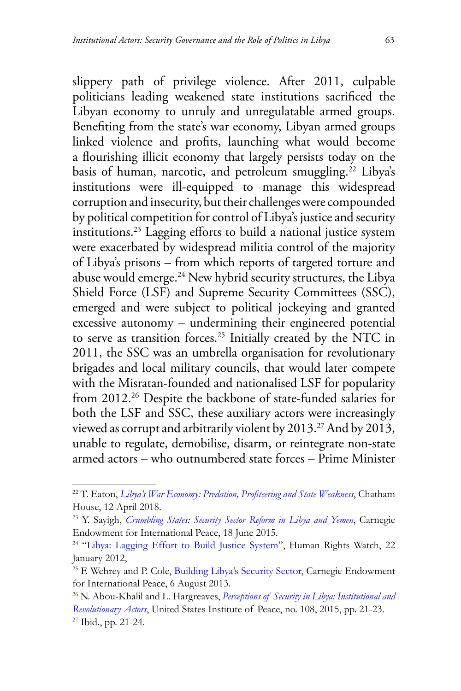slippery path of privilege violence. After 2011, culpable politicians leading weakened state institutions sacrificed the Libyan economy to unruly and unregulatable armed groups. Benefiting from the state's war economy, Libyan armed groups linked violence and profits, launching what would become a flourishing illicit economy that largely persists today on the basis of human, narcotic, and petroleum smuggling.<sup>22</sup> Libya's institutions were ill-equipped to manage this widespread corruption and insecurity, but their challenges were compounded by political competition for control of Libya's justice and security institutions.23 Lagging efforts to build a national justice system were exacerbated by widespread militia control of the majority of Libya's prisons – from which reports of targeted torture and abuse would emerge.24 New hybrid security structures, the Libya Shield Force (LSF) and Supreme Security Committees (SSC), emerged and were subject to political jockeying and granted excessive autonomy – undermining their engineered potential to serve as transition forces.<sup>25</sup> Initially created by the NTC in 2011, the SSC was an umbrella organisation for revolutionary brigades and local military councils, that would later compete with the Misratan-founded and nationalised LSF for popularity from 2012.<sup>26</sup> Despite the backbone of state-funded salaries for both the LSF and SSC, these auxiliary actors were increasingly viewed as corrupt and arbitrarily violent by  $2013$ .<sup>27</sup> And by  $2013$ , unable to regulate, demobilise, disarm, or reintegrate non-state armed actors – who outnumbered state forces – Prime Minister

<sup>22</sup> T. Eaton, *Libya['s War Economy: Predation, Profiteering and State Weakness](https://www.chathamhouse.org/2018/04/libyas-war-economy-predation-profiteering-and-state-weakness.)*, Chatham House, 12 April 2018.

<sup>23</sup> Y. Sayigh, *[Crumbling States: Security Sector Reform in Libya and Yemen](https://carnegie-mec.org/2015/06/18/crumbling-states-security-sector-reform-in-libya-and-yemen-pub-60422.)*, Carnegie Endowment for International Peace, 18 June 2015.

<sup>&</sup>lt;sup>24</sup> "[Libya: Lagging Effort to Build Justice System"](https://www.hrw.org/news/2012/01/22/libya-lagging-effort-build-justice-system.), Human Rights Watch, 22 January 2012,

<sup>&</sup>lt;sup>25</sup> F. Wehrey and P. Cole, [Building Libya's Security Sector](https://carnegieendowment.org/2013/08/06/building-libya-s-security-sector-pub-52603.), Carnegie Endowment for International Peace, 6 August 2013.

<sup>26</sup> N. Abou-Khalil and L. Hargreaves, *[Perceptions of Security in Libya: Institutional and](https://www.usip.org/sites/default/files/PW108-Perceptions-of-Security-in-Libya.pdf) [Revolutionary Actors](https://www.usip.org/sites/default/files/PW108-Perceptions-of-Security-in-Libya.pdf)*, United States Institute of Peace, no. 108, 2015, pp. 21-23. 27 Ibid., pp. 21-24.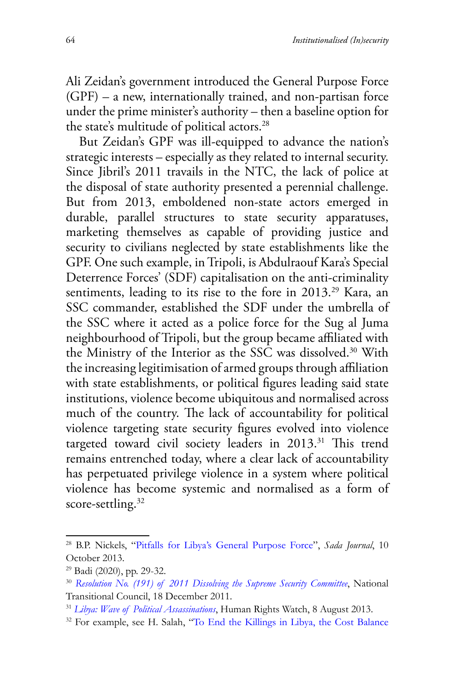Ali Zeidan's government introduced the General Purpose Force (GPF) – a new, internationally trained, and non-partisan force under the prime minister's authority – then a baseline option for the state's multitude of political actors.<sup>28</sup>

But Zeidan's GPF was ill-equipped to advance the nation's strategic interests – especially as they related to internal security. Since Jibril's 2011 travails in the NTC, the lack of police at the disposal of state authority presented a perennial challenge. But from 2013, emboldened non-state actors emerged in durable, parallel structures to state security apparatuses, marketing themselves as capable of providing justice and security to civilians neglected by state establishments like the GPF. One such example, in Tripoli, is Abdulraouf Kara's Special Deterrence Forces' (SDF) capitalisation on the anti-criminality sentiments, leading to its rise to the fore in 2013.<sup>29</sup> Kara, an SSC commander, established the SDF under the umbrella of the SSC where it acted as a police force for the Sug al Juma neighbourhood of Tripoli, but the group became affiliated with the Ministry of the Interior as the SSC was dissolved.<sup>30</sup> With the increasing legitimisation of armed groups through affiliation with state establishments, or political figures leading said state institutions, violence become ubiquitous and normalised across much of the country. The lack of accountability for political violence targeting state security figures evolved into violence targeted toward civil society leaders in 2013.<sup>31</sup> This trend remains entrenched today, where a clear lack of accountability has perpetuated privilege violence in a system where political violence has become systemic and normalised as a form of score-settling.<sup>32</sup>

<sup>28</sup> B.P. Nickels, "[Pitfalls for Libya's General Purpose Force"](https://carnegieendowment.org/sada/53273.), *Sada Journal*, 10 October 2013.

 $29$  Badi (2020), pp. 29-32.

<sup>30</sup> *[Resolution No. \(191\) of 2011 Dissolving the Supreme Security Committee](https://www.security-legislation.ly/en/law/33031.)*, National Transitional Council, 18 December 2011.

<sup>31</sup> *[Libya: Wave of Political Assassinations](https://www.hrw.org/news/2013/08/08/libya-wave-political-assassinations.)*, Human Rights Watch, 8 August 2013.

<sup>32</sup> For example, see H. Salah, "To [End the Killings in Libya, the Cost Balance](https://manaramagazine.org/2020/12/15/to-end-the-killings-in-libya-the-cost-balance-needs-to-change/)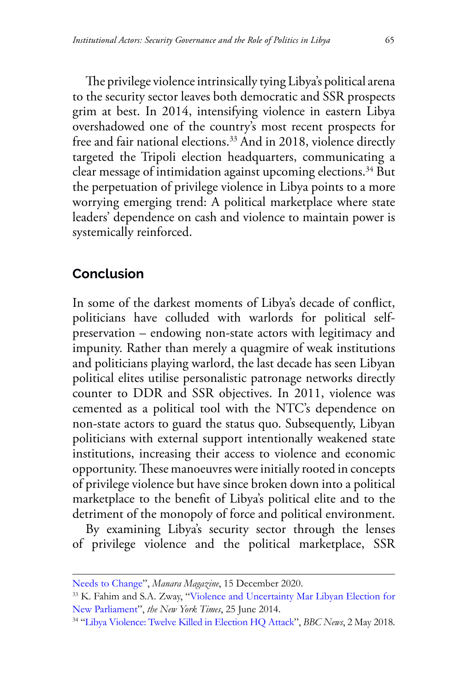The privilege violence intrinsically tying Libya's political arena to the security sector leaves both democratic and SSR prospects grim at best. In 2014, intensifying violence in eastern Libya overshadowed one of the country's most recent prospects for free and fair national elections.33 And in 2018, violence directly targeted the Tripoli election headquarters, communicating a clear message of intimidation against upcoming elections.34 But the perpetuation of privilege violence in Libya points to a more worrying emerging trend: A political marketplace where state leaders' dependence on cash and violence to maintain power is systemically reinforced.

## **Conclusion**

In some of the darkest moments of Libya's decade of conflict, politicians have colluded with warlords for political selfpreservation – endowing non-state actors with legitimacy and impunity. Rather than merely a quagmire of weak institutions and politicians playing warlord, the last decade has seen Libyan political elites utilise personalistic patronage networks directly counter to DDR and SSR objectives. In 2011, violence was cemented as a political tool with the NTC's dependence on non-state actors to guard the status quo. Subsequently, Libyan politicians with external support intentionally weakened state institutions, increasing their access to violence and economic opportunity. These manoeuvres were initially rooted in concepts of privilege violence but have since broken down into a political marketplace to the benefit of Libya's political elite and to the detriment of the monopoly of force and political environment.

By examining Libya's security sector through the lenses of privilege violence and the political marketplace, SSR

[Needs to Change"](https://manaramagazine.org/2020/12/15/to-end-the-killings-in-libya-the-cost-balance-needs-to-change/), *Manara Magazine*, 15 December 2020.

<sup>33</sup> K. Fahim and S.A. Zway, "[Violence and Uncertainty Mar Libyan Election for](https://www.nytimes.com/2014/06/26/world/africa/violence-and-uncertainty-mar-libyan-election-for-a-new-parliament.html.) [New Parliament](https://www.nytimes.com/2014/06/26/world/africa/violence-and-uncertainty-mar-libyan-election-for-a-new-parliament.html.)", *the New York Times*, 25 June 2014.

<sup>34 &</sup>quot;[Libya Violence: Twelve Killed in Election HQ Attack](https://www.bbc.com/news/world-africa-43977697.)", *BBC News*, 2 May 2018.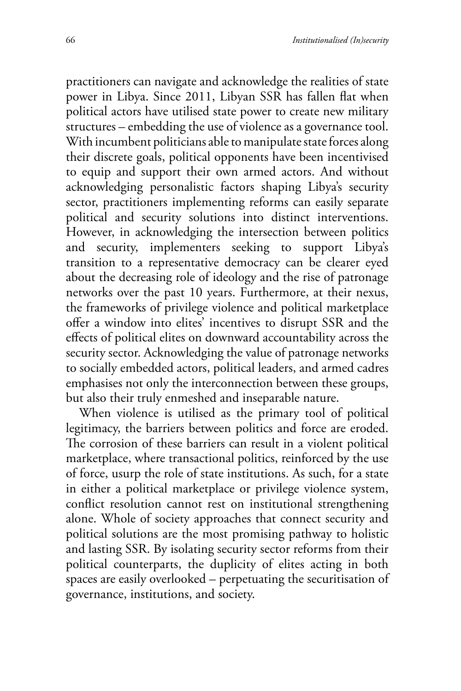practitioners can navigate and acknowledge the realities of state power in Libya. Since 2011, Libyan SSR has fallen flat when political actors have utilised state power to create new military structures – embedding the use of violence as a governance tool. With incumbent politicians able to manipulate state forces along their discrete goals, political opponents have been incentivised to equip and support their own armed actors. And without acknowledging personalistic factors shaping Libya's security sector, practitioners implementing reforms can easily separate political and security solutions into distinct interventions. However, in acknowledging the intersection between politics and security, implementers seeking to support Libya's transition to a representative democracy can be clearer eyed about the decreasing role of ideology and the rise of patronage networks over the past 10 years. Furthermore, at their nexus, the frameworks of privilege violence and political marketplace offer a window into elites' incentives to disrupt SSR and the effects of political elites on downward accountability across the security sector. Acknowledging the value of patronage networks to socially embedded actors, political leaders, and armed cadres emphasises not only the interconnection between these groups, but also their truly enmeshed and inseparable nature.

When violence is utilised as the primary tool of political legitimacy, the barriers between politics and force are eroded. The corrosion of these barriers can result in a violent political marketplace, where transactional politics, reinforced by the use of force, usurp the role of state institutions. As such, for a state in either a political marketplace or privilege violence system, conflict resolution cannot rest on institutional strengthening alone. Whole of society approaches that connect security and political solutions are the most promising pathway to holistic and lasting SSR. By isolating security sector reforms from their political counterparts, the duplicity of elites acting in both spaces are easily overlooked – perpetuating the securitisation of governance, institutions, and society.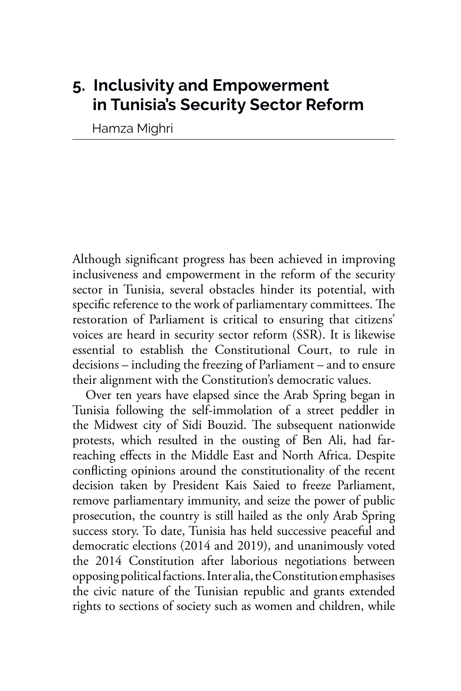## **5. Inclusivity and Empowerment in Tunisia's Security Sector Reform**

Hamza Mighri

Although significant progress has been achieved in improving inclusiveness and empowerment in the reform of the security sector in Tunisia, several obstacles hinder its potential, with specific reference to the work of parliamentary committees. The restoration of Parliament is critical to ensuring that citizens' voices are heard in security sector reform (SSR). It is likewise essential to establish the Constitutional Court, to rule in decisions – including the freezing of Parliament – and to ensure their alignment with the Constitution's democratic values.

Over ten years have elapsed since the Arab Spring began in Tunisia following the self-immolation of a street peddler in the Midwest city of Sidi Bouzid. The subsequent nationwide protests, which resulted in the ousting of Ben Ali, had farreaching effects in the Middle East and North Africa. Despite conflicting opinions around the constitutionality of the recent decision taken by President Kais Saied to freeze Parliament, remove parliamentary immunity, and seize the power of public prosecution, the country is still hailed as the only Arab Spring success story. To date, Tunisia has held successive peaceful and democratic elections (2014 and 2019), and unanimously voted the 2014 Constitution after laborious negotiations between opposing political factions. Inter alia, the Constitution emphasises the civic nature of the Tunisian republic and grants extended rights to sections of society such as women and children, while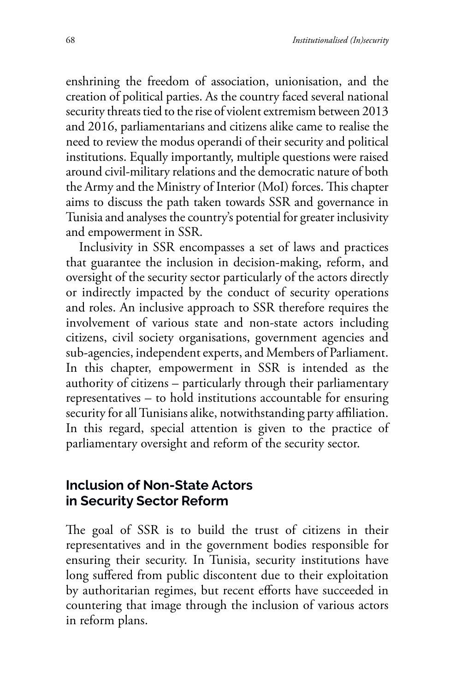enshrining the freedom of association, unionisation, and the creation of political parties. As the country faced several national security threats tied to the rise of violent extremism between 2013 and 2016, parliamentarians and citizens alike came to realise the need to review the modus operandi of their security and political institutions. Equally importantly, multiple questions were raised around civil-military relations and the democratic nature of both the Army and the Ministry of Interior (MoI) forces. This chapter aims to discuss the path taken towards SSR and governance in Tunisia and analyses the country's potential for greater inclusivity and empowerment in SSR.

Inclusivity in SSR encompasses a set of laws and practices that guarantee the inclusion in decision-making, reform, and oversight of the security sector particularly of the actors directly or indirectly impacted by the conduct of security operations and roles. An inclusive approach to SSR therefore requires the involvement of various state and non-state actors including citizens, civil society organisations, government agencies and sub-agencies, independent experts, and Members of Parliament. In this chapter, empowerment in SSR is intended as the authority of citizens – particularly through their parliamentary representatives – to hold institutions accountable for ensuring security for all Tunisians alike, notwithstanding party affiliation. In this regard, special attention is given to the practice of parliamentary oversight and reform of the security sector.

## **Inclusion of Non-State Actors in Security Sector Reform**

The goal of SSR is to build the trust of citizens in their representatives and in the government bodies responsible for ensuring their security. In Tunisia, security institutions have long suffered from public discontent due to their exploitation by authoritarian regimes, but recent efforts have succeeded in countering that image through the inclusion of various actors in reform plans.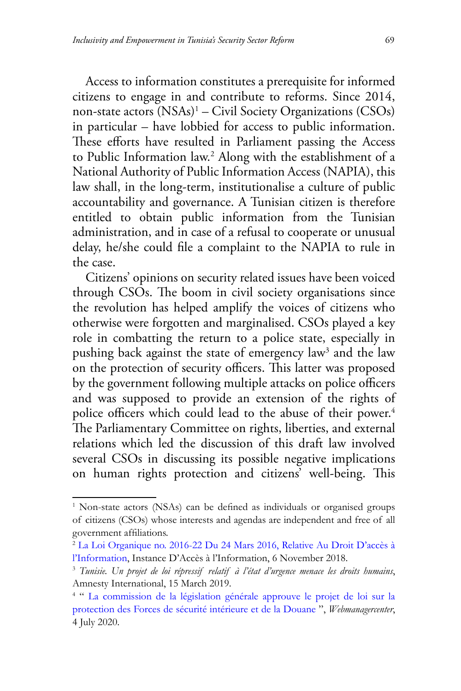Access to information constitutes a prerequisite for informed citizens to engage in and contribute to reforms. Since 2014, non-state actors (NSAs)1 – Civil Society Organizations (CSOs) in particular – have lobbied for access to public information. These efforts have resulted in Parliament passing the [Access](https://www.steg.com.tn/fr/cell_acces_info/loi_organique_N22_2016_du_2432016.pdf) [to Public Information law](https://www.steg.com.tn/fr/cell_acces_info/loi_organique_N22_2016_du_2432016.pdf).2 Along with the establishment of a National Authority of Public Information Access (NAPIA), this law shall, in the long-term, institutionalise a culture of public accountability and governance. A Tunisian citizen is therefore entitled to obtain public information from the Tunisian administration, and in case of a refusal to cooperate or unusual delay, he/she could file a complaint to the NAPIA to rule in the case.

Citizens' opinions on security related issues have been voiced through CSOs. The boom in civil society organisations since the revolution has helped amplify the voices of citizens who otherwise were forgotten and marginalised. CSOs played a key role in combatting the return to a police state, especially in pushing back against the state of emergency law<sup>3</sup> and the law on the protection of security officers. This latter was proposed by the government following multiple attacks on police officers and was supposed to provide an extension of the rights of police officers which could lead to the abuse of their power.<sup>4</sup> The Parliamentary Committee on rights, liberties, and external relations which led the discussion of this draft law involved several CSOs in discussing its possible negative implications on human rights protection and citizens' well-being. This

<sup>&</sup>lt;sup>1</sup> Non-state actors (NSAs) can be defined as individuals or organised groups of citizens (CSOs) whose interests and agendas are independent and free of all government affiliations.

<sup>2</sup> [La Loi Organique no. 2016-22 Du 24 Mars](http://www.inai.tn/fr/%D8%A7%D9%84%D9%82%D8%A7%D9%86%D9%88%D9%86-%D8%A7%D9%84%D8%A3%D8%B3%D8%A7%D8%B3%D9%8A-%D8%B9%D8%AF%D8%AF-22-%D9%84%D8%B3%D9%86%D8%A9-2016-%D9%85%D8%A4%D8%B1%D9%91%D8%AE-%D9%81%D9%8A-24-%D9%85%D8%A7/) 2016, Relative Au Droit D'accès à [l'Information](http://www.inai.tn/fr/%D8%A7%D9%84%D9%82%D8%A7%D9%86%D9%88%D9%86-%D8%A7%D9%84%D8%A3%D8%B3%D8%A7%D8%B3%D9%8A-%D8%B9%D8%AF%D8%AF-22-%D9%84%D8%B3%D9%86%D8%A9-2016-%D9%85%D8%A4%D8%B1%D9%91%D8%AE-%D9%81%D9%8A-24-%D9%85%D8%A7/), Instance D'Accès à l'Information, 6 November 2018.

<sup>3</sup> *[Tunisie. Un projet de loi répressif relatif à l'état d'urgence menace les droits humains](https://www.amnesty.org/fr/latest/press-release/2019/03/tunisia-repressive-state-of-emergency-bill-a-threat-to-human-rights/)*, Amnesty International, 15 March 2019.

<sup>&</sup>lt;sup>4 "</sup> [La commission de la législation générale approuve le projet de loi sur la](https://www.webmanagercenter.com/2020/07/04/453226/la-commission-de-la-legislation-generale-approuve-le-projet-de-loi-sur-la-protection-des-forces-de-securite-interieure-et-de-la-douane/) protection des Forces de [sécurité intérieure et de la Douane](https://www.webmanagercenter.com/2020/07/04/453226/la-commission-de-la-legislation-generale-approuve-le-projet-de-loi-sur-la-protection-des-forces-de-securite-interieure-et-de-la-douane/) ", *Webmanagercenter*, 4 July 2020.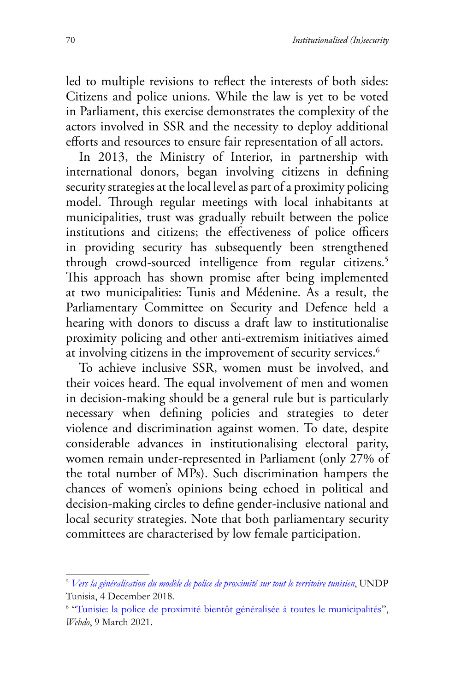led to multiple revisions to reflect the interests of both sides: Citizens and police unions. While the law is yet to be voted in Parliament, this exercise demonstrates the complexity of the actors involved in SSR and the necessity to deploy additional efforts and resources to ensure fair representation of all actors.

In 2013, the Ministry of Interior, in partnership with international donors, began involving citizens in defining security strategies at the local level as part of a proximity policing model. Through regular meetings with local inhabitants at municipalities, trust was gradually rebuilt between the police institutions and citizens; the effectiveness of police officers in providing security has subsequently been strengthened through crowd-sourced intelligence from regular citizens.<sup>5</sup> This approach has shown promise after being implemented at two municipalities: Tunis and Médenine. As a result, the Parliamentary Committee on Security and Defence held a hearing with donors to discuss a draft law to institutionalise proximity policing and other anti-extremism initiatives aimed at involving citizens in the improvement of security services.<sup>6</sup>

To achieve inclusive SSR, women must be involved, and their voices heard. The equal involvement of men and women in decision-making should be a general rule but is particularly necessary when defining policies and strategies to deter violence and discrimination against women. To date, despite considerable advances in institutionalising electoral parity, women remain under-represented in Parliament (only 27% of the total number of MPs). Such discrimination hampers the chances of women's opinions being echoed in political and decision-making circles to define gender-inclusive national and local security strategies. Note that both parliamentary security committees are characterised by low female participation.

<sup>5</sup> *[Vers la généralisation du modèle de police de proximité sur tout le territoire tunisien](https://www.tn.undp.org/content/tunisia/fr/home/presscenter/articles/2018/vers-la-generalisation-du-modele-de-police-de-proximite-sur-tout.html.)*, UNDP Tunisia, 4 December 2018.

<sup>&</sup>lt;sup>6</sup> "[Tunisie: la police de proximité bientôt généralisée à toutes le municipalités](https://www.webdo.tn/2021/03/09/tunisie-la-police-de-proximite-bientot-generalisee-a-toutes-les-municipalites/)", *Webdo*, 9 March 2021.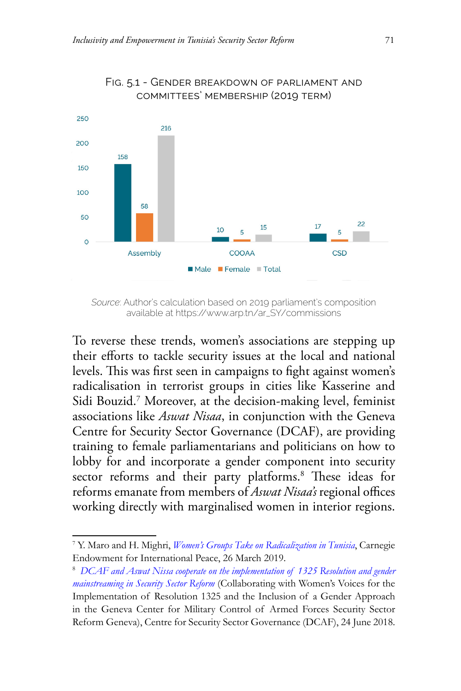

#### Fig. 5.1 - Gender breakdown of parliament and committees' membership (2019 term)

To reverse these trends, women's associations are stepping up their efforts to tackle security issues at the local and national levels. This was first seen in campaigns to fight against women's radicalisation in terrorist groups in cities like Kasserine and Sidi Bouzid.7 Moreover, at the decision-making level, feminist associations like *Aswat Nisaa*, in conjunction with the Geneva Centre for Security Sector Governance (DCAF), are providing training to female parliamentarians and politicians on how to lobby for and incorporate a gender component into security sector reforms and their party platforms.<sup>8</sup> These ideas for reforms emanate from members of *Aswat Nisaa's* regional offices working directly with marginalised women in interior regions.

*Source*: Author's calculation based on 2019 parliament's composition available at https://www.arp.tn/ar\_SY/commissions

<sup>7</sup> Y. Maro and H. Mighri, *[Women's Groups Take on Radicalization in Tunisia](https://carnegieendowment.org/sada/78685)*, Carnegie Endowment for International Peace, 26 March 2019.

<sup>8</sup> *[DCAF and Aswat Nissa cooperate on the implementation of 1325 Resolution and gender](http://www.dcaf-tunisie.org/En/activite-partenaires/dcaf-et-aswat-nissa-cooperent-en-faveur-de-la-mise-en-oeuvre-de-la-resolution-1325-et-de-lintegration-de-lapproche-genre-dans-la-reforme-du-secteur-de-la-securite/77/10332) [mainstreaming in Security Sector Reform](http://www.dcaf-tunisie.org/En/activite-partenaires/dcaf-et-aswat-nissa-cooperent-en-faveur-de-la-mise-en-oeuvre-de-la-resolution-1325-et-de-lintegration-de-lapproche-genre-dans-la-reforme-du-secteur-de-la-securite/77/10332)* (Collaborating with Women's Voices for the Implementation of Resolution 1325 and the Inclusion of a Gender Approach in the Geneva Center for Military Control of Armed Forces Security Sector Reform Geneva), Centre for Security Sector Governance (DCAF), 24 June 2018.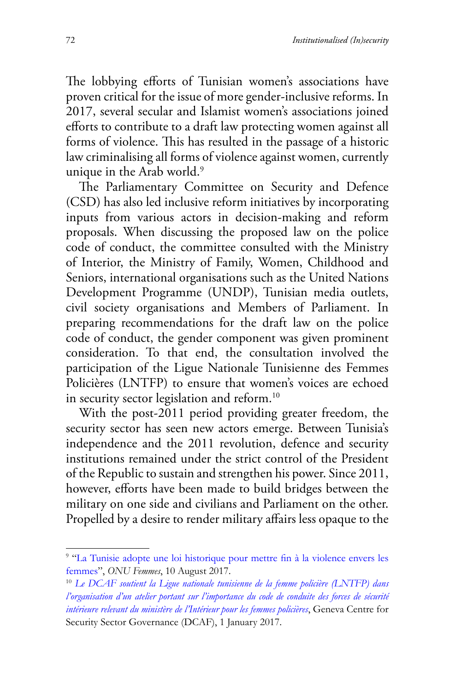The lobbying efforts of Tunisian women's associations have proven critical for the issue of more gender-inclusive reforms. In 2017, several secular and Islamist women's associations joined efforts to contribute to a draft law protecting women against all forms of violence. This has resulted in the passage of a historic law criminalising all forms of violence against women, currently unique in the Arab world.<sup>9</sup>

The Parliamentary Committee on Security and Defence (CSD) has also led inclusive reform initiatives by incorporating inputs from various actors in decision-making and reform proposals. When discussing the proposed law on the police code of conduct, the committee consulted with the Ministry of Interior, the Ministry of Family, Women, Childhood and Seniors, international organisations such as the United Nations Development Programme (UNDP), Tunisian media outlets, civil society organisations and Members of Parliament. In preparing recommendations for the draft law on the police code of conduct, the gender component was given prominent consideration. To that end, the consultation involved the participation of the Ligue Nationale Tunisienne des Femmes Policières (LNTFP) to ensure that women's voices are echoed in security sector legislation and reform.<sup>10</sup>

With the post-2011 period providing greater freedom, the security sector has seen new actors emerge. Between Tunisia's independence and the 2011 revolution, defence and security institutions remained under the strict control of the President of the Republic to sustain and strengthen his power. Since 2011, however, efforts have been made to build bridges between the military on one side and civilians and Parliament on the other. Propelled by a desire to render military affairs less opaque to the

<sup>9</sup> "[La Tunisie adopte une loi historique pour mettre fin à la violence envers les](https://www.unwomen.org/fr/news/stories/2017/8/news-tunisia-law-on-ending-violence-against-women.) [femmes](https://www.unwomen.org/fr/news/stories/2017/8/news-tunisia-law-on-ending-violence-against-women.)", *ONU Femmes*, 10 August 2017.

<sup>10</sup> *[Le DCAF soutient la Ligue nationale tunisienne de la femme policière \(LNTFP\) dans](http://www.dcaf-tunisie.org/Fr/activite-partenaires/le-dcaf-soutient-la-ligue-nationale-tunisienne-de-la-femme-policiere-lntfp-dans-lorganisation-dun-atelier-portant-sur-limportance-du-code-de-conduite-des-forces-de-securite-interieure-relevant-du-ministere-de-linterieur-pour-les-femmes-policieres/87/10279.) [l'organisation d'un atelier portant sur l'importance du code de conduite des forces de sécurité](http://www.dcaf-tunisie.org/Fr/activite-partenaires/le-dcaf-soutient-la-ligue-nationale-tunisienne-de-la-femme-policiere-lntfp-dans-lorganisation-dun-atelier-portant-sur-limportance-du-code-de-conduite-des-forces-de-securite-interieure-relevant-du-ministere-de-linterieur-pour-les-femmes-policieres/87/10279.) [intérieure relevant du ministère de l'Intérieur pour les femmes policières](http://www.dcaf-tunisie.org/Fr/activite-partenaires/le-dcaf-soutient-la-ligue-nationale-tunisienne-de-la-femme-policiere-lntfp-dans-lorganisation-dun-atelier-portant-sur-limportance-du-code-de-conduite-des-forces-de-securite-interieure-relevant-du-ministere-de-linterieur-pour-les-femmes-policieres/87/10279.)*, Geneva Centre for Security Sector Governance (DCAF), 1 January 2017.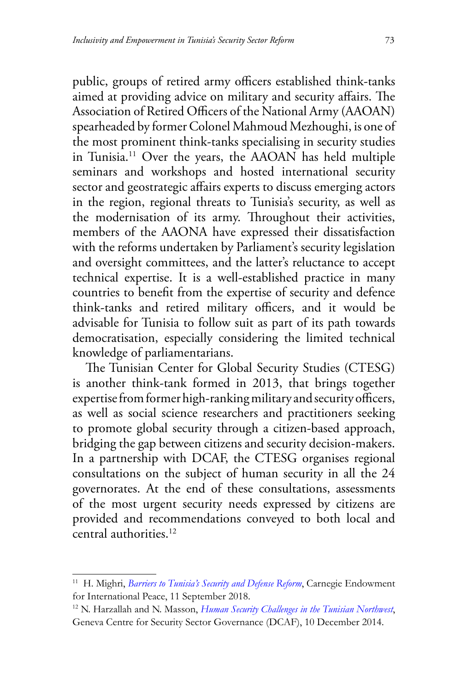public, groups of retired army officers established think-tanks aimed at providing advice on military and security affairs. The Association of Retired Officers of the National Army (AAOAN) spearheaded by former Colonel Mahmoud Mezhoughi, is one of the most prominent think-tanks specialising in security studies in Tunisia.11 Over the years, the AAOAN has held multiple seminars and workshops and hosted international security sector and geostrategic affairs experts to discuss emerging actors in the region, regional threats to Tunisia's security, as well as the modernisation of its army. Throughout their activities, members of the AAONA have expressed their dissatisfaction with the reforms undertaken by Parliament's security legislation and oversight committees, and the latter's reluctance to accept technical expertise. It is a well-established practice in many countries to benefit from the expertise of security and defence think-tanks and retired military officers, and it would be advisable for Tunisia to follow suit as part of its path towards democratisation, especially considering the limited technical knowledge of parliamentarians.

The Tunisian Center for Global Security Studies (CTESG) is another think-tank formed in 2013, that brings together expertise from former high-ranking military and security officers, as well as social science researchers and practitioners seeking to promote global security through a citizen-based approach, bridging the gap between citizens and security decision-makers. In a partnership with DCAF, the CTESG organises regional consultations on the subject of human security in all the 24 governorates. At the end of these consultations, assessments of the most urgent security needs expressed by citizens are provided and recommendations conveyed to both local and central authorities.12

<sup>&</sup>lt;sup>11</sup> H. Mighri, *[Barriers to Tunisia's Security and Defense Reform](https://carnegieendowment.org/sada/77214.)*, Carnegie Endowment for International Peace, 11 September 2018.

<sup>12</sup> N. Harzallah and N. Masson, *[Human Security Challenges in the Tunisian Northwest](https://www.dcaf.ch/human-security-challenges-tunisian-northwest)*, Geneva Centre for Security Sector Governance (DCAF), 10 December 2014.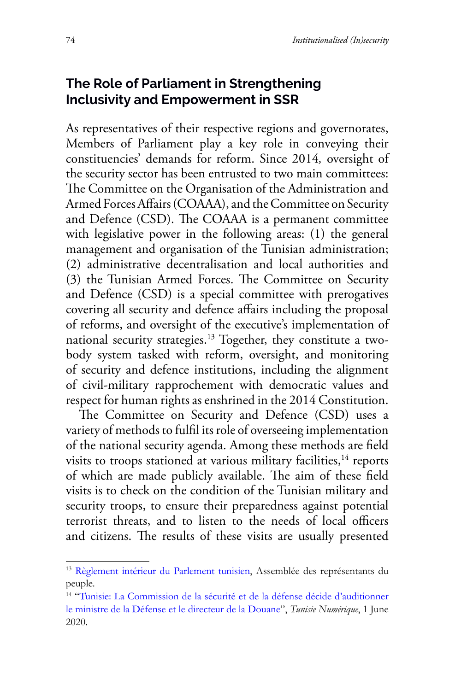## **The Role of Parliament in Strengthening Inclusivity and Empowerment in SSR**

As representatives of their respective regions and governorates, Members of Parliament play a key role in conveying their constituencies' demands for reform. Since 2014*,* oversight of the security sector has been entrusted to two main committees: The Committee on the Organisation of the Administration and Armed Forces Affairs (COAAA), and the Committee on Security and Defence (CSD). The COAAA is a permanent committee with legislative power in the following areas: (1) the general management and organisation of the Tunisian administration; (2) administrative decentralisation and local authorities and (3) the Tunisian Armed Forces. The Committee on Security and Defence (CSD) is a special committee with prerogatives covering all security and defence affairs including the proposal of reforms, and oversight of the executive's implementation of national security strategies.<sup>13</sup> Together, they constitute a twobody system tasked with reform, oversight, and monitoring of security and defence institutions, including the alignment of civil-military rapprochement with democratic values and respect for human rights as enshrined in the 2014 Constitution.

The Committee on Security and Defence (CSD) uses a variety of methods to fulfil its role of overseeing implementation of the national security agenda. Among these methods are field visits to troops stationed at various military facilities,<sup>14</sup> reports of which are made publicly available. The aim of these field visits is to check on the condition of the Tunisian military and security troops, to ensure their preparedness against potential terrorist threats, and to listen to the needs of local officers and citizens. The results of these visits are usually presented

<sup>&</sup>lt;sup>13</sup> [Règlement intérieur du Parlement](https://www.arp.tn/document/download/6704) tunisien, Assemblée des représentants du peuple.

<sup>14 &</sup>quot;Tunisie: La Commission [de la sécurité et de la défense décide d'auditionner](https://www.tunisienumerique.com/tunisie-la-commission-de-la-securite-et-de-la-defense-decide-dauditionner-le-ministre-de-la-defense-et-le-directeur-de-la-douane/) [le ministre de la Défense et le directeur de la](https://www.tunisienumerique.com/tunisie-la-commission-de-la-securite-et-de-la-defense-decide-dauditionner-le-ministre-de-la-defense-et-le-directeur-de-la-douane/) Douane", *Tunisie Numérique*, 1 June 2020.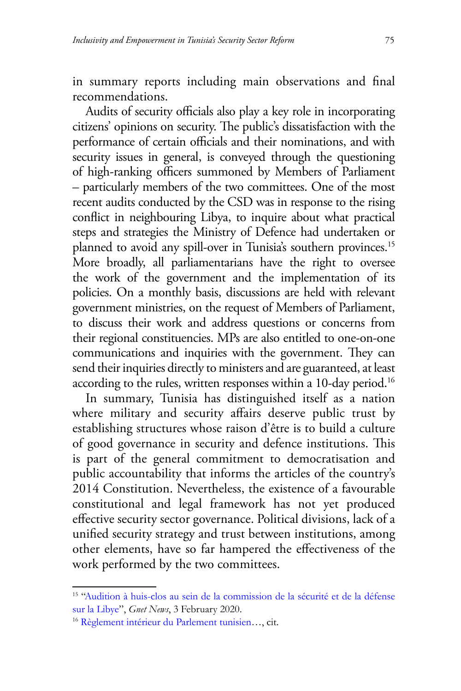in summary reports including main observations and final recommendations.

Audits of security officials also play a key role in incorporating citizens' opinions on security. The public's dissatisfaction with the performance of certain officials and their nominations, and with security issues in general, is conveyed through the questioning of high-ranking officers summoned by Members of Parliament – particularly members of the two committees. One of the most recent audits conducted by the CSD was in response to the rising conflict in neighbouring Libya, to inquire about what practical steps and strategies the Ministry of Defence had undertaken or planned to avoid any spill-over in Tunisia's southern provinces.<sup>15</sup> More broadly, all parliamentarians have the right to oversee the work of the government and the implementation of its policies. On a monthly basis, discussions are held with relevant government ministries, on the request of Members of Parliament, to discuss their work and address questions or concerns from their regional constituencies. MPs are also entitled to one-on-one communications and inquiries with the government. They can send their inquiries directly to ministers and are guaranteed, at least according to the rules, written responses within a 10-day period.<sup>16</sup>

In summary, Tunisia has distinguished itself as a nation where military and security affairs deserve public trust by establishing structures whose raison d'être is to build a culture of good governance in security and defence institutions. This is part of the general commitment to democratisation and public accountability that informs the articles of the country's 2014 Constitution. Nevertheless, the existence of a favourable constitutional and legal framework has not yet produced effective security sector governance. Political divisions, lack of a unified security strategy and trust between institutions, among other elements, have so far hampered the effectiveness of the work performed by the two committees.

<sup>15 &</sup>quot;[Audition à huis-clos au sein de la commission de la sécurité et de la défense](https://news.gnet.tn/audition-a-huis-clos-au-sein-de-la-commission-de-la-securite-et-de-la-defense-sur-la-libye/) [sur la Libye](https://news.gnet.tn/audition-a-huis-clos-au-sein-de-la-commission-de-la-securite-et-de-la-defense-sur-la-libye/)", *Gnet News*, 3 February 2020.

<sup>16</sup> [Règlement intérieur du Parlement tunisien](https://www.arp.tn/document/download/6704.)…, cit.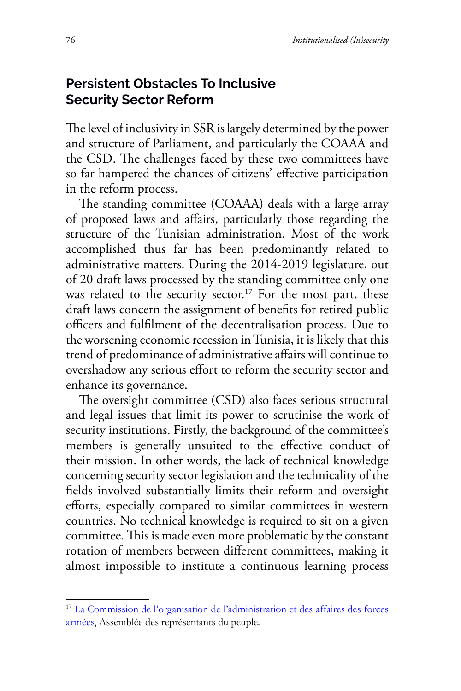## **Persistent Obstacles To Inclusive Security Sector Reform**

The level of inclusivity in SSR is largely determined by the power and structure of Parliament, and particularly the COAAA and the CSD. The challenges faced by these two committees have so far hampered the chances of citizens' effective participation in the reform process.

The standing committee (COAAA) deals with a large array of proposed laws and affairs, particularly those regarding the structure of the Tunisian administration. Most of the work accomplished thus far has been predominantly related to administrative matters. During the 2014-2019 legislature, out of 20 draft laws processed by the standing committee only one was related to the security sector.<sup>17</sup> For the most part, these draft laws concern the assignment of benefits for retired public officers and fulfilment of the decentralisation process. Due to the worsening economic recession in Tunisia, it is likely that this trend of predominance of administrative affairs will continue to overshadow any serious effort to reform the security sector and enhance its governance.

The oversight committee (CSD) also faces serious structural and legal issues that limit its power to scrutinise the work of security institutions. Firstly, the background of the committee's members is generally unsuited to the effective conduct of their mission. In other words, the lack of technical knowledge concerning security sector legislation and the technicality of the fields involved substantially limits their reform and oversight efforts, especially compared to similar committees in western countries. No technical knowledge is required to sit on a given committee. This is made even more problematic by the constant rotation of members between different committees, making it almost impossible to institute a continuous learning process

<sup>17</sup> [La Commission de l'organisation de l'administration et des affaires des forces](https://arp.tn/ar_SY/commission/fixe/projet/29.) [armées](https://arp.tn/ar_SY/commission/fixe/projet/29.), Assemblée des représentants du peuple.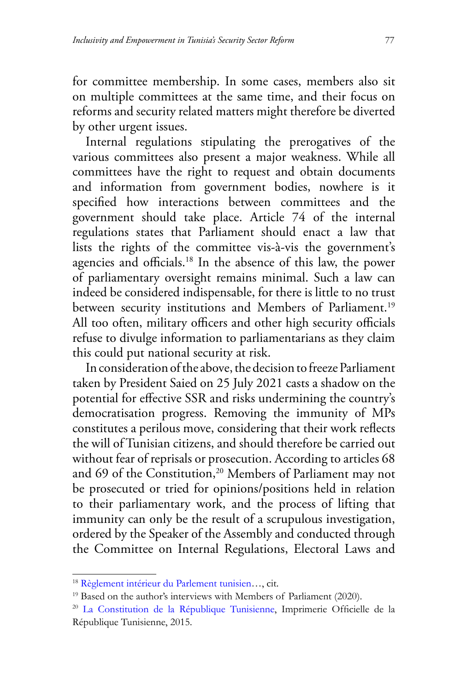for committee membership. In some cases, members also sit on multiple committees at the same time, and their focus on reforms and security related matters might therefore be diverted by other urgent issues.

Internal regulations stipulating the prerogatives of the various committees also present a major weakness. While all committees have the right to request and obtain documents and information from government bodies, nowhere is it specified how interactions between committees and the government should take place. Article 74 of the internal regulations states that Parliament should enact a law that lists the rights of the committee vis-à-vis the government's agencies and officials.18 In the absence of this law, the power of parliamentary oversight remains minimal. Such a law can indeed be considered indispensable, for there is little to no trust between security institutions and Members of Parliament.<sup>19</sup> All too often, military officers and other high security officials refuse to divulge information to parliamentarians as they claim this could put national security at risk.

In consideration of the above, the decision to freeze Parliament taken by President Saied on 25 July 2021 casts a shadow on the potential for effective SSR and risks undermining the country's democratisation progress. Removing the immunity of MPs constitutes a perilous move, considering that their work reflects the will of Tunisian citizens, and should therefore be carried out without fear of reprisals or prosecution. According to articles 68 and 69 of the Constitution,<sup>20</sup> Members of Parliament may not be prosecuted or tried for opinions/positions held in relation to their parliamentary work, and the process of lifting that immunity can only be the result of a scrupulous investigation, ordered by the Speaker of the Assembly and conducted through the Committee on Internal Regulations, Electoral Laws and

<sup>18</sup> [Règlement intérieur du Parlement tunisien](https://www.arp.tn/ar_SY/document/download/6704.)…, cit.

<sup>&</sup>lt;sup>19</sup> Based on the author's interviews with Members of Parliament (2020).

<sup>20</sup> La Constitution [de la République Tunisienne](https://lib.ohchr.org/HRBodies/UPR/Documents/Session27/TN/6Annexe4Constitution_fr.pdf.), Imprimerie Officielle de la République Tunisienne, 2015.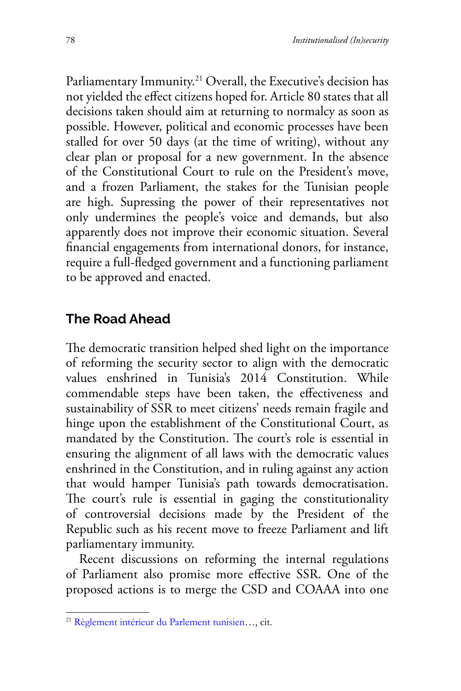Parliamentary Immunity.<sup>21</sup> Overall, the Executive's decision has not yielded the effect citizens hoped for. Article 80 states that all decisions taken should aim at returning to normalcy as soon as possible. However, political and economic processes have been stalled for over 50 days (at the time of writing), without any clear plan or proposal for a new government. In the absence of the Constitutional Court to rule on the President's move, and a frozen Parliament, the stakes for the Tunisian people are high. Supressing the power of their representatives not only undermines the people's voice and demands, but also apparently does not improve their economic situation. Several financial engagements from international donors, for instance, require a full-fledged government and a functioning parliament to be approved and enacted.

## **The Road Ahead**

The democratic transition helped shed light on the importance of reforming the security sector to align with the democratic values enshrined in Tunisia's 2014 Constitution. While commendable steps have been taken, the effectiveness and sustainability of SSR to meet citizens' needs remain fragile and hinge upon the establishment of the Constitutional Court, as mandated by the Constitution. The court's role is essential in ensuring the alignment of all laws with the democratic values enshrined in the Constitution, and in ruling against any action that would hamper Tunisia's path towards democratisation. The court's rule is essential in gaging the constitutionality of controversial decisions made by the President of the Republic such as his recent move to freeze Parliament and lift parliamentary immunity.

Recent discussions on reforming the internal regulations of Parliament also promise more effective SSR. One of the proposed actions is to merge the CSD and COAAA into one

<sup>21</sup> [Règlement intérieur du Parlement tunisien](https://www.arp.tn/ar_SY/document/download/6704.)…, cit.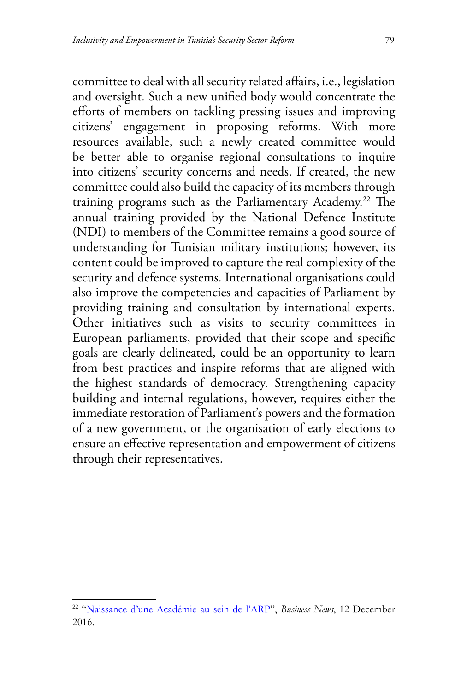committee to deal with all security related affairs, i.e., legislation and oversight. Such a new unified body would concentrate the efforts of members on tackling pressing issues and improving citizens' engagement in proposing reforms. With more resources available, such a newly created committee would be better able to organise regional consultations to inquire into citizens' security concerns and needs. If created, the new committee could also build the capacity of its members through training programs such as the Parliamentary Academy.22 The annual training provided by the National Defence Institute (NDI) to members of the Committee remains a good source of understanding for Tunisian military institutions; however, its content could be improved to capture the real complexity of the security and defence systems. International organisations could also improve the competencies and capacities of Parliament by providing training and consultation by international experts. Other initiatives such as visits to security committees in European parliaments, provided that their scope and specific goals are clearly delineated, could be an opportunity to learn from best practices and inspire reforms that are aligned with the highest standards of democracy. Strengthening capacity building and internal regulations, however, requires either the immediate restoration of Parliament's powers and the formation of a new government, or the organisation of early elections to ensure an effective representation and empowerment of citizens through their representatives.

<sup>22 &</sup>quot;Naissance [d'une Académie au sein de l'ARP](https://www.businessnews.com.tn/naissance-dune-academie-parlementaire-au-sein-de-larp,520,69097,3.)", *Business News*, 12 December 2016.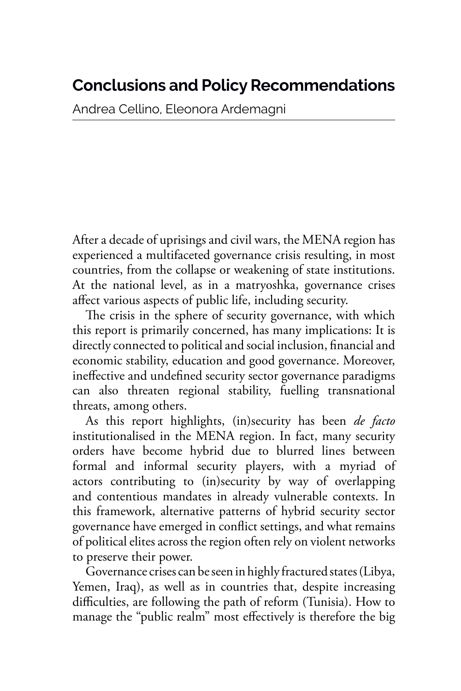## **Conclusions and Policy Recommendations**

Andrea Cellino, Eleonora Ardemagni

After a decade of uprisings and civil wars, the MENA region has experienced a multifaceted governance crisis resulting, in most countries, from the collapse or weakening of state institutions. At the national level, as in a matryoshka, governance crises affect various aspects of public life, including security.

The crisis in the sphere of security governance, with which this report is primarily concerned, has many implications: It is directly connected to political and social inclusion, financial and economic stability, education and good governance. Moreover, ineffective and undefined security sector governance paradigms can also threaten regional stability, fuelling transnational threats, among others.

As this report highlights, (in)security has been *de facto* institutionalised in the MENA region. In fact, many security orders have become hybrid due to blurred lines between formal and informal security players, with a myriad of actors contributing to (in)security by way of overlapping and contentious mandates in already vulnerable contexts. In this framework, alternative patterns of hybrid security sector governance have emerged in conflict settings, and what remains of political elites across the region often rely on violent networks to preserve their power.

Governance crises can be seen in highly fractured states (Libya, Yemen, Iraq), as well as in countries that, despite increasing difficulties, are following the path of reform (Tunisia). How to manage the "public realm" most effectively is therefore the big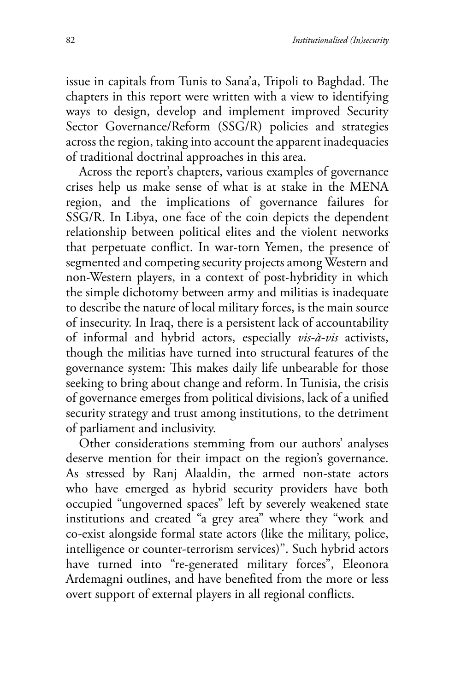issue in capitals from Tunis to Sana'a, Tripoli to Baghdad. The chapters in this report were written with a view to identifying ways to design, develop and implement improved Security Sector Governance/Reform (SSG/R) policies and strategies across the region, taking into account the apparent inadequacies of traditional doctrinal approaches in this area.

Across the report's chapters, various examples of governance crises help us make sense of what is at stake in the MENA region, and the implications of governance failures for SSG/R. In Libya, one face of the coin depicts the dependent relationship between political elites and the violent networks that perpetuate conflict. In war-torn Yemen, the presence of segmented and competing security projects among Western and non-Western players, in a context of post-hybridity in which the simple dichotomy between army and militias is inadequate to describe the nature of local military forces, is the main source of insecurity. In Iraq, there is a persistent lack of accountability of informal and hybrid actors, especially *vis-à-vis* activists, though the militias have turned into structural features of the governance system: This makes daily life unbearable for those seeking to bring about change and reform. In Tunisia, the crisis of governance emerges from political divisions, lack of a unified security strategy and trust among institutions, to the detriment of parliament and inclusivity.

Other considerations stemming from our authors' analyses deserve mention for their impact on the region's governance. As stressed by Ranj Alaaldin, the armed non-state actors who have emerged as hybrid security providers have both occupied "ungoverned spaces" left by severely weakened state institutions and created "a grey area" where they "work and co-exist alongside formal state actors (like the military, police, intelligence or counter-terrorism services)". Such hybrid actors have turned into "re-generated military forces", Eleonora Ardemagni outlines, and have benefited from the more or less overt support of external players in all regional conflicts.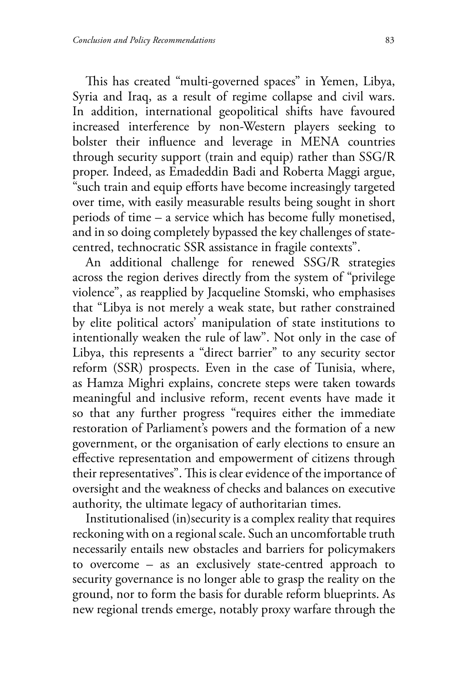This has created "multi-governed spaces" in Yemen, Libya, Syria and Iraq, as a result of regime collapse and civil wars. In addition, international geopolitical shifts have favoured increased interference by non-Western players seeking to bolster their influence and leverage in MENA countries through security support (train and equip) rather than SSG/R proper. Indeed, as Emadeddin Badi and Roberta Maggi argue, "such train and equip efforts have become increasingly targeted over time, with easily measurable results being sought in short periods of time – a service which has become fully monetised, and in so doing completely bypassed the key challenges of statecentred, technocratic SSR assistance in fragile contexts".

An additional challenge for renewed SSG/R strategies across the region derives directly from the system of "privilege violence", as reapplied by Jacqueline Stomski, who emphasises that "Libya is not merely a weak state, but rather constrained by elite political actors' manipulation of state institutions to intentionally weaken the rule of law". Not only in the case of Libya, this represents a "direct barrier" to any security sector reform (SSR) prospects. Even in the case of Tunisia, where, as Hamza Mighri explains, concrete steps were taken towards meaningful and inclusive reform, recent events have made it so that any further progress "requires either the immediate restoration of Parliament's powers and the formation of a new government, or the organisation of early elections to ensure an effective representation and empowerment of citizens through their representatives". This is clear evidence of the importance of oversight and the weakness of checks and balances on executive authority, the ultimate legacy of authoritarian times.

Institutionalised (in)security is a complex reality that requires reckoning with on a regional scale. Such an uncomfortable truth necessarily entails new obstacles and barriers for policymakers to overcome – as an exclusively state-centred approach to security governance is no longer able to grasp the reality on the ground, nor to form the basis for durable reform blueprints. As new regional trends emerge, notably proxy warfare through the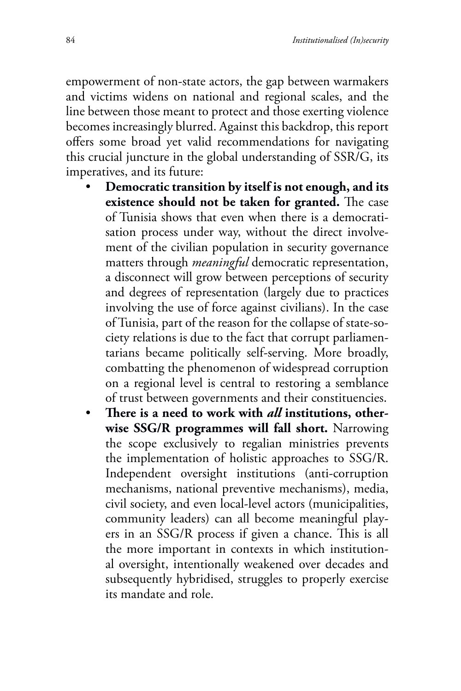empowerment of non-state actors, the gap between warmakers and victims widens on national and regional scales, and the line between those meant to protect and those exerting violence becomes increasingly blurred. Against this backdrop, this report offers some broad yet valid recommendations for navigating this crucial juncture in the global understanding of SSR/G, its imperatives, and its future:

- **Democratic transition by itself is not enough, and its existence should not be taken for granted.** The case of Tunisia shows that even when there is a democratisation process under way, without the direct involvement of the civilian population in security governance matters through *meaningful* democratic representation, a disconnect will grow between perceptions of security and degrees of representation (largely due to practices involving the use of force against civilians). In the case of Tunisia, part of the reason for the collapse of state-society relations is due to the fact that corrupt parliamentarians became politically self-serving. More broadly, combatting the phenomenon of widespread corruption on a regional level is central to restoring a semblance of trust between governments and their constituencies.
- **There is a need to work with** *all* **institutions, otherwise SSG/R programmes will fall short.** Narrowing the scope exclusively to regalian ministries prevents the implementation of holistic approaches to SSG/R. Independent oversight institutions (anti-corruption mechanisms, national preventive mechanisms), media, civil society, and even local-level actors (municipalities, community leaders) can all become meaningful players in an SSG/R process if given a chance. This is all the more important in contexts in which institutional oversight, intentionally weakened over decades and subsequently hybridised, struggles to properly exercise its mandate and role.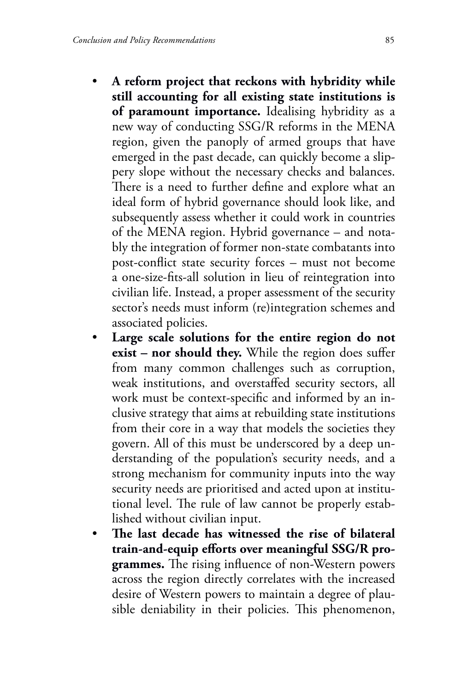- **A reform project that reckons with hybridity while still accounting for all existing state institutions is of paramount importance.** Idealising hybridity as a new way of conducting SSG/R reforms in the MENA region, given the panoply of armed groups that have emerged in the past decade, can quickly become a slippery slope without the necessary checks and balances. There is a need to further define and explore what an ideal form of hybrid governance should look like, and subsequently assess whether it could work in countries of the MENA region. Hybrid governance – and notably the integration of former non-state combatants into post-conflict state security forces – must not become a one-size-fits-all solution in lieu of reintegration into civilian life. Instead, a proper assessment of the security sector's needs must inform (re)integration schemes and associated policies.
- Large scale solutions for the entire region do not **exist – nor should they.** While the region does suffer from many common challenges such as corruption, weak institutions, and overstaffed security sectors, all work must be context-specific and informed by an inclusive strategy that aims at rebuilding state institutions from their core in a way that models the societies they govern. All of this must be underscored by a deep understanding of the population's security needs, and a strong mechanism for community inputs into the way security needs are prioritised and acted upon at institutional level. The rule of law cannot be properly established without civilian input.
- **The last decade has witnessed the rise of bilateral train-and-equip efforts over meaningful SSG/R programmes.** The rising influence of non-Western powers across the region directly correlates with the increased desire of Western powers to maintain a degree of plausible deniability in their policies. This phenomenon,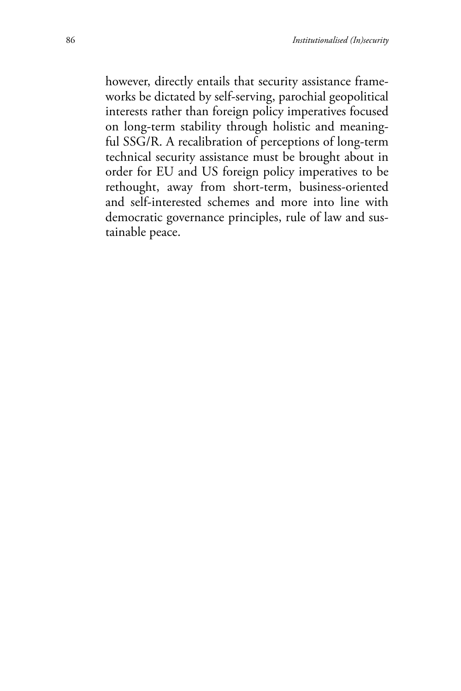however, directly entails that security assistance frameworks be dictated by self-serving, parochial geopolitical interests rather than foreign policy imperatives focused on long-term stability through holistic and meaningful SSG/R. A recalibration of perceptions of long-term technical security assistance must be brought about in order for EU and US foreign policy imperatives to be rethought, away from short-term, business-oriented and self-interested schemes and more into line with democratic governance principles, rule of law and sustainable peace.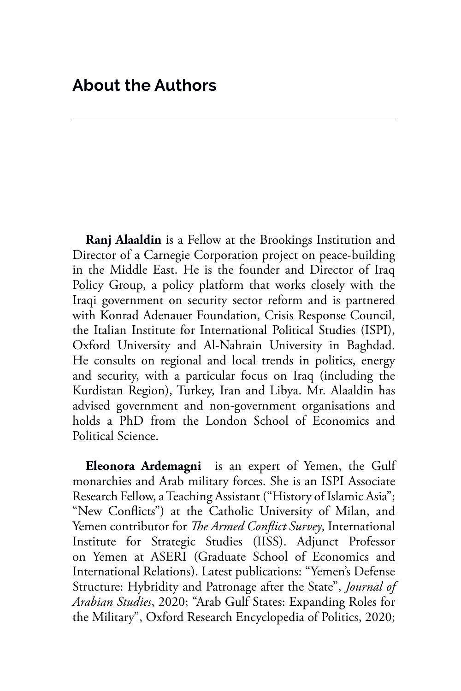**Ranj Alaaldin** is a Fellow at the Brookings Institution and Director of a Carnegie Corporation project on peace-building in the Middle East. He is the founder and Director of Iraq Policy Group, a policy platform that works closely with the Iraqi government on security sector reform and is partnered with Konrad Adenauer Foundation, Crisis Response Council, the Italian Institute for International Political Studies (ISPI), Oxford University and Al-Nahrain University in Baghdad. He consults on regional and local trends in politics, energy and security, with a particular focus on Iraq (including the Kurdistan Region), Turkey, Iran and Libya. Mr. Alaaldin has advised government and non-government organisations and holds a PhD from the London School of Economics and Political Science.

**Eleonora Ardemagni** is an expert of Yemen, the Gulf monarchies and Arab military forces. She is an ISPI Associate Research Fellow, a Teaching Assistant ("History of Islamic Asia"; "New Conflicts") at the Catholic University of Milan, and Yemen contributor for *The Armed Conflict Survey*, International Institute for Strategic Studies (IISS). Adjunct Professor on Yemen at ASERI (Graduate School of Economics and International Relations). Latest publications: "Yemen's Defense Structure: Hybridity and Patronage after the State", *Journal of Arabian Studies*, 2020; "Arab Gulf States: Expanding Roles for the Military", Oxford Research Encyclopedia of Politics, 2020;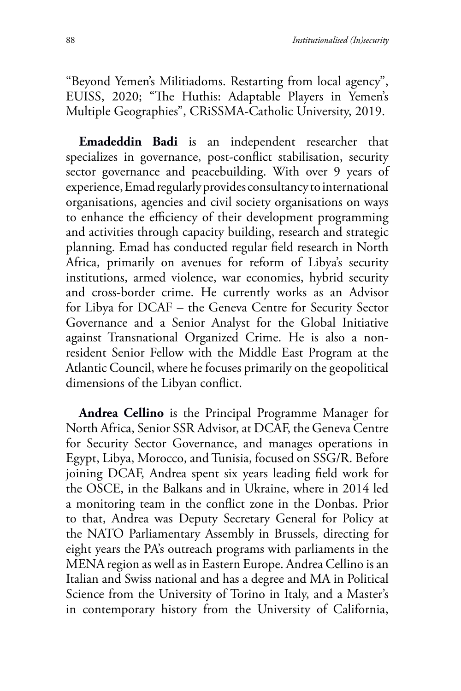"Beyond Yemen's Militiadoms. Restarting from local agency", EUISS, 2020; "The Huthis: Adaptable Players in Yemen's Multiple Geographies", CRiSSMA-Catholic University, 2019.

**Emadeddin Badi** is an independent researcher that specializes in governance, post-conflict stabilisation, security sector governance and peacebuilding. With over 9 years of experience, Emad regularly provides consultancy to international organisations, agencies and civil society organisations on ways to enhance the efficiency of their development programming and activities through capacity building, research and strategic planning. Emad has conducted regular field research in North Africa, primarily on avenues for reform of Libya's security institutions, armed violence, war economies, hybrid security and cross-border crime. He currently works as an Advisor for Libya for DCAF – the Geneva Centre for Security Sector Governance and a Senior Analyst for the Global Initiative against Transnational Organized Crime. He is also a nonresident Senior Fellow with the Middle East Program at the Atlantic Council, where he focuses primarily on the geopolitical dimensions of the Libyan conflict.

**Andrea Cellino** is the Principal Programme Manager for North Africa, Senior SSR Advisor, at DCAF, the Geneva Centre for Security Sector Governance, and manages operations in Egypt, Libya, Morocco, and Tunisia, focused on SSG/R. Before joining DCAF, Andrea spent six years leading field work for the OSCE, in the Balkans and in Ukraine, where in 2014 led a monitoring team in the conflict zone in the Donbas. Prior to that, Andrea was Deputy Secretary General for Policy at the NATO Parliamentary Assembly in Brussels, directing for eight years the PA's outreach programs with parliaments in the MENA region as well as in Eastern Europe. Andrea Cellino is an Italian and Swiss national and has a degree and MA in Political Science from the University of Torino in Italy, and a Master's in contemporary history from the University of California,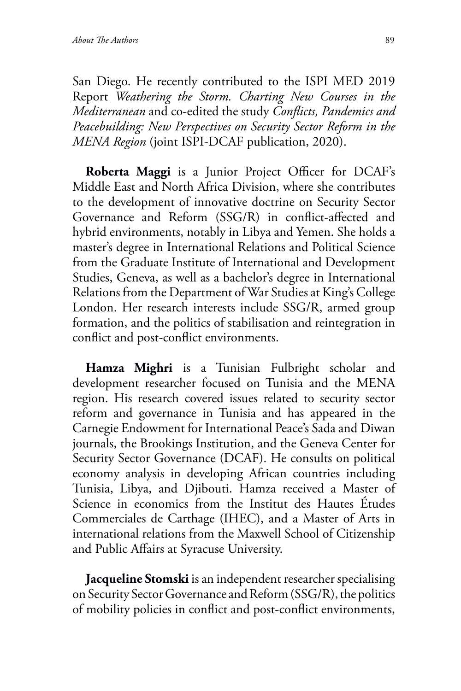San Diego. He recently contributed to the ISPI MED 2019 Report *Weathering the Storm. Charting New Courses in the Mediterranean* and co-edited the study *Conflicts, Pandemics and Peacebuilding: New Perspectives on Security Sector Reform in the MENA Region* (joint ISPI-DCAF publication, 2020).

**Roberta Maggi** is a Junior Project Officer for DCAF's Middle East and North Africa Division, where she contributes to the development of innovative doctrine on Security Sector Governance and Reform (SSG/R) in conflict-affected and hybrid environments, notably in Libya and Yemen. She holds a master's degree in International Relations and Political Science from the Graduate Institute of International and Development Studies, Geneva, as well as a bachelor's degree in International Relations from the Department of War Studies at King's College London. Her research interests include SSG/R, armed group formation, and the politics of stabilisation and reintegration in conflict and post-conflict environments.

**Hamza Mighri** is a Tunisian Fulbright scholar and development researcher focused on Tunisia and the MENA region. His research covered issues related to security sector reform and governance in Tunisia and has appeared in the Carnegie Endowment for International Peace's Sada and Diwan journals, the Brookings Institution, and the Geneva Center for Security Sector Governance (DCAF). He consults on political economy analysis in developing African countries including Tunisia, Libya, and Djibouti. Hamza received a Master of Science in economics from the Institut des Hautes Études Commerciales de Carthage (IHEC), and a Master of Arts in international relations from the Maxwell School of Citizenship and Public Affairs at Syracuse University.

**Jacqueline Stomski** is an independent researcher specialising on Security Sector Governance and Reform (SSG/R), the politics of mobility policies in conflict and post-conflict environments,